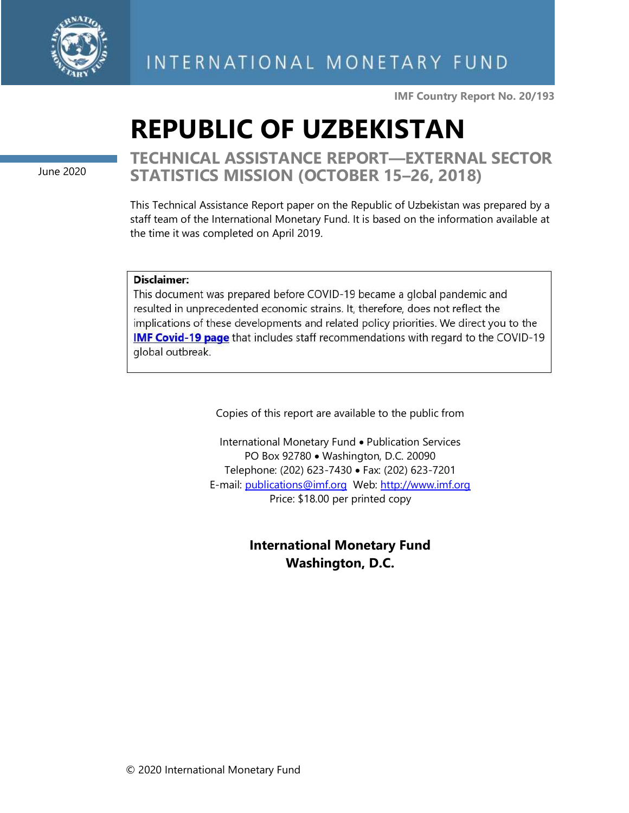

**IMF Country Report No. 20/193**

# **REPUBLIC OF UZBEKISTAN**

June 2020

**TECHNICAL ASSISTANCE REPORT—EXTERNAL SECTOR STATISTICS MISSION (OCTOBER 15–26, 2018)**

This Technical Assistance Report paper on the Republic of Uzbekistan was prepared by a staff team of the International Monetary Fund. It is based on the information available at the time it was completed on April 2019.

#### Disclaimer:

This document was prepared before COVID-19 became a global pandemic and resulted in unprecedented economic strains. It, therefore, does not reflect the implications of these developments and related policy priorities. We direct you to the **IMF Covid-19 page** that includes staff recommendations with regard to the COVID-19 global outbreak.

Copies of this report are available to the public from

International Monetary Fund • Publication Services PO Box 92780 • Washington, D.C. 20090 Telephone: (202) 623-7430 • Fax: (202) 623-7201 E-mail: [publications@imf.org](mailto:publications@imf.org) Web: [http://www.imf.org](http://www.imf.org/) Price: \$18.00 per printed copy

> **International Monetary Fund Washington, D.C.**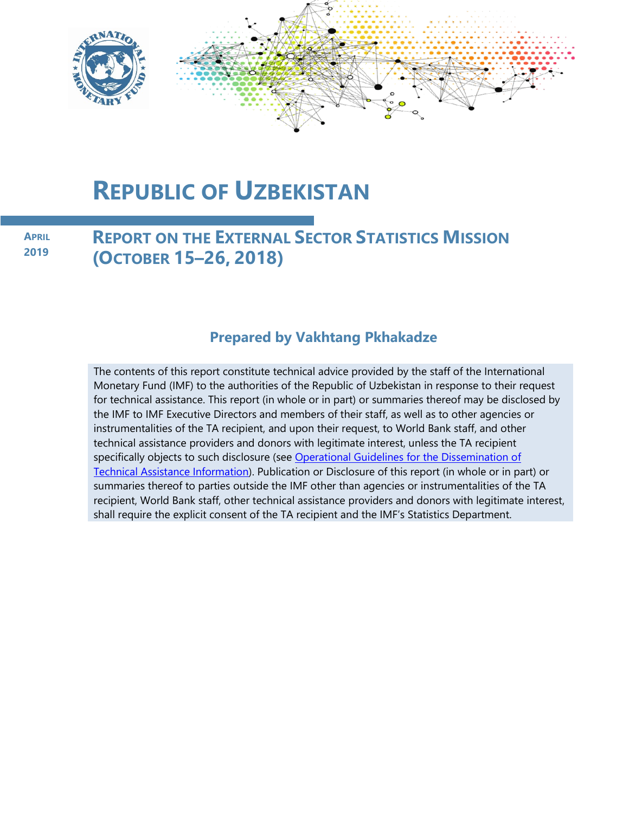

## **REPUBLIC OF UZBEKISTAN**

**APRIL 2019**

**REPORT ON THE EXTERNAL SECTOR STATISTICS MISSION (OCTOBER 15–26, 2018)**

## **Prepared by Vakhtang Pkhakadze**

The contents of this report constitute technical advice provided by the staff of the International Monetary Fund (IMF) to the authorities of the Republic of Uzbekistan in response to their request for technical assistance. This report (in whole or in part) or summaries thereof may be disclosed by the IMF to IMF Executive Directors and members of their staff, as well as to other agencies or instrumentalities of the TA recipient, and upon their request, to World Bank staff, and other technical assistance providers and donors with legitimate interest, unless the TA recipient specifically objects to such disclosure (see Operational Guidelines for the Dissemination of [Technical Assistance Information\)](http://www.imf.org/external/np/pp/eng/2013/061013.pdf). Publication or Disclosure of this report (in whole or in part) or summaries thereof to parties outside the IMF other than agencies or instrumentalities of the TA recipient, World Bank staff, other technical assistance providers and donors with legitimate interest, shall require the explicit consent of the TA recipient and the IMF's Statistics Department.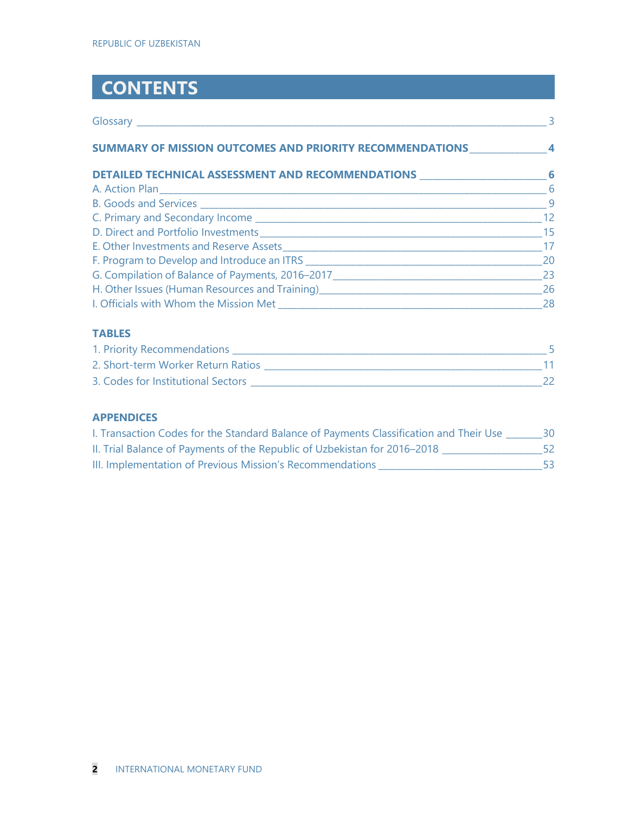## **CONTENTS**

|                                                                                                                                                                                                                                          | $\overline{\mathbf{3}}$ |
|------------------------------------------------------------------------------------------------------------------------------------------------------------------------------------------------------------------------------------------|-------------------------|
| SUMMARY OF MISSION OUTCOMES AND PRIORITY RECOMMENDATIONS _______________________4                                                                                                                                                        |                         |
| DETAILED TECHNICAL ASSESSMENT AND RECOMMENDATIONS ______________________________6                                                                                                                                                        |                         |
|                                                                                                                                                                                                                                          | $\sim$ 6                |
|                                                                                                                                                                                                                                          | $\overline{9}$          |
|                                                                                                                                                                                                                                          | 12                      |
|                                                                                                                                                                                                                                          | 15                      |
|                                                                                                                                                                                                                                          | $\overline{17}$         |
|                                                                                                                                                                                                                                          | 20                      |
| G. Compilation of Balance of Payments, 2016-2017 _______________________________                                                                                                                                                         | 23                      |
| H. Other Issues (Human Resources and Training)<br>1920 - Product London, Marian and Training<br>2020 - Product London, Maria and Training<br>2021 - Product London, Maria and Training<br>2021 - Product London, Maria and Training<br>2 | 26                      |
|                                                                                                                                                                                                                                          | 28                      |

### **TABLES**

| 1. Priority Recommendations        |  |
|------------------------------------|--|
| 2. Short-term Worker Return Ratios |  |
| 3. Codes for Institutional Sectors |  |

#### **APPENDICES**

| I. Transaction Codes for the Standard Balance of Payments Classification and Their Use | 30. |
|----------------------------------------------------------------------------------------|-----|
| II. Trial Balance of Payments of the Republic of Uzbekistan for 2016-2018              |     |
| III. Implementation of Previous Mission's Recommendations                              | 53. |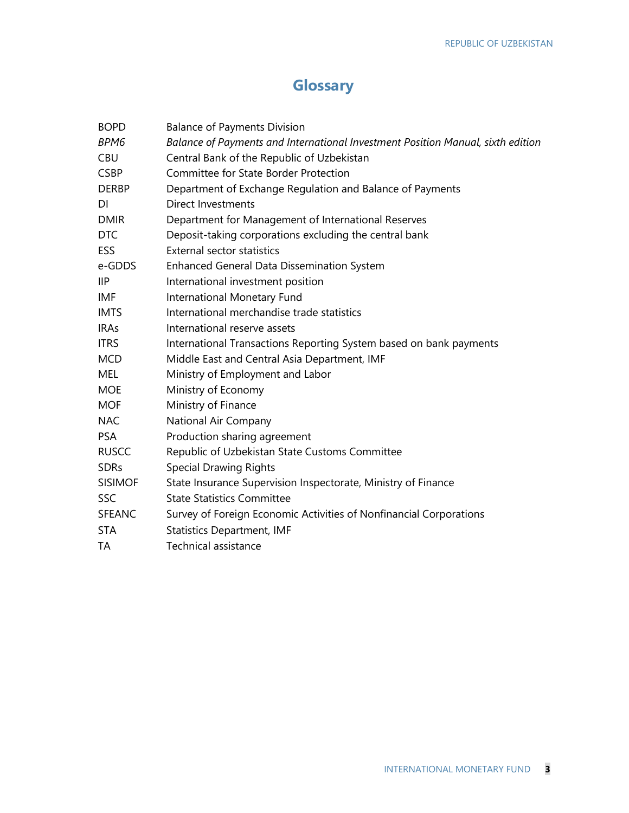## **Glossary**

| <b>BOPD</b>    | <b>Balance of Payments Division</b>                                             |
|----------------|---------------------------------------------------------------------------------|
| BPM6           | Balance of Payments and International Investment Position Manual, sixth edition |
| <b>CBU</b>     | Central Bank of the Republic of Uzbekistan                                      |
| <b>CSBP</b>    | Committee for State Border Protection                                           |
| <b>DERBP</b>   | Department of Exchange Regulation and Balance of Payments                       |
| DI             | Direct Investments                                                              |
| <b>DMIR</b>    | Department for Management of International Reserves                             |
| <b>DTC</b>     | Deposit-taking corporations excluding the central bank                          |
| <b>ESS</b>     | <b>External sector statistics</b>                                               |
| e-GDDS         | <b>Enhanced General Data Dissemination System</b>                               |
| <b>IIP</b>     | International investment position                                               |
| IMF            | International Monetary Fund                                                     |
| <b>IMTS</b>    | International merchandise trade statistics                                      |
| <b>IRAs</b>    | International reserve assets                                                    |
| <b>ITRS</b>    | International Transactions Reporting System based on bank payments              |
| <b>MCD</b>     | Middle East and Central Asia Department, IMF                                    |
| MEL            | Ministry of Employment and Labor                                                |
| <b>MOE</b>     | Ministry of Economy                                                             |
| <b>MOF</b>     | Ministry of Finance                                                             |
| <b>NAC</b>     | National Air Company                                                            |
| <b>PSA</b>     | Production sharing agreement                                                    |
| <b>RUSCC</b>   | Republic of Uzbekistan State Customs Committee                                  |
| <b>SDRs</b>    | <b>Special Drawing Rights</b>                                                   |
| <b>SISIMOF</b> | State Insurance Supervision Inspectorate, Ministry of Finance                   |
| <b>SSC</b>     | <b>State Statistics Committee</b>                                               |
| <b>SFEANC</b>  | Survey of Foreign Economic Activities of Nonfinancial Corporations              |
| <b>STA</b>     | <b>Statistics Department, IMF</b>                                               |
| TA             | <b>Technical assistance</b>                                                     |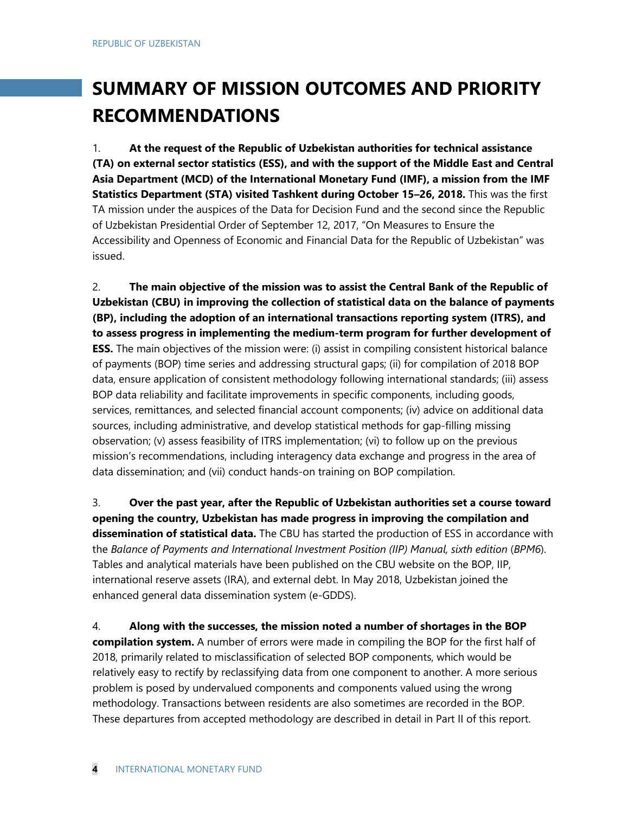## **SUMMARY OF MISSION OUTCOMES AND PRIORITY RECOMMENDATIONS**

1. **At the request of the Republic of Uzbekistan authorities for technical assistance (TA) on external sector statistics (ESS), and with the support of the Middle East and Central Asia Department (MCD) of the International Monetary Fund (IMF), a mission from the IMF Statistics Department (STA) visited Tashkent during October 15–26, 2018.** This was the first TA mission under the auspices of the Data for Decision Fund and the second since the Republic of Uzbekistan Presidential Order of September 12, 2017, "On Measures to Ensure the Accessibility and Openness of Economic and Financial Data for the Republic of Uzbekistan" was issued.

2. **The main objective of the mission was to assist the Central Bank of the Republic of Uzbekistan (CBU) in improving the collection of statistical data on the balance of payments (BP), including the adoption of an international transactions reporting system (ITRS), and to assess progress in implementing the medium-term program for further development of ESS.** The main objectives of the mission were: (i) assist in compiling consistent historical balance of payments (BOP) time series and addressing structural gaps; (ii) for compilation of 2018 BOP data, ensure application of consistent methodology following international standards; (iii) assess BOP data reliability and facilitate improvements in specific components, including goods, services, remittances, and selected financial account components; (iv) advice on additional data sources, including administrative, and develop statistical methods for gap-filling missing observation; (v) assess feasibility of ITRS implementation; (vi) to follow up on the previous mission's recommendations, including interagency data exchange and progress in the area of data dissemination; and (vii) conduct hands-on training on BOP compilation.

3. **Over the past year, after the Republic of Uzbekistan authorities set a course toward opening the country, Uzbekistan has made progress in improving the compilation and dissemination of statistical data.** The CBU has started the production of ESS in accordance with the *Balance of Payments and International Investment Position (IIP) Manual, sixth edition* (*BPM6*). Tables and analytical materials have been published on the CBU website on the BOP, IIP, international reserve assets (IRA), and external debt. In May 2018, Uzbekistan joined the enhanced general data dissemination system (e-GDDS).

4. **Along with the successes, the mission noted a number of shortages in the BOP compilation system.** A number of errors were made in compiling the BOP for the first half of 2018, primarily related to misclassification of selected BOP components, which would be relatively easy to rectify by reclassifying data from one component to another. A more serious problem is posed by undervalued components and components valued using the wrong methodology. Transactions between residents are also sometimes are recorded in the BOP. These departures from accepted methodology are described in detail in Part II of this report.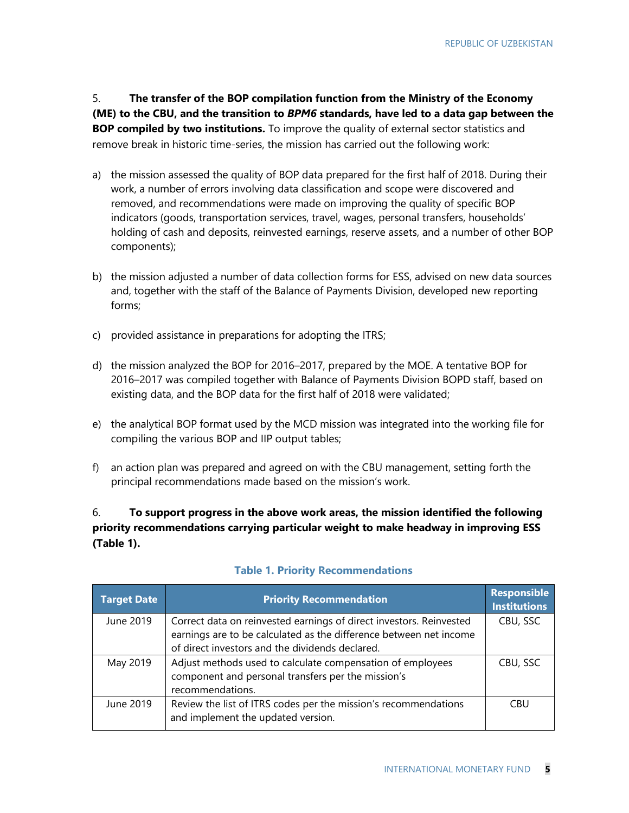5. **The transfer of the BOP compilation function from the Ministry of the Economy (ME) to the CBU, and the transition to** *BPM6* **standards, have led to a data gap between the BOP compiled by two institutions.** To improve the quality of external sector statistics and remove break in historic time-series, the mission has carried out the following work:

- a) the mission assessed the quality of BOP data prepared for the first half of 2018. During their work, a number of errors involving data classification and scope were discovered and removed, and recommendations were made on improving the quality of specific BOP indicators (goods, transportation services, travel, wages, personal transfers, households' holding of cash and deposits, reinvested earnings, reserve assets, and a number of other BOP components);
- b) the mission adjusted a number of data collection forms for ESS, advised on new data sources and, together with the staff of the Balance of Payments Division, developed new reporting forms;
- c) provided assistance in preparations for adopting the ITRS;
- d) the mission analyzed the BOP for 2016–2017, prepared by the MOE. A tentative BOP for 2016–2017 was compiled together with Balance of Payments Division BOPD staff, based on existing data, and the BOP data for the first half of 2018 were validated;
- e) the analytical BOP format used by the MCD mission was integrated into the working file for compiling the various BOP and IIP output tables;
- f) an action plan was prepared and agreed on with the CBU management, setting forth the principal recommendations made based on the mission's work.

### 6. **To support progress in the above work areas, the mission identified the following priority recommendations carrying particular weight to make headway in improving ESS (Table 1).**

| <b>Target Date</b> | <b>Priority Recommendation</b>                                                                                   | <b>Responsible</b><br><b>Institutions</b> |
|--------------------|------------------------------------------------------------------------------------------------------------------|-------------------------------------------|
| June 2019          | Correct data on reinvested earnings of direct investors. Reinvested                                              | CBU, SSC                                  |
|                    | earnings are to be calculated as the difference between net income                                               |                                           |
|                    | of direct investors and the dividends declared.                                                                  |                                           |
| May 2019           | Adjust methods used to calculate compensation of employees<br>component and personal transfers per the mission's | CBU, SSC                                  |
|                    | recommendations.                                                                                                 |                                           |
| June 2019          | Review the list of ITRS codes per the mission's recommendations<br>and implement the updated version.            | CBU                                       |

#### **Table 1. Priority Recommendations**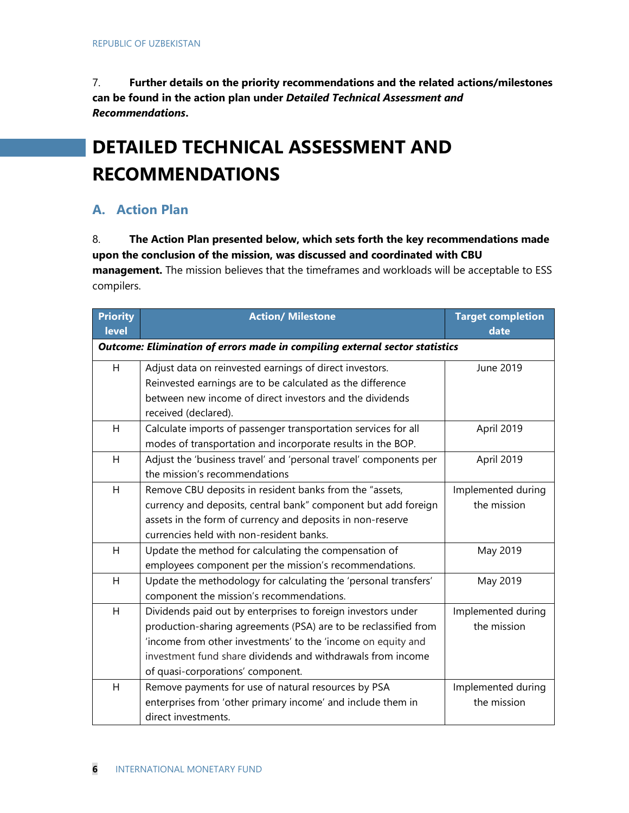7. **Further details on the priority recommendations and the related actions/milestones can be found in the action plan under** *Detailed Technical Assessment and Recommendations***.**

## **DETAILED TECHNICAL ASSESSMENT AND RECOMMENDATIONS**

## **A. Action Plan**

#### 8. **The Action Plan presented below, which sets forth the key recommendations made upon the conclusion of the mission, was discussed and coordinated with CBU**

**management.** The mission believes that the timeframes and workloads will be acceptable to ESS compilers.

| <b>Priority</b><br><b>level</b> | <b>Action/ Milestone</b>                                                    | <b>Target completion</b><br>date |
|---------------------------------|-----------------------------------------------------------------------------|----------------------------------|
|                                 | Outcome: Elimination of errors made in compiling external sector statistics |                                  |
| H                               | Adjust data on reinvested earnings of direct investors.                     | June 2019                        |
|                                 | Reinvested earnings are to be calculated as the difference                  |                                  |
|                                 | between new income of direct investors and the dividends                    |                                  |
|                                 | received (declared).                                                        |                                  |
| H                               | Calculate imports of passenger transportation services for all              | April 2019                       |
|                                 | modes of transportation and incorporate results in the BOP.                 |                                  |
| H                               | Adjust the 'business travel' and 'personal travel' components per           | April 2019                       |
|                                 | the mission's recommendations                                               |                                  |
| H                               | Remove CBU deposits in resident banks from the "assets,                     | Implemented during               |
|                                 | currency and deposits, central bank" component but add foreign              | the mission                      |
|                                 | assets in the form of currency and deposits in non-reserve                  |                                  |
|                                 | currencies held with non-resident banks.                                    |                                  |
| H                               | Update the method for calculating the compensation of                       | May 2019                         |
|                                 | employees component per the mission's recommendations.                      |                                  |
| H                               | Update the methodology for calculating the 'personal transfers'             | May 2019                         |
|                                 | component the mission's recommendations.                                    |                                  |
| H                               | Dividends paid out by enterprises to foreign investors under                | Implemented during               |
|                                 | production-sharing agreements (PSA) are to be reclassified from             | the mission                      |
|                                 | 'income from other investments' to the 'income on equity and                |                                  |
|                                 | investment fund share dividends and withdrawals from income                 |                                  |
|                                 | of quasi-corporations' component.                                           |                                  |
| H                               | Remove payments for use of natural resources by PSA                         | Implemented during               |
|                                 | enterprises from 'other primary income' and include them in                 | the mission                      |
|                                 | direct investments.                                                         |                                  |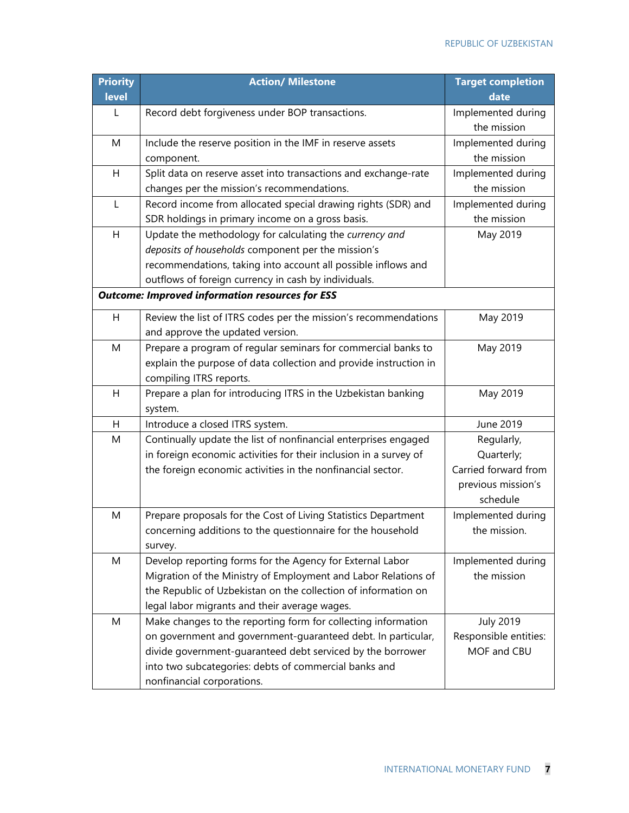| <b>Priority</b><br>level | <b>Action/ Milestone</b>                                          | <b>Target completion</b><br>date |
|--------------------------|-------------------------------------------------------------------|----------------------------------|
| L                        | Record debt forgiveness under BOP transactions.                   | Implemented during               |
|                          |                                                                   | the mission                      |
| M                        | Include the reserve position in the IMF in reserve assets         | Implemented during               |
|                          | component.                                                        | the mission                      |
| H                        | Split data on reserve asset into transactions and exchange-rate   | Implemented during               |
|                          | changes per the mission's recommendations.                        | the mission                      |
| L                        | Record income from allocated special drawing rights (SDR) and     | Implemented during               |
|                          | SDR holdings in primary income on a gross basis.                  | the mission                      |
| H                        | Update the methodology for calculating the currency and           | May 2019                         |
|                          | deposits of households component per the mission's                |                                  |
|                          | recommendations, taking into account all possible inflows and     |                                  |
|                          | outflows of foreign currency in cash by individuals.              |                                  |
|                          | <b>Outcome: Improved information resources for ESS</b>            |                                  |
| H                        | Review the list of ITRS codes per the mission's recommendations   | May 2019                         |
|                          | and approve the updated version.                                  |                                  |
| M                        | Prepare a program of regular seminars for commercial banks to     | May 2019                         |
|                          | explain the purpose of data collection and provide instruction in |                                  |
|                          | compiling ITRS reports.                                           |                                  |
| H                        | Prepare a plan for introducing ITRS in the Uzbekistan banking     | May 2019                         |
|                          | system.                                                           |                                  |
| H                        | Introduce a closed ITRS system.                                   | June 2019                        |
| M                        | Continually update the list of nonfinancial enterprises engaged   | Regularly,                       |
|                          | in foreign economic activities for their inclusion in a survey of | Quarterly;                       |
|                          | the foreign economic activities in the nonfinancial sector.       | Carried forward from             |
|                          |                                                                   | previous mission's               |
|                          |                                                                   | schedule                         |
| M                        | Prepare proposals for the Cost of Living Statistics Department    | Implemented during               |
|                          | concerning additions to the questionnaire for the household       | the mission.                     |
|                          | survey.                                                           |                                  |
| M                        | Develop reporting forms for the Agency for External Labor         | Implemented during               |
|                          | Migration of the Ministry of Employment and Labor Relations of    | the mission                      |
|                          | the Republic of Uzbekistan on the collection of information on    |                                  |
|                          | legal labor migrants and their average wages.                     |                                  |
| M                        | Make changes to the reporting form for collecting information     | <b>July 2019</b>                 |
|                          | on government and government-guaranteed debt. In particular,      | Responsible entities:            |
|                          | divide government-guaranteed debt serviced by the borrower        | MOF and CBU                      |
|                          | into two subcategories: debts of commercial banks and             |                                  |
|                          | nonfinancial corporations.                                        |                                  |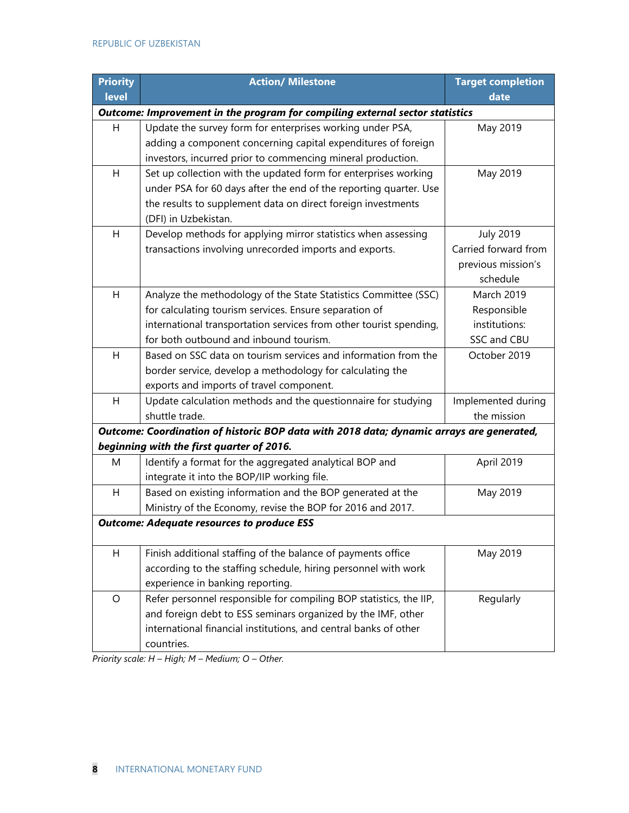| <b>Priority</b>                                                                          | <b>Action/ Milestone</b>                                                     | <b>Target completion</b> |  |  |
|------------------------------------------------------------------------------------------|------------------------------------------------------------------------------|--------------------------|--|--|
| level                                                                                    |                                                                              | date                     |  |  |
|                                                                                          | Outcome: Improvement in the program for compiling external sector statistics |                          |  |  |
| H                                                                                        | Update the survey form for enterprises working under PSA,                    | May 2019                 |  |  |
|                                                                                          | adding a component concerning capital expenditures of foreign                |                          |  |  |
|                                                                                          | investors, incurred prior to commencing mineral production.                  |                          |  |  |
| H                                                                                        | Set up collection with the updated form for enterprises working              | May 2019                 |  |  |
|                                                                                          | under PSA for 60 days after the end of the reporting quarter. Use            |                          |  |  |
|                                                                                          | the results to supplement data on direct foreign investments                 |                          |  |  |
|                                                                                          | (DFI) in Uzbekistan.                                                         |                          |  |  |
| H                                                                                        | Develop methods for applying mirror statistics when assessing                | <b>July 2019</b>         |  |  |
|                                                                                          | transactions involving unrecorded imports and exports.                       | Carried forward from     |  |  |
|                                                                                          |                                                                              | previous mission's       |  |  |
|                                                                                          |                                                                              | schedule                 |  |  |
| H                                                                                        | Analyze the methodology of the State Statistics Committee (SSC)              | March 2019               |  |  |
|                                                                                          | for calculating tourism services. Ensure separation of                       | Responsible              |  |  |
|                                                                                          | international transportation services from other tourist spending,           | institutions:            |  |  |
|                                                                                          | for both outbound and inbound tourism.                                       | SSC and CBU              |  |  |
| H                                                                                        | Based on SSC data on tourism services and information from the               | October 2019             |  |  |
|                                                                                          | border service, develop a methodology for calculating the                    |                          |  |  |
|                                                                                          | exports and imports of travel component.                                     |                          |  |  |
| H                                                                                        | Update calculation methods and the questionnaire for studying                | Implemented during       |  |  |
|                                                                                          | shuttle trade.                                                               | the mission              |  |  |
| Outcome: Coordination of historic BOP data with 2018 data; dynamic arrays are generated, |                                                                              |                          |  |  |
| beginning with the first quarter of 2016.                                                |                                                                              |                          |  |  |
| M                                                                                        | Identify a format for the aggregated analytical BOP and                      | April 2019               |  |  |
|                                                                                          | integrate it into the BOP/IIP working file.                                  |                          |  |  |
| H                                                                                        | Based on existing information and the BOP generated at the                   | May 2019                 |  |  |
|                                                                                          | Ministry of the Economy, revise the BOP for 2016 and 2017.                   |                          |  |  |
|                                                                                          | <b>Outcome: Adequate resources to produce ESS</b>                            |                          |  |  |
| H                                                                                        | Finish additional staffing of the balance of payments office                 | May 2019                 |  |  |
|                                                                                          | according to the staffing schedule, hiring personnel with work               |                          |  |  |
|                                                                                          | experience in banking reporting.                                             |                          |  |  |
| O                                                                                        | Refer personnel responsible for compiling BOP statistics, the IIP,           | Regularly                |  |  |
|                                                                                          | and foreign debt to ESS seminars organized by the IMF, other                 |                          |  |  |
|                                                                                          | international financial institutions, and central banks of other             |                          |  |  |
|                                                                                          | countries.                                                                   |                          |  |  |

*Priority scale: H – High; M – Medium; O – Other.*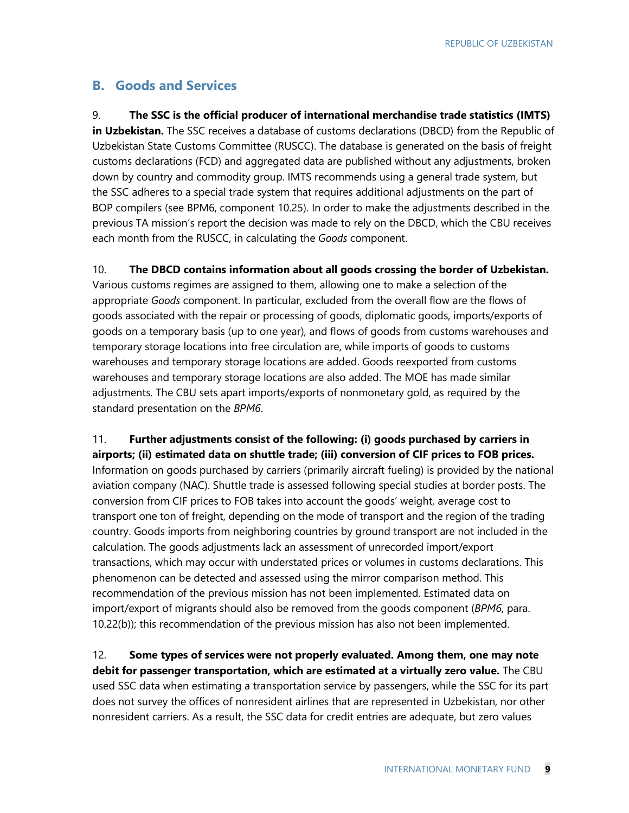### **B. Goods and Services**

9. **The SSC is the official producer of international merchandise trade statistics (IMTS) in Uzbekistan.** The SSC receives a database of customs declarations (DBCD) from the Republic of Uzbekistan State Customs Committee (RUSCC). The database is generated on the basis of freight customs declarations (FCD) and aggregated data are published without any adjustments, broken down by country and commodity group. IMTS recommends using a general trade system, but the SSC adheres to a special trade system that requires additional adjustments on the part of BOP compilers (see BPM6, component 10.25). In order to make the adjustments described in the previous TA mission's report the decision was made to rely on the DBCD, which the CBU receives each month from the RUSCC, in calculating the *Goods* component.

10. **The DBCD contains information about all goods crossing the border of Uzbekistan.** Various customs regimes are assigned to them, allowing one to make a selection of the appropriate *Goods* component. In particular, excluded from the overall flow are the flows of goods associated with the repair or processing of goods, diplomatic goods, imports/exports of goods on a temporary basis (up to one year), and flows of goods from customs warehouses and temporary storage locations into free circulation are, while imports of goods to customs warehouses and temporary storage locations are added. Goods reexported from customs warehouses and temporary storage locations are also added. The MOE has made similar adjustments. The CBU sets apart imports/exports of nonmonetary gold, as required by the standard presentation on the *BPM6*.

11. **Further adjustments consist of the following: (i) goods purchased by carriers in airports; (ii) estimated data on shuttle trade; (iii) conversion of CIF prices to FOB prices.** Information on goods purchased by carriers (primarily aircraft fueling) is provided by the national aviation company (NAC). Shuttle trade is assessed following special studies at border posts. The conversion from CIF prices to FOB takes into account the goods' weight, average cost to transport one ton of freight, depending on the mode of transport and the region of the trading country. Goods imports from neighboring countries by ground transport are not included in the calculation. The goods adjustments lack an assessment of unrecorded import/export transactions, which may occur with understated prices or volumes in customs declarations. This phenomenon can be detected and assessed using the mirror comparison method. This recommendation of the previous mission has not been implemented. Estimated data on import/export of migrants should also be removed from the goods component (*BPM6*, para. 10.22(b)); this recommendation of the previous mission has also not been implemented.

12. **Some types of services were not properly evaluated. Among them, one may note debit for passenger transportation, which are estimated at a virtually zero value.** The CBU used SSC data when estimating a transportation service by passengers, while the SSC for its part does not survey the offices of nonresident airlines that are represented in Uzbekistan, nor other nonresident carriers. As a result, the SSC data for credit entries are adequate, but zero values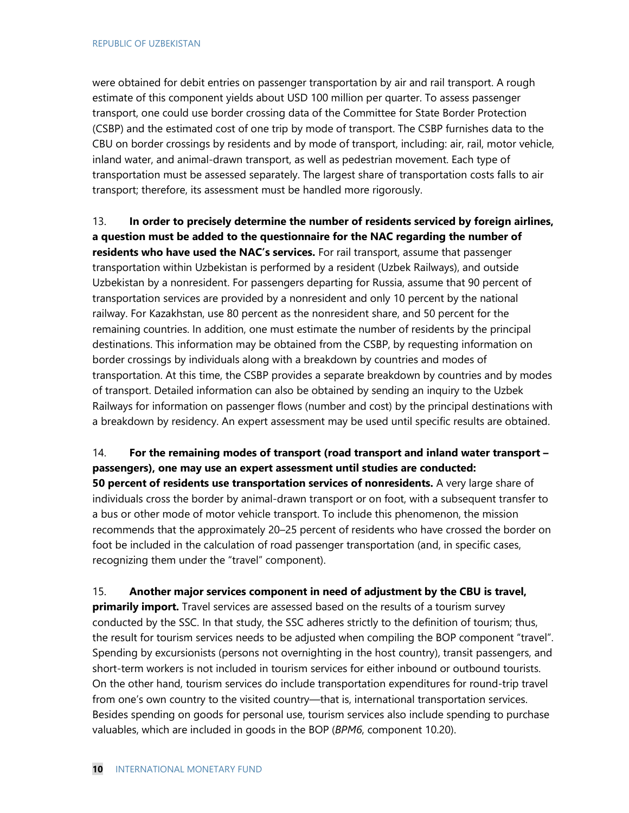were obtained for debit entries on passenger transportation by air and rail transport. A rough estimate of this component yields about USD 100 million per quarter. To assess passenger transport, one could use border crossing data of the Committee for State Border Protection (CSBP) and the estimated cost of one trip by mode of transport. The CSBP furnishes data to the CBU on border crossings by residents and by mode of transport, including: air, rail, motor vehicle, inland water, and animal-drawn transport, as well as pedestrian movement. Each type of transportation must be assessed separately. The largest share of transportation costs falls to air transport; therefore, its assessment must be handled more rigorously.

13. **In order to precisely determine the number of residents serviced by foreign airlines, a question must be added to the questionnaire for the NAC regarding the number of residents who have used the NAC's services.** For rail transport, assume that passenger transportation within Uzbekistan is performed by a resident (Uzbek Railways), and outside Uzbekistan by a nonresident. For passengers departing for Russia, assume that 90 percent of transportation services are provided by a nonresident and only 10 percent by the national railway. For Kazakhstan, use 80 percent as the nonresident share, and 50 percent for the remaining countries. In addition, one must estimate the number of residents by the principal destinations. This information may be obtained from the CSBP, by requesting information on border crossings by individuals along with a breakdown by countries and modes of transportation. At this time, the CSBP provides a separate breakdown by countries and by modes of transport. Detailed information can also be obtained by sending an inquiry to the Uzbek Railways for information on passenger flows (number and cost) by the principal destinations with a breakdown by residency. An expert assessment may be used until specific results are obtained.

### 14. **For the remaining modes of transport (road transport and inland water transport – passengers), one may use an expert assessment until studies are conducted:**

**50 percent of residents use transportation services of nonresidents.** A very large share of individuals cross the border by animal-drawn transport or on foot, with a subsequent transfer to a bus or other mode of motor vehicle transport. To include this phenomenon, the mission recommends that the approximately 20–25 percent of residents who have crossed the border on foot be included in the calculation of road passenger transportation (and, in specific cases, recognizing them under the "travel" component).

15. **Another major services component in need of adjustment by the CBU is travel, primarily import.** Travel services are assessed based on the results of a tourism survey conducted by the SSC. In that study, the SSC adheres strictly to the definition of tourism; thus, the result for tourism services needs to be adjusted when compiling the BOP component "travel". Spending by excursionists (persons not overnighting in the host country), transit passengers, and short-term workers is not included in tourism services for either inbound or outbound tourists. On the other hand, tourism services do include transportation expenditures for round-trip travel from one's own country to the visited country—that is, international transportation services. Besides spending on goods for personal use, tourism services also include spending to purchase valuables, which are included in goods in the BOP (*BPM6*, component 10.20).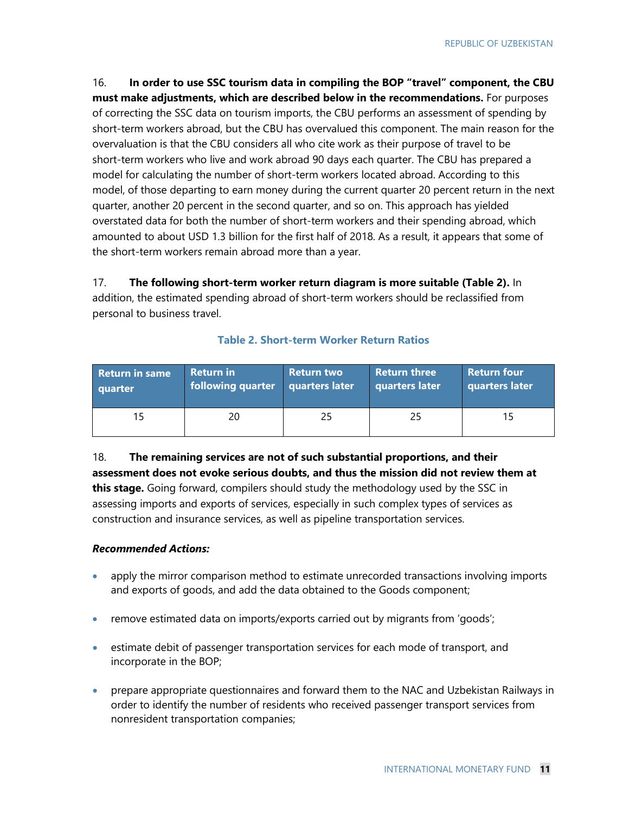16. **In order to use SSC tourism data in compiling the BOP "travel" component, the CBU must make adjustments, which are described below in the recommendations.** For purposes of correcting the SSC data on tourism imports, the CBU performs an assessment of spending by short-term workers abroad, but the CBU has overvalued this component. The main reason for the overvaluation is that the CBU considers all who cite work as their purpose of travel to be short-term workers who live and work abroad 90 days each quarter. The CBU has prepared a model for calculating the number of short-term workers located abroad. According to this model, of those departing to earn money during the current quarter 20 percent return in the next quarter, another 20 percent in the second quarter, and so on. This approach has yielded overstated data for both the number of short-term workers and their spending abroad, which amounted to about USD 1.3 billion for the first half of 2018. As a result, it appears that some of the short-term workers remain abroad more than a year.

17. **The following short-term worker return diagram is more suitable (Table 2).** In addition, the estimated spending abroad of short-term workers should be reclassified from personal to business travel.

| <b>Return in same</b> | <b>Return in</b>  | <b>Return two</b> | <b>Return three</b> | <b>Return four</b> |
|-----------------------|-------------------|-------------------|---------------------|--------------------|
| quarter               | following quarter | quarters later    | quarters later      | quarters later     |
| 15                    | 20                | 25                | 25                  |                    |

#### **Table 2. Short-term Worker Return Ratios**

18. **The remaining services are not of such substantial proportions, and their assessment does not evoke serious doubts, and thus the mission did not review them at this stage.** Going forward, compilers should study the methodology used by the SSC in assessing imports and exports of services, especially in such complex types of services as construction and insurance services, as well as pipeline transportation services.

#### *Recommended Actions:*

- apply the mirror comparison method to estimate unrecorded transactions involving imports and exports of goods, and add the data obtained to the Goods component;
- remove estimated data on imports/exports carried out by migrants from 'goods';
- estimate debit of passenger transportation services for each mode of transport, and incorporate in the BOP;
- prepare appropriate questionnaires and forward them to the NAC and Uzbekistan Railways in order to identify the number of residents who received passenger transport services from nonresident transportation companies;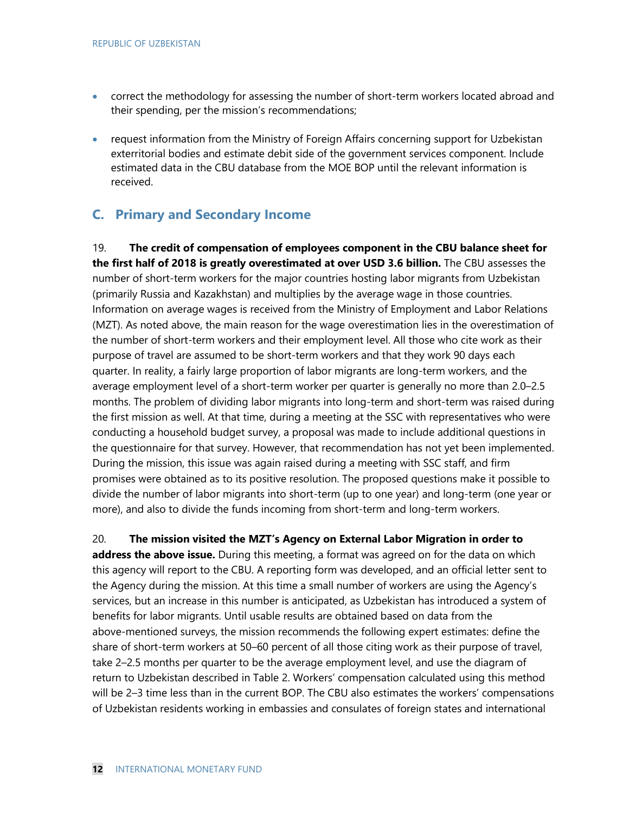- correct the methodology for assessing the number of short-term workers located abroad and their spending, per the mission's recommendations;
- request information from the Ministry of Foreign Affairs concerning support for Uzbekistan exterritorial bodies and estimate debit side of the government services component. Include estimated data in the CBU database from the MOE BOP until the relevant information is received.

## **C. Primary and Secondary Income**

19. **The credit of compensation of employees component in the CBU balance sheet for the first half of 2018 is greatly overestimated at over USD 3.6 billion.** The CBU assesses the number of short-term workers for the major countries hosting labor migrants from Uzbekistan (primarily Russia and Kazakhstan) and multiplies by the average wage in those countries. Information on average wages is received from the Ministry of Employment and Labor Relations (MZT). As noted above, the main reason for the wage overestimation lies in the overestimation of the number of short-term workers and their employment level. All those who cite work as their purpose of travel are assumed to be short-term workers and that they work 90 days each quarter. In reality, a fairly large proportion of labor migrants are long-term workers, and the average employment level of a short-term worker per quarter is generally no more than 2.0–2.5 months. The problem of dividing labor migrants into long-term and short-term was raised during the first mission as well. At that time, during a meeting at the SSC with representatives who were conducting a household budget survey, a proposal was made to include additional questions in the questionnaire for that survey. However, that recommendation has not yet been implemented. During the mission, this issue was again raised during a meeting with SSC staff, and firm promises were obtained as to its positive resolution. The proposed questions make it possible to divide the number of labor migrants into short-term (up to one year) and long-term (one year or more), and also to divide the funds incoming from short-term and long-term workers.

#### 20. **The mission visited the MZT's Agency on External Labor Migration in order to**

**address the above issue.** During this meeting, a format was agreed on for the data on which this agency will report to the CBU. A reporting form was developed, and an official letter sent to the Agency during the mission. At this time a small number of workers are using the Agency's services, but an increase in this number is anticipated, as Uzbekistan has introduced a system of benefits for labor migrants. Until usable results are obtained based on data from the above-mentioned surveys, the mission recommends the following expert estimates: define the share of short-term workers at 50–60 percent of all those citing work as their purpose of travel, take 2–2.5 months per quarter to be the average employment level, and use the diagram of return to Uzbekistan described in Table 2. Workers' compensation calculated using this method will be 2–3 time less than in the current BOP. The CBU also estimates the workers' compensations of Uzbekistan residents working in embassies and consulates of foreign states and international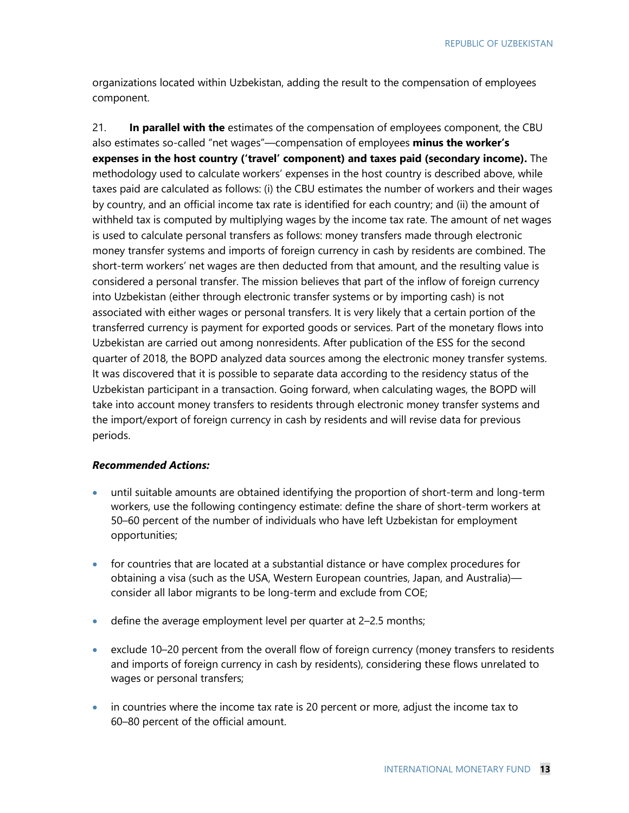organizations located within Uzbekistan, adding the result to the compensation of employees component.

21. **In parallel with the** estimates of the compensation of employees component, the CBU also estimates so-called "net wages"—compensation of employees **minus the worker's expenses in the host country ('travel' component) and taxes paid (secondary income).** The methodology used to calculate workers' expenses in the host country is described above, while taxes paid are calculated as follows: (i) the CBU estimates the number of workers and their wages by country, and an official income tax rate is identified for each country; and (ii) the amount of withheld tax is computed by multiplying wages by the income tax rate. The amount of net wages is used to calculate personal transfers as follows: money transfers made through electronic money transfer systems and imports of foreign currency in cash by residents are combined. The short-term workers' net wages are then deducted from that amount, and the resulting value is considered a personal transfer. The mission believes that part of the inflow of foreign currency into Uzbekistan (either through electronic transfer systems or by importing cash) is not associated with either wages or personal transfers. It is very likely that a certain portion of the transferred currency is payment for exported goods or services. Part of the monetary flows into Uzbekistan are carried out among nonresidents. After publication of the ESS for the second quarter of 2018, the BOPD analyzed data sources among the electronic money transfer systems. It was discovered that it is possible to separate data according to the residency status of the Uzbekistan participant in a transaction. Going forward, when calculating wages, the BOPD will take into account money transfers to residents through electronic money transfer systems and the import/export of foreign currency in cash by residents and will revise data for previous periods.

#### *Recommended Actions:*

- until suitable amounts are obtained identifying the proportion of short-term and long-term workers, use the following contingency estimate: define the share of short-term workers at 50–60 percent of the number of individuals who have left Uzbekistan for employment opportunities;
- for countries that are located at a substantial distance or have complex procedures for obtaining a visa (such as the USA, Western European countries, Japan, and Australia) consider all labor migrants to be long-term and exclude from COE;
- define the average employment level per quarter at 2-2.5 months;
- exclude 10–20 percent from the overall flow of foreign currency (money transfers to residents and imports of foreign currency in cash by residents), considering these flows unrelated to wages or personal transfers;
- in countries where the income tax rate is 20 percent or more, adjust the income tax to 60–80 percent of the official amount.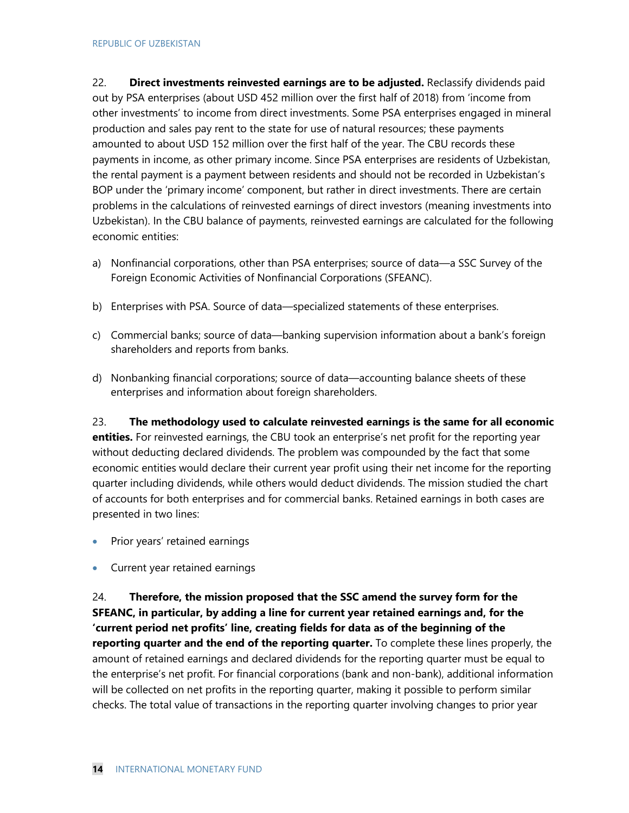22. **Direct investments reinvested earnings are to be adjusted.** Reclassify dividends paid out by PSA enterprises (about USD 452 million over the first half of 2018) from 'income from other investments' to income from direct investments. Some PSA enterprises engaged in mineral production and sales pay rent to the state for use of natural resources; these payments amounted to about USD 152 million over the first half of the year. The CBU records these payments in income, as other primary income. Since PSA enterprises are residents of Uzbekistan, the rental payment is a payment between residents and should not be recorded in Uzbekistan's BOP under the 'primary income' component, but rather in direct investments. There are certain problems in the calculations of reinvested earnings of direct investors (meaning investments into Uzbekistan). In the CBU balance of payments, reinvested earnings are calculated for the following economic entities:

- a) Nonfinancial corporations, other than PSA enterprises; source of data—a SSC Survey of the Foreign Economic Activities of Nonfinancial Corporations (SFEANC).
- b) Enterprises with PSA. Source of data—specialized statements of these enterprises.
- c) Commercial banks; source of data—banking supervision information about a bank's foreign shareholders and reports from banks.
- d) Nonbanking financial corporations; source of data—accounting balance sheets of these enterprises and information about foreign shareholders.

23. **The methodology used to calculate reinvested earnings is the same for all economic entities.** For reinvested earnings, the CBU took an enterprise's net profit for the reporting year without deducting declared dividends. The problem was compounded by the fact that some economic entities would declare their current year profit using their net income for the reporting quarter including dividends, while others would deduct dividends. The mission studied the chart of accounts for both enterprises and for commercial banks. Retained earnings in both cases are presented in two lines:

- Prior years' retained earnings
- Current year retained earnings

24. **Therefore, the mission proposed that the SSC amend the survey form for the SFEANC, in particular, by adding a line for current year retained earnings and, for the 'current period net profits' line, creating fields for data as of the beginning of the reporting quarter and the end of the reporting quarter.** To complete these lines properly, the amount of retained earnings and declared dividends for the reporting quarter must be equal to the enterprise's net profit. For financial corporations (bank and non-bank), additional information will be collected on net profits in the reporting quarter, making it possible to perform similar checks. The total value of transactions in the reporting quarter involving changes to prior year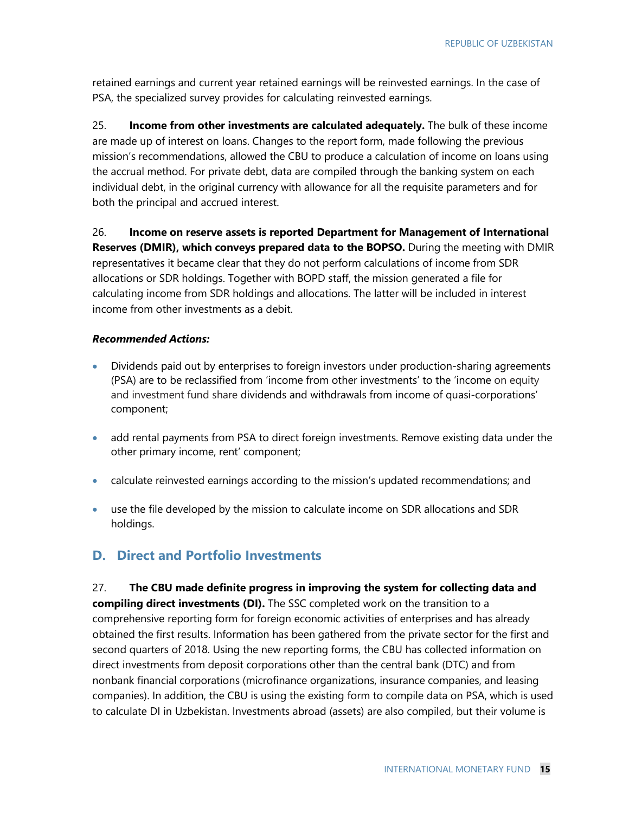retained earnings and current year retained earnings will be reinvested earnings. In the case of PSA, the specialized survey provides for calculating reinvested earnings.

25. **Income from other investments are calculated adequately.** The bulk of these income are made up of interest on loans. Changes to the report form, made following the previous mission's recommendations, allowed the CBU to produce a calculation of income on loans using the accrual method. For private debt, data are compiled through the banking system on each individual debt, in the original currency with allowance for all the requisite parameters and for both the principal and accrued interest.

26. **Income on reserve assets is reported Department for Management of International Reserves (DMIR), which conveys prepared data to the BOPSO.** During the meeting with DMIR representatives it became clear that they do not perform calculations of income from SDR allocations or SDR holdings. Together with BOPD staff, the mission generated a file for calculating income from SDR holdings and allocations. The latter will be included in interest income from other investments as a debit.

#### *Recommended Actions:*

- Dividends paid out by enterprises to foreign investors under production-sharing agreements (PSA) are to be reclassified from 'income from other investments' to the 'income on equity and investment fund share dividends and withdrawals from income of quasi-corporations' component;
- add rental payments from PSA to direct foreign investments. Remove existing data under the other primary income, rent' component;
- calculate reinvested earnings according to the mission's updated recommendations; and
- use the file developed by the mission to calculate income on SDR allocations and SDR holdings.

### **D. Direct and Portfolio Investments**

27. **The CBU made definite progress in improving the system for collecting data and compiling direct investments (DI).** The SSC completed work on the transition to a comprehensive reporting form for foreign economic activities of enterprises and has already obtained the first results. Information has been gathered from the private sector for the first and second quarters of 2018. Using the new reporting forms, the CBU has collected information on direct investments from deposit corporations other than the central bank (DTC) and from nonbank financial corporations (microfinance organizations, insurance companies, and leasing companies). In addition, the CBU is using the existing form to compile data on PSA, which is used to calculate DI in Uzbekistan. Investments abroad (assets) are also compiled, but their volume is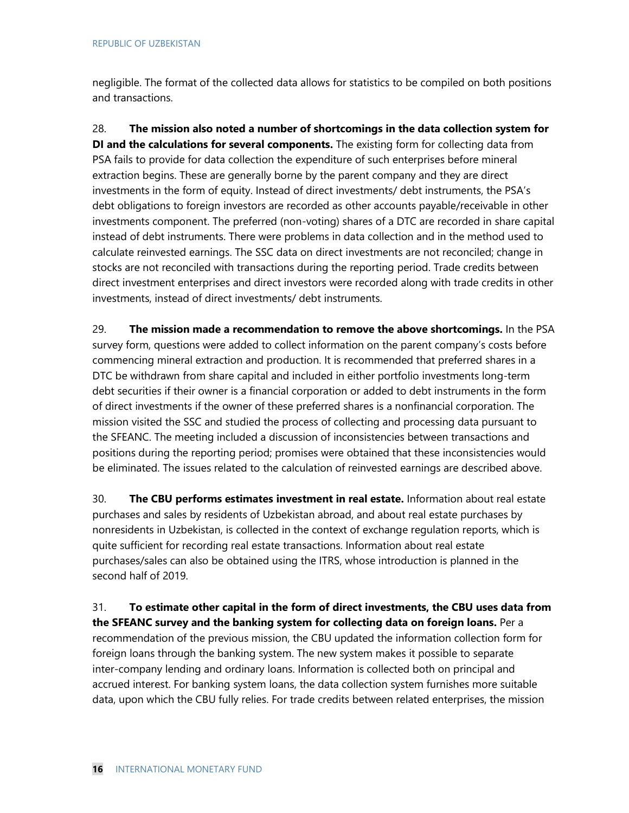negligible. The format of the collected data allows for statistics to be compiled on both positions and transactions.

28. **The mission also noted a number of shortcomings in the data collection system for DI and the calculations for several components.** The existing form for collecting data from PSA fails to provide for data collection the expenditure of such enterprises before mineral extraction begins. These are generally borne by the parent company and they are direct investments in the form of equity. Instead of direct investments/ debt instruments, the PSA's debt obligations to foreign investors are recorded as other accounts payable/receivable in other investments component. The preferred (non-voting) shares of a DTC are recorded in share capital instead of debt instruments. There were problems in data collection and in the method used to calculate reinvested earnings. The SSC data on direct investments are not reconciled; change in stocks are not reconciled with transactions during the reporting period. Trade credits between direct investment enterprises and direct investors were recorded along with trade credits in other investments, instead of direct investments/ debt instruments.

29. **The mission made a recommendation to remove the above shortcomings.** In the PSA survey form, questions were added to collect information on the parent company's costs before commencing mineral extraction and production. It is recommended that preferred shares in a DTC be withdrawn from share capital and included in either portfolio investments long-term debt securities if their owner is a financial corporation or added to debt instruments in the form of direct investments if the owner of these preferred shares is a nonfinancial corporation. The mission visited the SSC and studied the process of collecting and processing data pursuant to the SFEANC. The meeting included a discussion of inconsistencies between transactions and positions during the reporting period; promises were obtained that these inconsistencies would be eliminated. The issues related to the calculation of reinvested earnings are described above.

30. **The CBU performs estimates investment in real estate.** Information about real estate purchases and sales by residents of Uzbekistan abroad, and about real estate purchases by nonresidents in Uzbekistan, is collected in the context of exchange regulation reports, which is quite sufficient for recording real estate transactions. Information about real estate purchases/sales can also be obtained using the ITRS, whose introduction is planned in the second half of 2019.

31. **To estimate other capital in the form of direct investments, the CBU uses data from the SFEANC survey and the banking system for collecting data on foreign loans.** Per a recommendation of the previous mission, the CBU updated the information collection form for foreign loans through the banking system. The new system makes it possible to separate inter-company lending and ordinary loans. Information is collected both on principal and accrued interest. For banking system loans, the data collection system furnishes more suitable data, upon which the CBU fully relies. For trade credits between related enterprises, the mission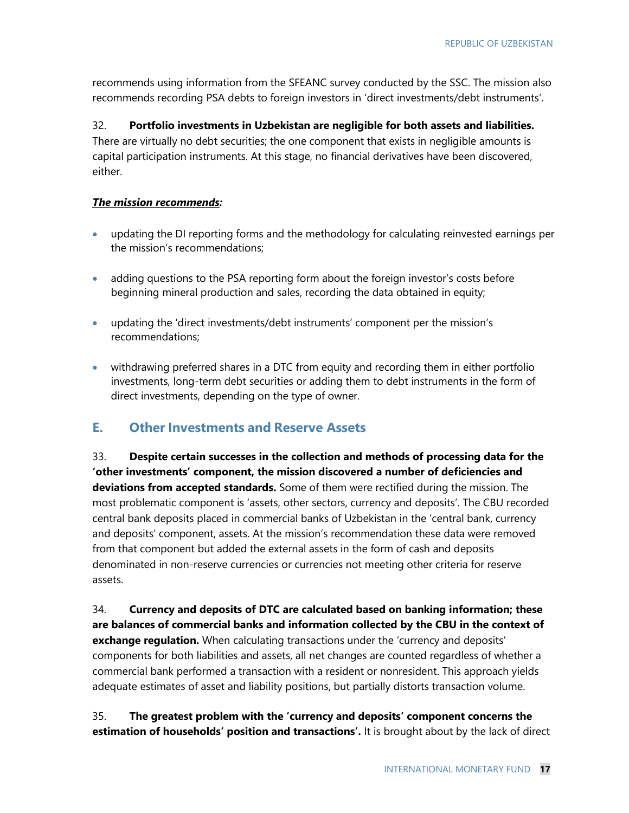recommends using information from the SFEANC survey conducted by the SSC. The mission also recommends recording PSA debts to foreign investors in 'direct investments/debt instruments'.

32. **Portfolio investments in Uzbekistan are negligible for both assets and liabilities.** There are virtually no debt securities; the one component that exists in negligible amounts is capital participation instruments. At this stage, no financial derivatives have been discovered, either.

#### *The mission recommends:*

- updating the DI reporting forms and the methodology for calculating reinvested earnings per the mission's recommendations;
- adding questions to the PSA reporting form about the foreign investor's costs before beginning mineral production and sales, recording the data obtained in equity;
- updating the 'direct investments/debt instruments' component per the mission's recommendations;
- withdrawing preferred shares in a DTC from equity and recording them in either portfolio investments, long-term debt securities or adding them to debt instruments in the form of direct investments, depending on the type of owner.

### **E. Other Investments and Reserve Assets**

33. **Despite certain successes in the collection and methods of processing data for the 'other investments' component, the mission discovered a number of deficiencies and deviations from accepted standards.** Some of them were rectified during the mission. The most problematic component is 'assets, other sectors, currency and deposits'. The CBU recorded central bank deposits placed in commercial banks of Uzbekistan in the 'central bank, currency and deposits' component, assets. At the mission's recommendation these data were removed from that component but added the external assets in the form of cash and deposits denominated in non-reserve currencies or currencies not meeting other criteria for reserve assets.

34. **Currency and deposits of DTC are calculated based on banking information; these are balances of commercial banks and information collected by the CBU in the context of exchange regulation.** When calculating transactions under the 'currency and deposits' components for both liabilities and assets, all net changes are counted regardless of whether a commercial bank performed a transaction with a resident or nonresident. This approach yields adequate estimates of asset and liability positions, but partially distorts transaction volume.

35. **The greatest problem with the 'currency and deposits' component concerns the estimation of households' position and transactions'.** It is brought about by the lack of direct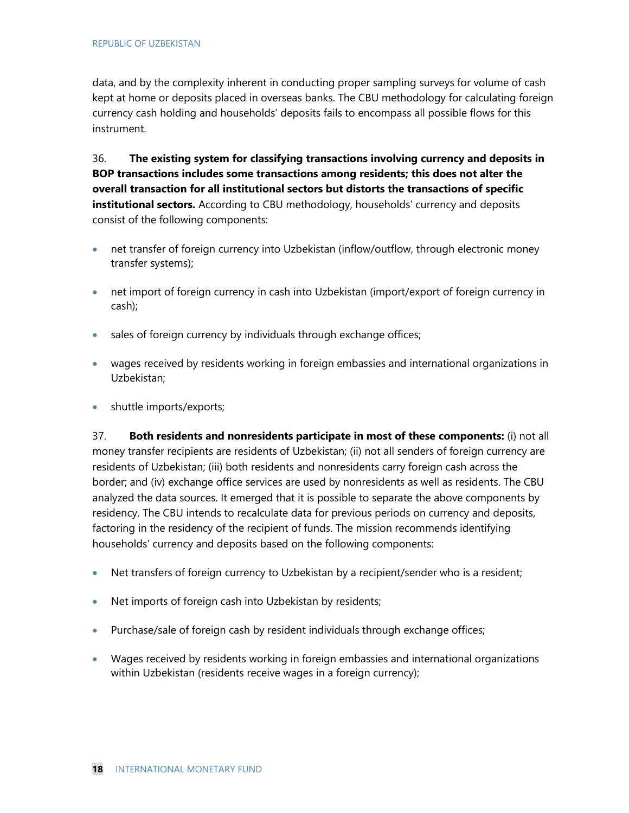data, and by the complexity inherent in conducting proper sampling surveys for volume of cash kept at home or deposits placed in overseas banks. The CBU methodology for calculating foreign currency cash holding and households' deposits fails to encompass all possible flows for this instrument.

36. **The existing system for classifying transactions involving currency and deposits in BOP transactions includes some transactions among residents; this does not alter the overall transaction for all institutional sectors but distorts the transactions of specific institutional sectors.** According to CBU methodology, households' currency and deposits consist of the following components:

- net transfer of foreign currency into Uzbekistan (inflow/outflow, through electronic money transfer systems);
- net import of foreign currency in cash into Uzbekistan (import/export of foreign currency in cash);
- sales of foreign currency by individuals through exchange offices;
- wages received by residents working in foreign embassies and international organizations in Uzbekistan;
- shuttle imports/exports;

37. **Both residents and nonresidents participate in most of these components:** (i) not all money transfer recipients are residents of Uzbekistan; (ii) not all senders of foreign currency are residents of Uzbekistan; (iii) both residents and nonresidents carry foreign cash across the border; and (iv) exchange office services are used by nonresidents as well as residents. The CBU analyzed the data sources. It emerged that it is possible to separate the above components by residency. The CBU intends to recalculate data for previous periods on currency and deposits, factoring in the residency of the recipient of funds. The mission recommends identifying households' currency and deposits based on the following components:

- Net transfers of foreign currency to Uzbekistan by a recipient/sender who is a resident;
- Net imports of foreign cash into Uzbekistan by residents;
- Purchase/sale of foreign cash by resident individuals through exchange offices;
- Wages received by residents working in foreign embassies and international organizations within Uzbekistan (residents receive wages in a foreign currency);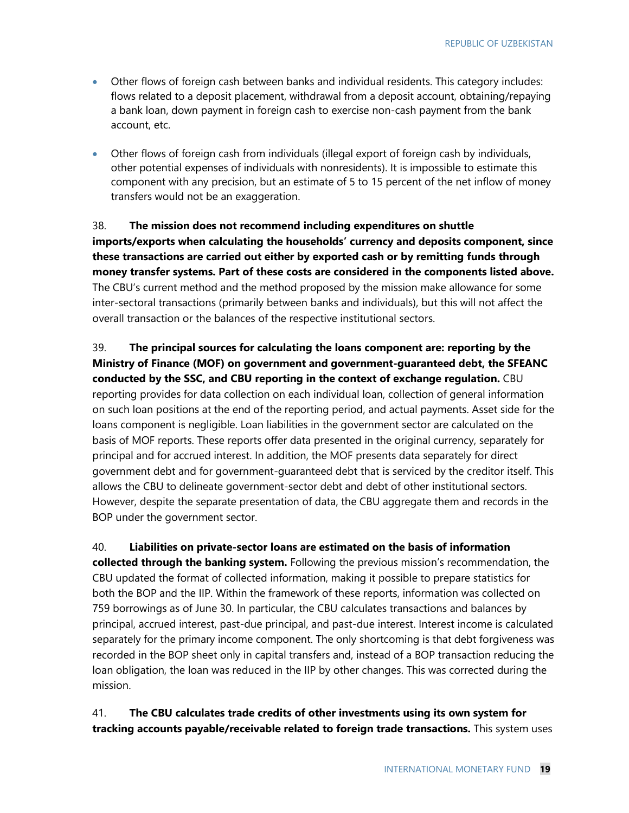- Other flows of foreign cash between banks and individual residents. This category includes: flows related to a deposit placement, withdrawal from a deposit account, obtaining/repaying a bank loan, down payment in foreign cash to exercise non-cash payment from the bank account, etc.
- Other flows of foreign cash from individuals (illegal export of foreign cash by individuals, other potential expenses of individuals with nonresidents). It is impossible to estimate this component with any precision, but an estimate of 5 to 15 percent of the net inflow of money transfers would not be an exaggeration.

### 38. **The mission does not recommend including expenditures on shuttle imports/exports when calculating the households' currency and deposits component, since these transactions are carried out either by exported cash or by remitting funds through money transfer systems. Part of these costs are considered in the components listed above.** The CBU's current method and the method proposed by the mission make allowance for some inter-sectoral transactions (primarily between banks and individuals), but this will not affect the overall transaction or the balances of the respective institutional sectors.

39. **The principal sources for calculating the loans component are: reporting by the Ministry of Finance (MOF) on government and government-guaranteed debt, the SFEANC conducted by the SSC, and CBU reporting in the context of exchange regulation.** CBU reporting provides for data collection on each individual loan, collection of general information on such loan positions at the end of the reporting period, and actual payments. Asset side for the loans component is negligible. Loan liabilities in the government sector are calculated on the basis of MOF reports. These reports offer data presented in the original currency, separately for principal and for accrued interest. In addition, the MOF presents data separately for direct government debt and for government-guaranteed debt that is serviced by the creditor itself. This allows the CBU to delineate government-sector debt and debt of other institutional sectors. However, despite the separate presentation of data, the CBU aggregate them and records in the BOP under the government sector.

40. **Liabilities on private-sector loans are estimated on the basis of information collected through the banking system.** Following the previous mission's recommendation, the CBU updated the format of collected information, making it possible to prepare statistics for both the BOP and the IIP. Within the framework of these reports, information was collected on 759 borrowings as of June 30. In particular, the CBU calculates transactions and balances by principal, accrued interest, past-due principal, and past-due interest. Interest income is calculated separately for the primary income component. The only shortcoming is that debt forgiveness was recorded in the BOP sheet only in capital transfers and, instead of a BOP transaction reducing the loan obligation, the loan was reduced in the IIP by other changes. This was corrected during the mission.

#### 41. **The CBU calculates trade credits of other investments using its own system for tracking accounts payable/receivable related to foreign trade transactions.** This system uses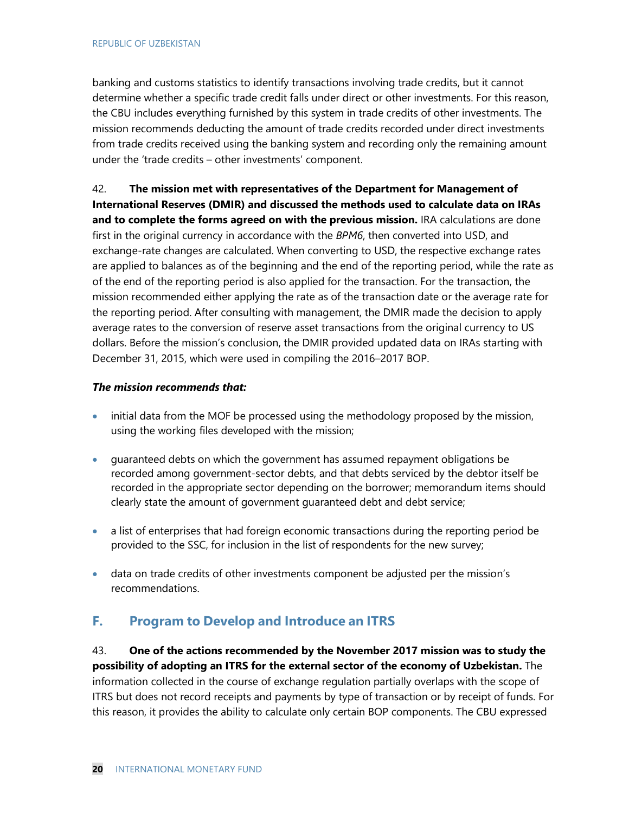banking and customs statistics to identify transactions involving trade credits, but it cannot determine whether a specific trade credit falls under direct or other investments. For this reason, the CBU includes everything furnished by this system in trade credits of other investments. The mission recommends deducting the amount of trade credits recorded under direct investments from trade credits received using the banking system and recording only the remaining amount under the 'trade credits – other investments' component.

42. **The mission met with representatives of the Department for Management of International Reserves (DMIR) and discussed the methods used to calculate data on IRAs and to complete the forms agreed on with the previous mission.** IRA calculations are done first in the original currency in accordance with the *BPM6*, then converted into USD, and exchange-rate changes are calculated. When converting to USD, the respective exchange rates are applied to balances as of the beginning and the end of the reporting period, while the rate as of the end of the reporting period is also applied for the transaction. For the transaction, the mission recommended either applying the rate as of the transaction date or the average rate for the reporting period. After consulting with management, the DMIR made the decision to apply average rates to the conversion of reserve asset transactions from the original currency to US dollars. Before the mission's conclusion, the DMIR provided updated data on IRAs starting with December 31, 2015, which were used in compiling the 2016–2017 BOP.

#### *The mission recommends that:*

- initial data from the MOF be processed using the methodology proposed by the mission, using the working files developed with the mission;
- guaranteed debts on which the government has assumed repayment obligations be recorded among government-sector debts, and that debts serviced by the debtor itself be recorded in the appropriate sector depending on the borrower; memorandum items should clearly state the amount of government guaranteed debt and debt service;
- a list of enterprises that had foreign economic transactions during the reporting period be provided to the SSC, for inclusion in the list of respondents for the new survey;
- data on trade credits of other investments component be adjusted per the mission's recommendations.

### **F. Program to Develop and Introduce an ITRS**

43. **One of the actions recommended by the November 2017 mission was to study the possibility of adopting an ITRS for the external sector of the economy of Uzbekistan.** The information collected in the course of exchange regulation partially overlaps with the scope of ITRS but does not record receipts and payments by type of transaction or by receipt of funds. For this reason, it provides the ability to calculate only certain BOP components. The CBU expressed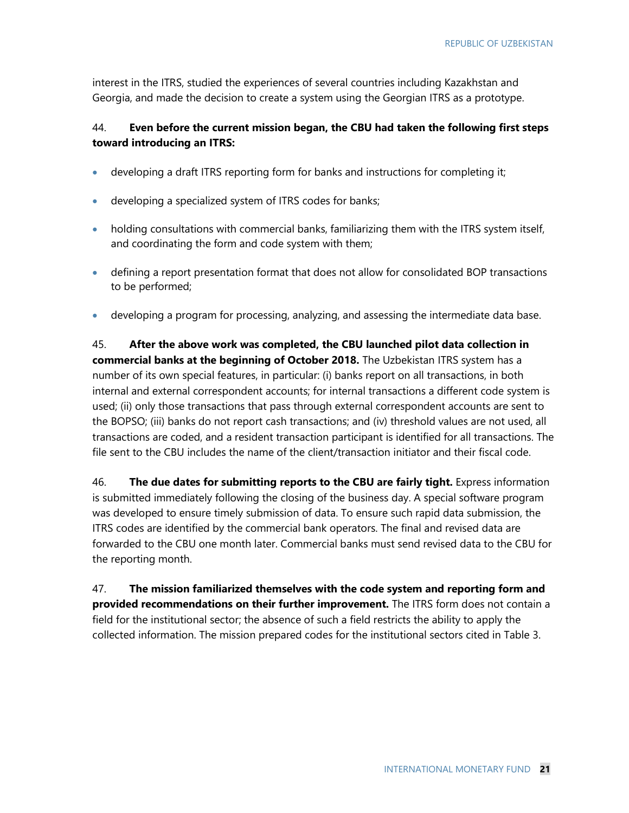interest in the ITRS, studied the experiences of several countries including Kazakhstan and Georgia, and made the decision to create a system using the Georgian ITRS as a prototype.

#### 44. **Even before the current mission began, the CBU had taken the following first steps toward introducing an ITRS:**

- developing a draft ITRS reporting form for banks and instructions for completing it;
- developing a specialized system of ITRS codes for banks;
- holding consultations with commercial banks, familiarizing them with the ITRS system itself, and coordinating the form and code system with them;
- defining a report presentation format that does not allow for consolidated BOP transactions to be performed;
- developing a program for processing, analyzing, and assessing the intermediate data base.

45. **After the above work was completed, the CBU launched pilot data collection in commercial banks at the beginning of October 2018.** The Uzbekistan ITRS system has a number of its own special features, in particular: (i) banks report on all transactions, in both internal and external correspondent accounts; for internal transactions a different code system is used; (ii) only those transactions that pass through external correspondent accounts are sent to the BOPSO; (iii) banks do not report cash transactions; and (iv) threshold values are not used, all transactions are coded, and a resident transaction participant is identified for all transactions. The file sent to the CBU includes the name of the client/transaction initiator and their fiscal code.

46. **The due dates for submitting reports to the CBU are fairly tight.** Express information is submitted immediately following the closing of the business day. A special software program was developed to ensure timely submission of data. To ensure such rapid data submission, the ITRS codes are identified by the commercial bank operators. The final and revised data are forwarded to the CBU one month later. Commercial banks must send revised data to the CBU for the reporting month.

47. **The mission familiarized themselves with the code system and reporting form and provided recommendations on their further improvement.** The ITRS form does not contain a field for the institutional sector; the absence of such a field restricts the ability to apply the collected information. The mission prepared codes for the institutional sectors cited in Table 3.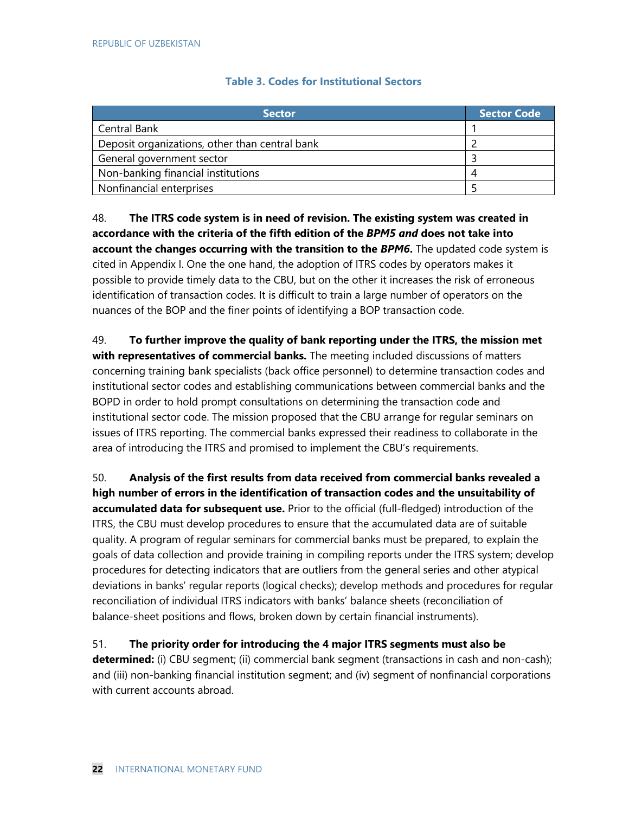#### **Table 3. Codes for Institutional Sectors**

| <b>Sector</b>                                  | <b>Sector Code</b> |
|------------------------------------------------|--------------------|
| Central Bank                                   |                    |
| Deposit organizations, other than central bank |                    |
| General government sector                      |                    |
| Non-banking financial institutions             |                    |
| Nonfinancial enterprises                       |                    |

48. **The ITRS code system is in need of revision. The existing system was created in accordance with the criteria of the fifth edition of the** *BPM5 and* **does not take into account the changes occurring with the transition to the** *BPM6***.** The updated code system is cited in Appendix I. One the one hand, the adoption of ITRS codes by operators makes it possible to provide timely data to the CBU, but on the other it increases the risk of erroneous identification of transaction codes. It is difficult to train a large number of operators on the nuances of the BOP and the finer points of identifying a BOP transaction code.

49. **To further improve the quality of bank reporting under the ITRS, the mission met with representatives of commercial banks.** The meeting included discussions of matters concerning training bank specialists (back office personnel) to determine transaction codes and institutional sector codes and establishing communications between commercial banks and the BOPD in order to hold prompt consultations on determining the transaction code and institutional sector code. The mission proposed that the CBU arrange for regular seminars on issues of ITRS reporting. The commercial banks expressed their readiness to collaborate in the area of introducing the ITRS and promised to implement the CBU's requirements.

50. **Analysis of the first results from data received from commercial banks revealed a high number of errors in the identification of transaction codes and the unsuitability of accumulated data for subsequent use.** Prior to the official (full-fledged) introduction of the ITRS, the CBU must develop procedures to ensure that the accumulated data are of suitable quality. A program of regular seminars for commercial banks must be prepared, to explain the goals of data collection and provide training in compiling reports under the ITRS system; develop procedures for detecting indicators that are outliers from the general series and other atypical deviations in banks' regular reports (logical checks); develop methods and procedures for regular reconciliation of individual ITRS indicators with banks' balance sheets (reconciliation of balance-sheet positions and flows, broken down by certain financial instruments).

51. **The priority order for introducing the 4 major ITRS segments must also be determined:** (i) CBU segment; (ii) commercial bank segment (transactions in cash and non-cash); and (iii) non-banking financial institution segment; and (iv) segment of nonfinancial corporations with current accounts abroad.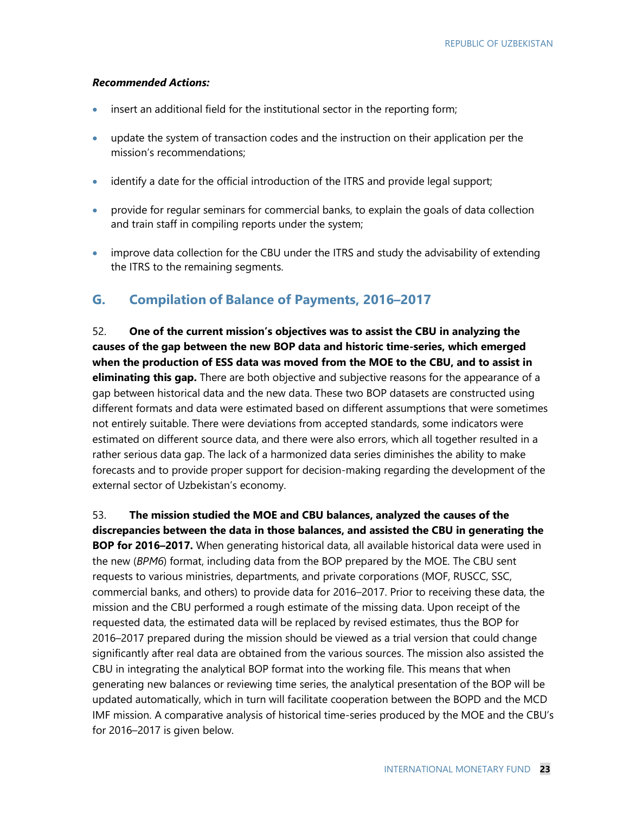#### *Recommended Actions:*

- insert an additional field for the institutional sector in the reporting form;
- update the system of transaction codes and the instruction on their application per the mission's recommendations;
- identify a date for the official introduction of the ITRS and provide legal support;
- provide for regular seminars for commercial banks, to explain the goals of data collection and train staff in compiling reports under the system;
- improve data collection for the CBU under the ITRS and study the advisability of extending the ITRS to the remaining segments.

## **G. Compilation of Balance of Payments, 2016–2017**

52. **One of the current mission's objectives was to assist the CBU in analyzing the causes of the gap between the new BOP data and historic time-series, which emerged when the production of ESS data was moved from the MOE to the CBU, and to assist in eliminating this gap.** There are both objective and subjective reasons for the appearance of a gap between historical data and the new data. These two BOP datasets are constructed using different formats and data were estimated based on different assumptions that were sometimes not entirely suitable. There were deviations from accepted standards, some indicators were estimated on different source data, and there were also errors, which all together resulted in a rather serious data gap. The lack of a harmonized data series diminishes the ability to make forecasts and to provide proper support for decision-making regarding the development of the external sector of Uzbekistan's economy.

53. **The mission studied the MOE and CBU balances, analyzed the causes of the discrepancies between the data in those balances, and assisted the CBU in generating the BOP for 2016–2017.** When generating historical data, all available historical data were used in the new (*BPM6*) format, including data from the BOP prepared by the MOE. The CBU sent requests to various ministries, departments, and private corporations (MOF, RUSCC, SSC, commercial banks, and others) to provide data for 2016–2017. Prior to receiving these data, the mission and the CBU performed a rough estimate of the missing data. Upon receipt of the requested data, the estimated data will be replaced by revised estimates, thus the BOP for 2016–2017 prepared during the mission should be viewed as a trial version that could change significantly after real data are obtained from the various sources. The mission also assisted the CBU in integrating the analytical BOP format into the working file. This means that when generating new balances or reviewing time series, the analytical presentation of the BOP will be updated automatically, which in turn will facilitate cooperation between the BOPD and the MCD IMF mission. A comparative analysis of historical time-series produced by the MOE and the CBU's for 2016–2017 is given below.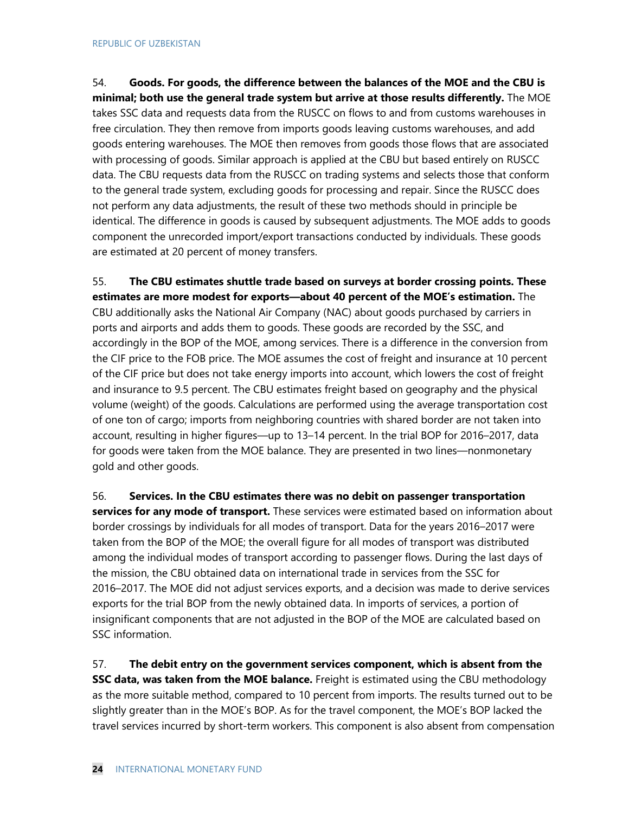54. **Goods. For goods, the difference between the balances of the MOE and the CBU is minimal; both use the general trade system but arrive at those results differently.** The MOE takes SSC data and requests data from the RUSCC on flows to and from customs warehouses in free circulation. They then remove from imports goods leaving customs warehouses, and add goods entering warehouses. The MOE then removes from goods those flows that are associated with processing of goods. Similar approach is applied at the CBU but based entirely on RUSCC data. The CBU requests data from the RUSCC on trading systems and selects those that conform to the general trade system, excluding goods for processing and repair. Since the RUSCC does not perform any data adjustments, the result of these two methods should in principle be identical. The difference in goods is caused by subsequent adjustments. The MOE adds to goods component the unrecorded import/export transactions conducted by individuals. These goods are estimated at 20 percent of money transfers.

55. **The CBU estimates shuttle trade based on surveys at border crossing points. These estimates are more modest for exports—about 40 percent of the MOE's estimation.** The CBU additionally asks the National Air Company (NAC) about goods purchased by carriers in ports and airports and adds them to goods. These goods are recorded by the SSC, and accordingly in the BOP of the MOE, among services. There is a difference in the conversion from the CIF price to the FOB price. The MOE assumes the cost of freight and insurance at 10 percent of the CIF price but does not take energy imports into account, which lowers the cost of freight and insurance to 9.5 percent. The CBU estimates freight based on geography and the physical volume (weight) of the goods. Calculations are performed using the average transportation cost of one ton of cargo; imports from neighboring countries with shared border are not taken into account, resulting in higher figures—up to 13–14 percent. In the trial BOP for 2016–2017, data for goods were taken from the MOE balance. They are presented in two lines—nonmonetary gold and other goods.

56. **Services. In the CBU estimates there was no debit on passenger transportation services for any mode of transport.** These services were estimated based on information about border crossings by individuals for all modes of transport. Data for the years 2016–2017 were taken from the BOP of the MOE; the overall figure for all modes of transport was distributed among the individual modes of transport according to passenger flows. During the last days of the mission, the CBU obtained data on international trade in services from the SSC for 2016–2017. The MOE did not adjust services exports, and a decision was made to derive services exports for the trial BOP from the newly obtained data. In imports of services, a portion of insignificant components that are not adjusted in the BOP of the MOE are calculated based on SSC information.

57. **The debit entry on the government services component, which is absent from the SSC data, was taken from the MOE balance.** Freight is estimated using the CBU methodology as the more suitable method, compared to 10 percent from imports. The results turned out to be slightly greater than in the MOE's BOP. As for the travel component, the MOE's BOP lacked the travel services incurred by short-term workers. This component is also absent from compensation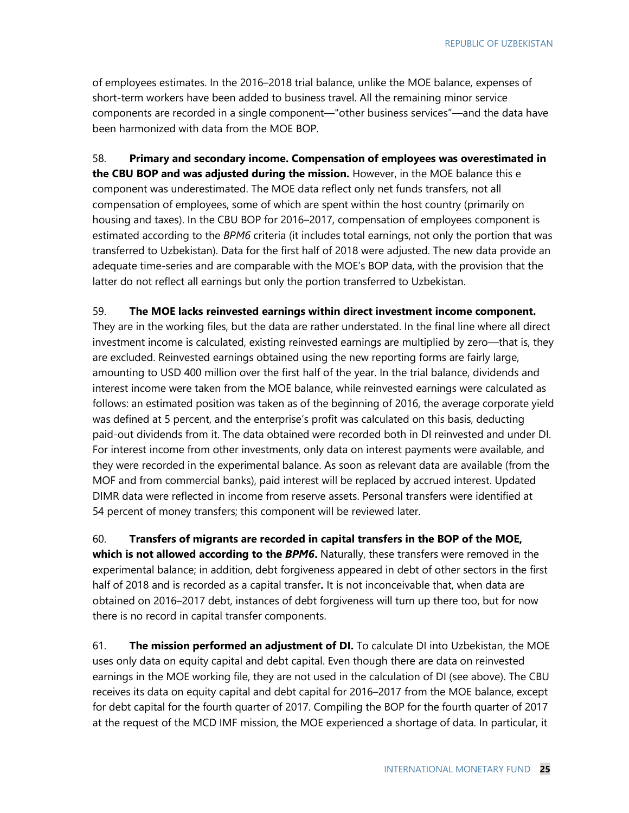of employees estimates. In the 2016–2018 trial balance, unlike the MOE balance, expenses of short-term workers have been added to business travel. All the remaining minor service components are recorded in a single component—"other business services"—and the data have been harmonized with data from the MOE BOP.

58. **Primary and secondary income. Compensation of employees was overestimated in the CBU BOP and was adjusted during the mission.** However, in the MOE balance this e component was underestimated. The MOE data reflect only net funds transfers, not all compensation of employees, some of which are spent within the host country (primarily on housing and taxes). In the CBU BOP for 2016–2017, compensation of employees component is estimated according to the *BPM6* criteria (it includes total earnings, not only the portion that was transferred to Uzbekistan). Data for the first half of 2018 were adjusted. The new data provide an adequate time-series and are comparable with the MOE's BOP data, with the provision that the latter do not reflect all earnings but only the portion transferred to Uzbekistan.

#### 59. **The MOE lacks reinvested earnings within direct investment income component.**

They are in the working files, but the data are rather understated. In the final line where all direct investment income is calculated, existing reinvested earnings are multiplied by zero—that is, they are excluded. Reinvested earnings obtained using the new reporting forms are fairly large, amounting to USD 400 million over the first half of the year. In the trial balance, dividends and interest income were taken from the MOE balance, while reinvested earnings were calculated as follows: an estimated position was taken as of the beginning of 2016, the average corporate yield was defined at 5 percent, and the enterprise's profit was calculated on this basis, deducting paid-out dividends from it. The data obtained were recorded both in DI reinvested and under DI. For interest income from other investments, only data on interest payments were available, and they were recorded in the experimental balance. As soon as relevant data are available (from the MOF and from commercial banks), paid interest will be replaced by accrued interest. Updated DIMR data were reflected in income from reserve assets. Personal transfers were identified at 54 percent of money transfers; this component will be reviewed later.

60. **Transfers of migrants are recorded in capital transfers in the BOP of the MOE, which is not allowed according to the** *BPM6***.** Naturally, these transfers were removed in the experimental balance; in addition, debt forgiveness appeared in debt of other sectors in the first

half of 2018 and is recorded as a capital transfer**.** It is not inconceivable that, when data are obtained on 2016–2017 debt, instances of debt forgiveness will turn up there too, but for now there is no record in capital transfer components.

61. **The mission performed an adjustment of DI.** To calculate DI into Uzbekistan, the MOE uses only data on equity capital and debt capital. Even though there are data on reinvested earnings in the MOE working file, they are not used in the calculation of DI (see above). The CBU receives its data on equity capital and debt capital for 2016–2017 from the MOE balance, except for debt capital for the fourth quarter of 2017. Compiling the BOP for the fourth quarter of 2017 at the request of the MCD IMF mission, the MOE experienced a shortage of data. In particular, it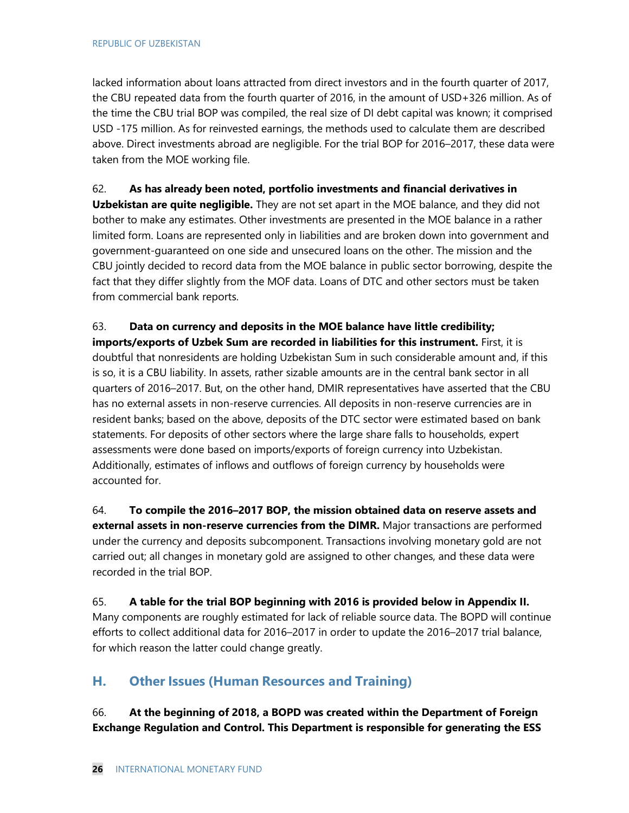lacked information about loans attracted from direct investors and in the fourth quarter of 2017, the CBU repeated data from the fourth quarter of 2016, in the amount of USD+326 million. As of the time the CBU trial BOP was compiled, the real size of DI debt capital was known; it comprised USD -175 million. As for reinvested earnings, the methods used to calculate them are described above. Direct investments abroad are negligible. For the trial BOP for 2016–2017, these data were taken from the MOE working file.

62. **As has already been noted, portfolio investments and financial derivatives in Uzbekistan are quite negligible.** They are not set apart in the MOE balance, and they did not bother to make any estimates. Other investments are presented in the MOE balance in a rather limited form. Loans are represented only in liabilities and are broken down into government and government-guaranteed on one side and unsecured loans on the other. The mission and the CBU jointly decided to record data from the MOE balance in public sector borrowing, despite the fact that they differ slightly from the MOF data. Loans of DTC and other sectors must be taken from commercial bank reports.

63. **Data on currency and deposits in the MOE balance have little credibility; imports/exports of Uzbek Sum are recorded in liabilities for this instrument.** First, it is doubtful that nonresidents are holding Uzbekistan Sum in such considerable amount and, if this is so, it is a CBU liability. In assets, rather sizable amounts are in the central bank sector in all quarters of 2016–2017. But, on the other hand, DMIR representatives have asserted that the CBU has no external assets in non-reserve currencies. All deposits in non-reserve currencies are in resident banks; based on the above, deposits of the DTC sector were estimated based on bank statements. For deposits of other sectors where the large share falls to households, expert assessments were done based on imports/exports of foreign currency into Uzbekistan. Additionally, estimates of inflows and outflows of foreign currency by households were accounted for.

64. **To compile the 2016–2017 BOP, the mission obtained data on reserve assets and external assets in non-reserve currencies from the DIMR.** Major transactions are performed under the currency and deposits subcomponent. Transactions involving monetary gold are not carried out; all changes in monetary gold are assigned to other changes, and these data were recorded in the trial BOP.

65. **A table for the trial BOP beginning with 2016 is provided below in Appendix II.** Many components are roughly estimated for lack of reliable source data. The BOPD will continue efforts to collect additional data for 2016–2017 in order to update the 2016–2017 trial balance, for which reason the latter could change greatly.

## **H. Other Issues (Human Resources and Training)**

66. **At the beginning of 2018, a BOPD was created within the Department of Foreign Exchange Regulation and Control. This Department is responsible for generating the ESS**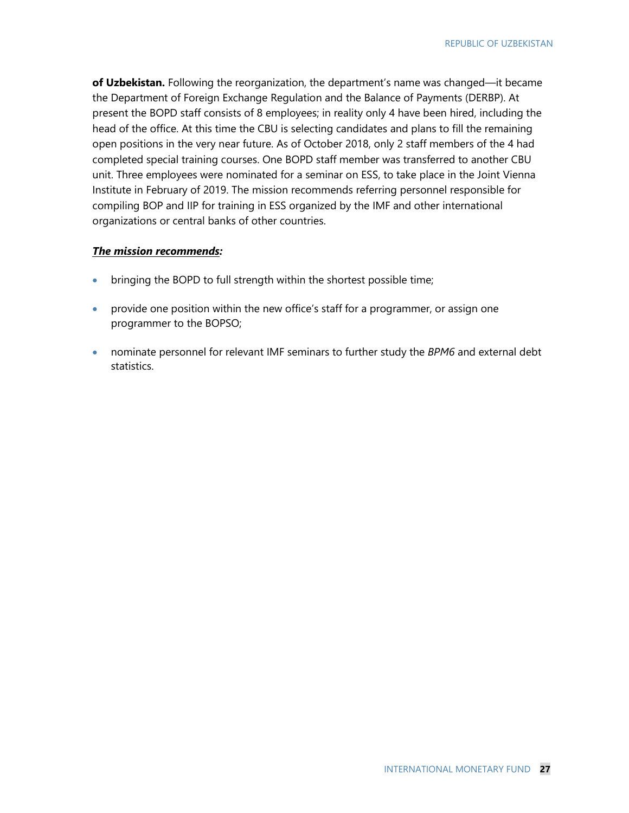**of Uzbekistan.** Following the reorganization, the department's name was changed—it became the Department of Foreign Exchange Regulation and the Balance of Payments (DERBP). At present the BOPD staff consists of 8 employees; in reality only 4 have been hired, including the head of the office. At this time the CBU is selecting candidates and plans to fill the remaining open positions in the very near future. As of October 2018, only 2 staff members of the 4 had completed special training courses. One BOPD staff member was transferred to another CBU unit. Three employees were nominated for a seminar on ESS, to take place in the Joint Vienna Institute in February of 2019. The mission recommends referring personnel responsible for compiling BOP and IIP for training in ESS organized by the IMF and other international organizations or central banks of other countries.

#### *The mission recommends:*

- bringing the BOPD to full strength within the shortest possible time;
- provide one position within the new office's staff for a programmer, or assign one programmer to the BOPSO;
- nominate personnel for relevant IMF seminars to further study the *BPM6* and external debt statistics.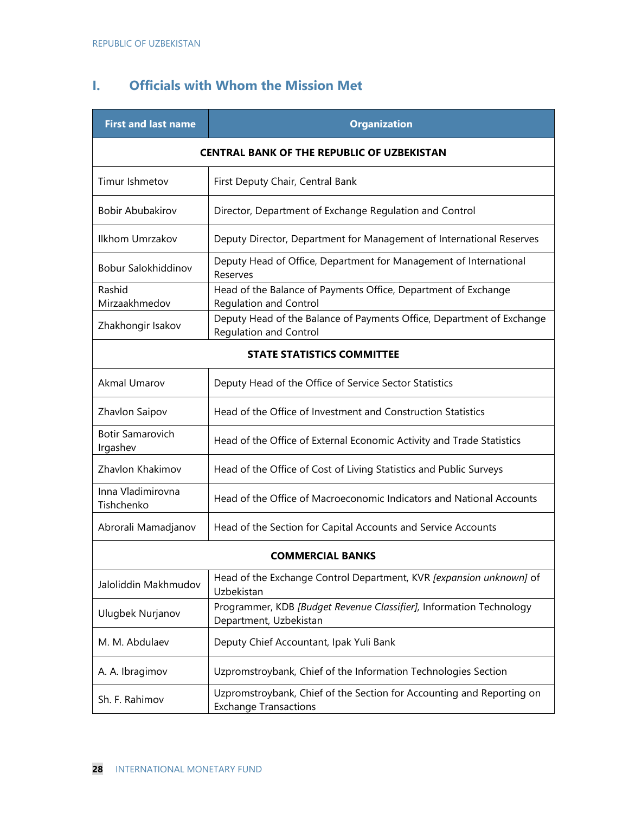## **I. Officials with Whom the Mission Met**

| <b>First and last name</b>                        | <b>Organization</b>                                                                                    |  |
|---------------------------------------------------|--------------------------------------------------------------------------------------------------------|--|
| <b>CENTRAL BANK OF THE REPUBLIC OF UZBEKISTAN</b> |                                                                                                        |  |
| Timur Ishmetov                                    | First Deputy Chair, Central Bank                                                                       |  |
| <b>Bobir Abubakirov</b>                           | Director, Department of Exchange Regulation and Control                                                |  |
| Ilkhom Umrzakov                                   | Deputy Director, Department for Management of International Reserves                                   |  |
| Bobur Salokhiddinov                               | Deputy Head of Office, Department for Management of International<br>Reserves                          |  |
| Rashid<br>Mirzaakhmedov                           | Head of the Balance of Payments Office, Department of Exchange<br>Regulation and Control               |  |
| Zhakhongir Isakov                                 | Deputy Head of the Balance of Payments Office, Department of Exchange<br><b>Regulation and Control</b> |  |
|                                                   | <b>STATE STATISTICS COMMITTEE</b>                                                                      |  |
| <b>Akmal Umarov</b>                               | Deputy Head of the Office of Service Sector Statistics                                                 |  |
| Zhavlon Saipov                                    | Head of the Office of Investment and Construction Statistics                                           |  |
| <b>Botir Samarovich</b><br>Irgashev               | Head of the Office of External Economic Activity and Trade Statistics                                  |  |
| Zhavlon Khakimov                                  | Head of the Office of Cost of Living Statistics and Public Surveys                                     |  |
| Inna Vladimirovna<br>Tishchenko                   | Head of the Office of Macroeconomic Indicators and National Accounts                                   |  |
| Abrorali Mamadjanov                               | Head of the Section for Capital Accounts and Service Accounts                                          |  |
|                                                   | <b>COMMERCIAL BANKS</b>                                                                                |  |
| Jaloliddin Makhmudov                              | Head of the Exchange Control Department, KVR [expansion unknown] of<br>Uzbekistan                      |  |
| Ulugbek Nurjanov                                  | Programmer, KDB [Budget Revenue Classifier], Information Technology<br>Department, Uzbekistan          |  |
| M. M. Abdulaev                                    | Deputy Chief Accountant, Ipak Yuli Bank                                                                |  |
| A. A. Ibragimov                                   | Uzpromstroybank, Chief of the Information Technologies Section                                         |  |
| Sh. F. Rahimov                                    | Uzpromstroybank, Chief of the Section for Accounting and Reporting on<br><b>Exchange Transactions</b>  |  |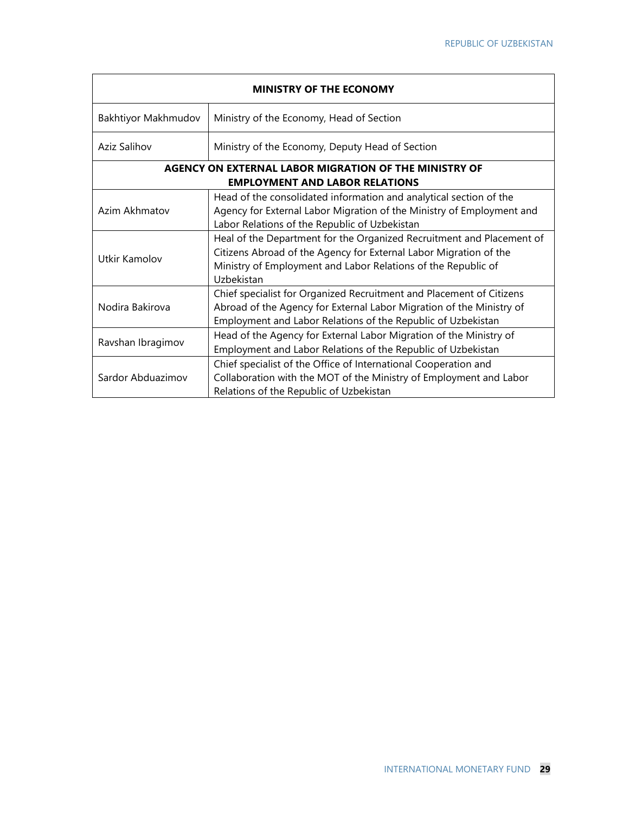| <b>MINISTRY OF THE ECONOMY</b> |                                                                                                                                                                                                                           |  |
|--------------------------------|---------------------------------------------------------------------------------------------------------------------------------------------------------------------------------------------------------------------------|--|
| Bakhtiyor Makhmudov            | Ministry of the Economy, Head of Section                                                                                                                                                                                  |  |
| Aziz Salihov                   | Ministry of the Economy, Deputy Head of Section                                                                                                                                                                           |  |
|                                | AGENCY ON EXTERNAL LABOR MIGRATION OF THE MINISTRY OF<br><b>EMPLOYMENT AND LABOR RELATIONS</b>                                                                                                                            |  |
| Azim Akhmatov                  | Head of the consolidated information and analytical section of the<br>Agency for External Labor Migration of the Ministry of Employment and<br>Labor Relations of the Republic of Uzbekistan                              |  |
| Utkir Kamolov                  | Heal of the Department for the Organized Recruitment and Placement of<br>Citizens Abroad of the Agency for External Labor Migration of the<br>Ministry of Employment and Labor Relations of the Republic of<br>Uzbekistan |  |
| Nodira Bakirova                | Chief specialist for Organized Recruitment and Placement of Citizens<br>Abroad of the Agency for External Labor Migration of the Ministry of<br>Employment and Labor Relations of the Republic of Uzbekistan              |  |
| Ravshan Ibragimov              | Head of the Agency for External Labor Migration of the Ministry of<br>Employment and Labor Relations of the Republic of Uzbekistan                                                                                        |  |
| Sardor Abduazimov              | Chief specialist of the Office of International Cooperation and<br>Collaboration with the MOT of the Ministry of Employment and Labor<br>Relations of the Republic of Uzbekistan                                          |  |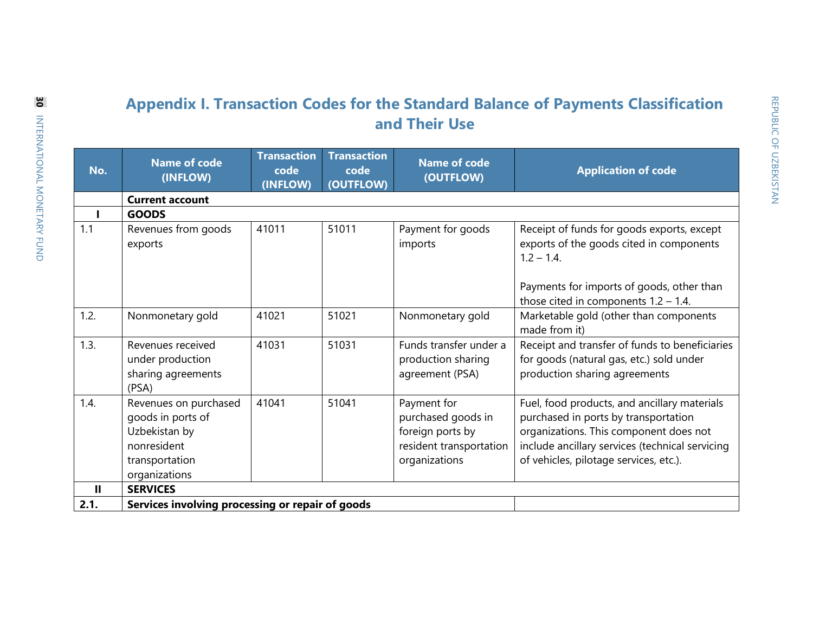## **Appendix I. Transaction Codes for the Standard Balance of Payments Classification and Their Use**

| No.          | <b>Name of code</b><br>(INFLOW)                                                                               | <b>Transaction</b><br>code<br>(INFLOW) | <b>Transaction</b><br>code<br>(OUTFLOW) | <b>Name of code</b><br>(OUTFLOW)                                                                  | <b>Application of code</b>                                                                                                                                                                                                  |
|--------------|---------------------------------------------------------------------------------------------------------------|----------------------------------------|-----------------------------------------|---------------------------------------------------------------------------------------------------|-----------------------------------------------------------------------------------------------------------------------------------------------------------------------------------------------------------------------------|
|              | <b>Current account</b>                                                                                        |                                        |                                         |                                                                                                   |                                                                                                                                                                                                                             |
|              | <b>GOODS</b>                                                                                                  |                                        |                                         |                                                                                                   |                                                                                                                                                                                                                             |
| 1.1          | Revenues from goods<br>exports                                                                                | 41011                                  | 51011                                   | Payment for goods<br>imports                                                                      | Receipt of funds for goods exports, except<br>exports of the goods cited in components<br>$1.2 - 1.4$ .<br>Payments for imports of goods, other than<br>those cited in components $1.2 - 1.4$ .                             |
| 1.2.         | Nonmonetary gold                                                                                              | 41021                                  | 51021                                   | Nonmonetary gold                                                                                  | Marketable gold (other than components<br>made from it)                                                                                                                                                                     |
| 1.3.         | Revenues received<br>under production<br>sharing agreements<br>(PSA)                                          | 41031                                  | 51031                                   | Funds transfer under a<br>production sharing<br>agreement (PSA)                                   | Receipt and transfer of funds to beneficiaries<br>for goods (natural gas, etc.) sold under<br>production sharing agreements                                                                                                 |
| 1.4.         | Revenues on purchased<br>goods in ports of<br>Uzbekistan by<br>nonresident<br>transportation<br>organizations | 41041                                  | 51041                                   | Payment for<br>purchased goods in<br>foreign ports by<br>resident transportation<br>organizations | Fuel, food products, and ancillary materials<br>purchased in ports by transportation<br>organizations. This component does not<br>include ancillary services (technical servicing<br>of vehicles, pilotage services, etc.). |
| $\mathbf{H}$ | <b>SERVICES</b>                                                                                               |                                        |                                         |                                                                                                   |                                                                                                                                                                                                                             |
| 2.1.         | Services involving processing or repair of goods                                                              |                                        |                                         |                                                                                                   |                                                                                                                                                                                                                             |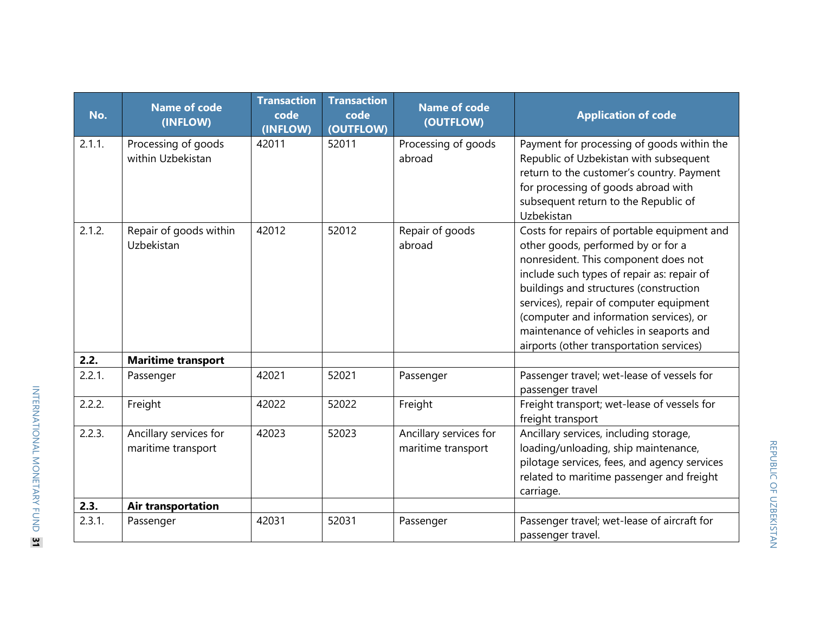| No.    | <b>Name of code</b><br>(INFLOW)              | <b>Transaction</b><br>code<br>(INFLOW) | <b>Transaction</b><br>code<br>(OUTFLOW) | <b>Name of code</b><br>(OUTFLOW)             | <b>Application of code</b>                                                                                                                                                                                                                                                                                                                                                                     |
|--------|----------------------------------------------|----------------------------------------|-----------------------------------------|----------------------------------------------|------------------------------------------------------------------------------------------------------------------------------------------------------------------------------------------------------------------------------------------------------------------------------------------------------------------------------------------------------------------------------------------------|
| 2.1.1. | Processing of goods<br>within Uzbekistan     | 42011                                  | 52011                                   | Processing of goods<br>abroad                | Payment for processing of goods within the<br>Republic of Uzbekistan with subsequent<br>return to the customer's country. Payment<br>for processing of goods abroad with<br>subsequent return to the Republic of<br>Uzbekistan                                                                                                                                                                 |
| 2.1.2. | Repair of goods within<br><b>Uzbekistan</b>  | 42012                                  | 52012                                   | Repair of goods<br>abroad                    | Costs for repairs of portable equipment and<br>other goods, performed by or for a<br>nonresident. This component does not<br>include such types of repair as: repair of<br>buildings and structures (construction<br>services), repair of computer equipment<br>(computer and information services), or<br>maintenance of vehicles in seaports and<br>airports (other transportation services) |
| 2.2.   | <b>Maritime transport</b>                    |                                        |                                         |                                              |                                                                                                                                                                                                                                                                                                                                                                                                |
| 2.2.1. | Passenger                                    | 42021                                  | 52021                                   | Passenger                                    | Passenger travel; wet-lease of vessels for<br>passenger travel                                                                                                                                                                                                                                                                                                                                 |
| 2.2.2. | Freight                                      | 42022                                  | 52022                                   | Freight                                      | Freight transport; wet-lease of vessels for<br>freight transport                                                                                                                                                                                                                                                                                                                               |
| 2.2.3. | Ancillary services for<br>maritime transport | 42023                                  | 52023                                   | Ancillary services for<br>maritime transport | Ancillary services, including storage,<br>loading/unloading, ship maintenance,<br>pilotage services, fees, and agency services<br>related to maritime passenger and freight<br>carriage.                                                                                                                                                                                                       |
| 2.3.   | <b>Air transportation</b>                    |                                        |                                         |                                              |                                                                                                                                                                                                                                                                                                                                                                                                |
| 2.3.1. | Passenger                                    | 42031                                  | 52031                                   | Passenger                                    | Passenger travel; wet-lease of aircraft for<br>passenger travel.                                                                                                                                                                                                                                                                                                                               |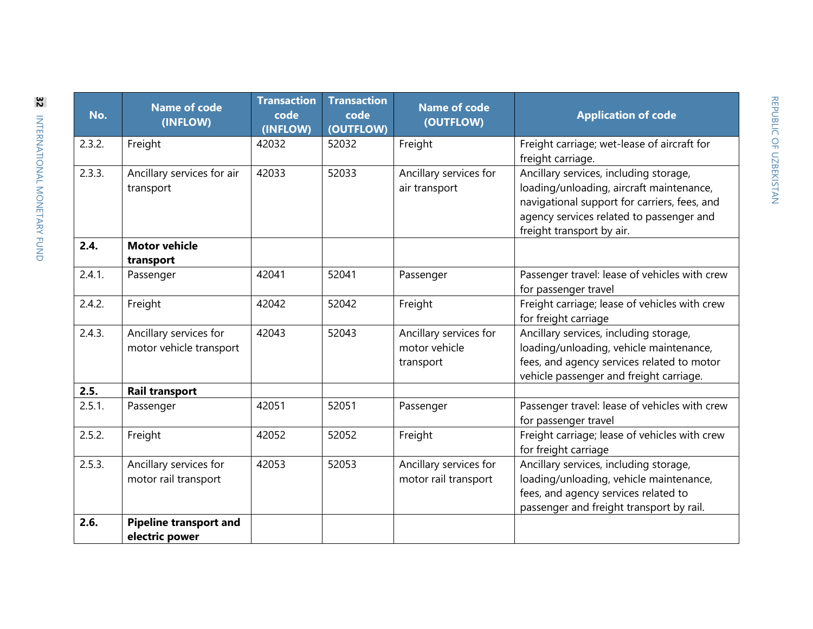| No.    | <b>Name of code</b><br>(INFLOW)                   | <b>Transaction</b><br>code<br>(INFLOW) | <b>Transaction</b><br>code<br>(OUTFLOW) | <b>Name of code</b><br>(OUTFLOW)                     | <b>Application of code</b>                                                                                                                                                                                  |
|--------|---------------------------------------------------|----------------------------------------|-----------------------------------------|------------------------------------------------------|-------------------------------------------------------------------------------------------------------------------------------------------------------------------------------------------------------------|
| 2.3.2. | Freight                                           | 42032                                  | 52032                                   | Freight                                              | Freight carriage; wet-lease of aircraft for<br>freight carriage.                                                                                                                                            |
| 2.3.3. | Ancillary services for air<br>transport           | 42033                                  | 52033                                   | Ancillary services for<br>air transport              | Ancillary services, including storage,<br>loading/unloading, aircraft maintenance,<br>navigational support for carriers, fees, and<br>agency services related to passenger and<br>freight transport by air. |
| 2.4.   | <b>Motor vehicle</b><br>transport                 |                                        |                                         |                                                      |                                                                                                                                                                                                             |
| 2.4.1. | Passenger                                         | 42041                                  | 52041                                   | Passenger                                            | Passenger travel: lease of vehicles with crew<br>for passenger travel                                                                                                                                       |
| 2.4.2. | Freight                                           | 42042                                  | 52042                                   | Freight                                              | Freight carriage; lease of vehicles with crew<br>for freight carriage                                                                                                                                       |
| 2.4.3. | Ancillary services for<br>motor vehicle transport | 42043                                  | 52043                                   | Ancillary services for<br>motor vehicle<br>transport | Ancillary services, including storage,<br>loading/unloading, vehicle maintenance,<br>fees, and agency services related to motor<br>vehicle passenger and freight carriage.                                  |
| 2.5.   | <b>Rail transport</b>                             |                                        |                                         |                                                      |                                                                                                                                                                                                             |
| 2.5.1. | Passenger                                         | 42051                                  | 52051                                   | Passenger                                            | Passenger travel: lease of vehicles with crew<br>for passenger travel                                                                                                                                       |
| 2.5.2. | Freight                                           | 42052                                  | 52052                                   | Freight                                              | Freight carriage; lease of vehicles with crew<br>for freight carriage                                                                                                                                       |
| 2.5.3. | Ancillary services for<br>motor rail transport    | 42053                                  | 52053                                   | Ancillary services for<br>motor rail transport       | Ancillary services, including storage,<br>loading/unloading, vehicle maintenance,<br>fees, and agency services related to<br>passenger and freight transport by rail.                                       |
| 2.6.   | <b>Pipeline transport and</b><br>electric power   |                                        |                                         |                                                      |                                                                                                                                                                                                             |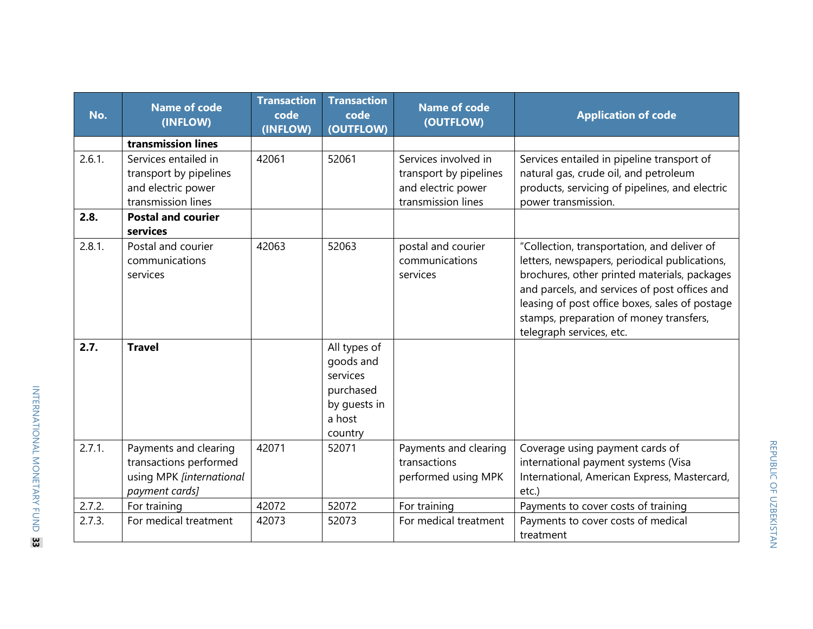| No.    | <b>Name of code</b><br>(INFLOW)                                                               | <b>Transaction</b><br>code<br>(INFLOW) | <b>Transaction</b><br>code<br>(OUTFLOW)                                                 | <b>Name of code</b><br>(OUTFLOW)                                                           | <b>Application of code</b>                                                                                                                                                                                                                                                                                             |
|--------|-----------------------------------------------------------------------------------------------|----------------------------------------|-----------------------------------------------------------------------------------------|--------------------------------------------------------------------------------------------|------------------------------------------------------------------------------------------------------------------------------------------------------------------------------------------------------------------------------------------------------------------------------------------------------------------------|
|        | transmission lines                                                                            |                                        |                                                                                         |                                                                                            |                                                                                                                                                                                                                                                                                                                        |
| 2.6.1. | Services entailed in<br>transport by pipelines<br>and electric power<br>transmission lines    | 42061                                  | 52061                                                                                   | Services involved in<br>transport by pipelines<br>and electric power<br>transmission lines | Services entailed in pipeline transport of<br>natural gas, crude oil, and petroleum<br>products, servicing of pipelines, and electric<br>power transmission.                                                                                                                                                           |
| 2.8.   | <b>Postal and courier</b><br>services                                                         |                                        |                                                                                         |                                                                                            |                                                                                                                                                                                                                                                                                                                        |
| 2.8.1. | Postal and courier<br>communications<br>services                                              | 42063                                  | 52063                                                                                   | postal and courier<br>communications<br>services                                           | "Collection, transportation, and deliver of<br>letters, newspapers, periodical publications,<br>brochures, other printed materials, packages<br>and parcels, and services of post offices and<br>leasing of post office boxes, sales of postage<br>stamps, preparation of money transfers,<br>telegraph services, etc. |
| 2.7.   | <b>Travel</b>                                                                                 |                                        | All types of<br>goods and<br>services<br>purchased<br>by quests in<br>a host<br>country |                                                                                            |                                                                                                                                                                                                                                                                                                                        |
| 2.7.1. | Payments and clearing<br>transactions performed<br>using MPK [international<br>payment cards] | 42071                                  | 52071                                                                                   | Payments and clearing<br>transactions<br>performed using MPK                               | Coverage using payment cards of<br>international payment systems (Visa<br>International, American Express, Mastercard,<br>etc.)                                                                                                                                                                                        |
| 2.7.2. | For training                                                                                  | 42072                                  | 52072                                                                                   | For training                                                                               | Payments to cover costs of training                                                                                                                                                                                                                                                                                    |
| 2.7.3. | For medical treatment                                                                         | 42073                                  | 52073                                                                                   | For medical treatment                                                                      | Payments to cover costs of medical<br>treatment                                                                                                                                                                                                                                                                        |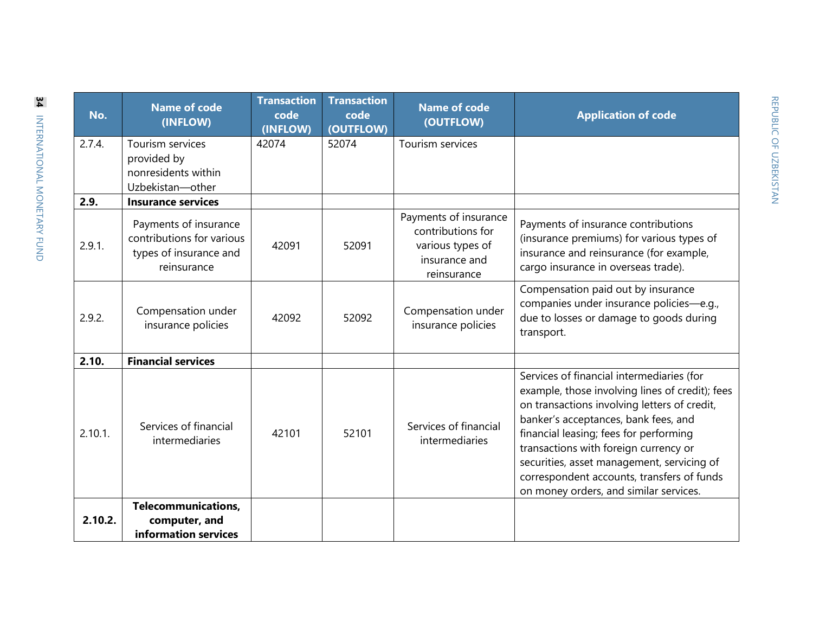| No.     | <b>Name of code</b><br>(INFLOW)                                                             | <b>Transaction</b><br>code<br>(INFLOW) | <b>Transaction</b><br>code<br>(OUTFLOW) | <b>Name of code</b><br>(OUTFLOW)                                                               | <b>Application of code</b>                                                                                                                                                                                                                                                                                                                                                                                    |
|---------|---------------------------------------------------------------------------------------------|----------------------------------------|-----------------------------------------|------------------------------------------------------------------------------------------------|---------------------------------------------------------------------------------------------------------------------------------------------------------------------------------------------------------------------------------------------------------------------------------------------------------------------------------------------------------------------------------------------------------------|
| 2.7.4.  | Tourism services<br>provided by<br>nonresidents within<br>Uzbekistan-other                  | 42074                                  | 52074                                   | Tourism services                                                                               |                                                                                                                                                                                                                                                                                                                                                                                                               |
| 2.9.    | <b>Insurance services</b>                                                                   |                                        |                                         |                                                                                                |                                                                                                                                                                                                                                                                                                                                                                                                               |
| 2.9.1.  | Payments of insurance<br>contributions for various<br>types of insurance and<br>reinsurance | 42091                                  | 52091                                   | Payments of insurance<br>contributions for<br>various types of<br>insurance and<br>reinsurance | Payments of insurance contributions<br>(insurance premiums) for various types of<br>insurance and reinsurance (for example,<br>cargo insurance in overseas trade).                                                                                                                                                                                                                                            |
| 2.9.2.  | Compensation under<br>insurance policies                                                    | 42092                                  | 52092                                   | Compensation under<br>insurance policies                                                       | Compensation paid out by insurance<br>companies under insurance policies-e.g.,<br>due to losses or damage to goods during<br>transport.                                                                                                                                                                                                                                                                       |
| 2.10.   | <b>Financial services</b>                                                                   |                                        |                                         |                                                                                                |                                                                                                                                                                                                                                                                                                                                                                                                               |
| 2.10.1. | Services of financial<br>intermediaries                                                     | 42101                                  | 52101                                   | Services of financial<br>intermediaries                                                        | Services of financial intermediaries (for<br>example, those involving lines of credit); fees<br>on transactions involving letters of credit,<br>banker's acceptances, bank fees, and<br>financial leasing; fees for performing<br>transactions with foreign currency or<br>securities, asset management, servicing of<br>correspondent accounts, transfers of funds<br>on money orders, and similar services. |
| 2.10.2. | <b>Telecommunications,</b><br>computer, and<br>information services                         |                                        |                                         |                                                                                                |                                                                                                                                                                                                                                                                                                                                                                                                               |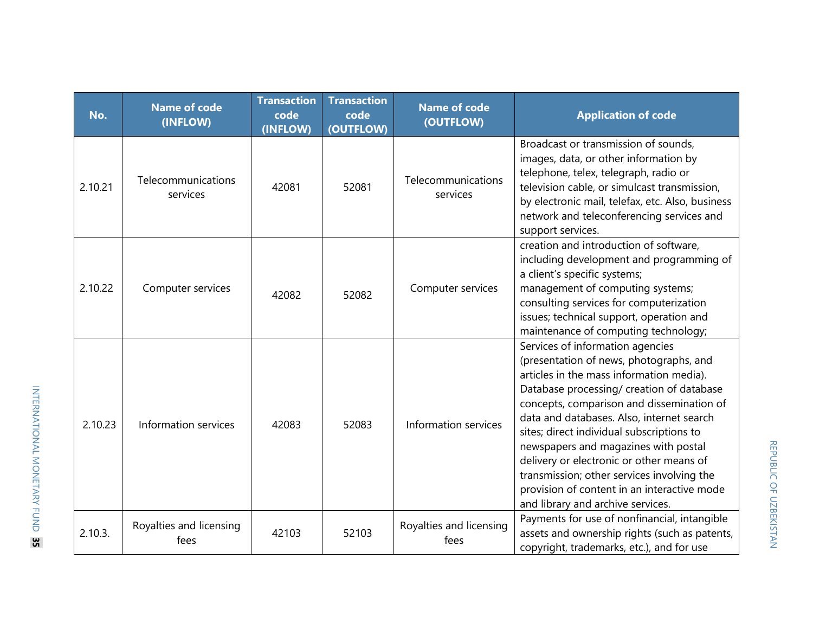| No.     | <b>Name of code</b><br>(INFLOW) | <b>Transaction</b><br>code<br>(INFLOW) | <b>Transaction</b><br>code<br>(OUTFLOW) | <b>Name of code</b><br>(OUTFLOW) | <b>Application of code</b>                                                                                                                                                                                                                                                                                                                                                                                                                                                                                                        |
|---------|---------------------------------|----------------------------------------|-----------------------------------------|----------------------------------|-----------------------------------------------------------------------------------------------------------------------------------------------------------------------------------------------------------------------------------------------------------------------------------------------------------------------------------------------------------------------------------------------------------------------------------------------------------------------------------------------------------------------------------|
| 2.10.21 | Telecommunications<br>services  | 42081                                  | 52081                                   | Telecommunications<br>services   | Broadcast or transmission of sounds,<br>images, data, or other information by<br>telephone, telex, telegraph, radio or<br>television cable, or simulcast transmission,<br>by electronic mail, telefax, etc. Also, business<br>network and teleconferencing services and<br>support services.                                                                                                                                                                                                                                      |
| 2.10.22 | Computer services               | 42082                                  | 52082                                   | Computer services                | creation and introduction of software,<br>including development and programming of<br>a client's specific systems;<br>management of computing systems;<br>consulting services for computerization<br>issues; technical support, operation and<br>maintenance of computing technology;                                                                                                                                                                                                                                             |
| 2.10.23 | Information services            | 42083                                  | 52083                                   | Information services             | Services of information agencies<br>(presentation of news, photographs, and<br>articles in the mass information media).<br>Database processing/ creation of database<br>concepts, comparison and dissemination of<br>data and databases. Also, internet search<br>sites; direct individual subscriptions to<br>newspapers and magazines with postal<br>delivery or electronic or other means of<br>transmission; other services involving the<br>provision of content in an interactive mode<br>and library and archive services. |
| 2.10.3. | Royalties and licensing<br>fees | 42103                                  | 52103                                   | Royalties and licensing<br>fees  | Payments for use of nonfinancial, intangible<br>assets and ownership rights (such as patents,<br>copyright, trademarks, etc.), and for use                                                                                                                                                                                                                                                                                                                                                                                        |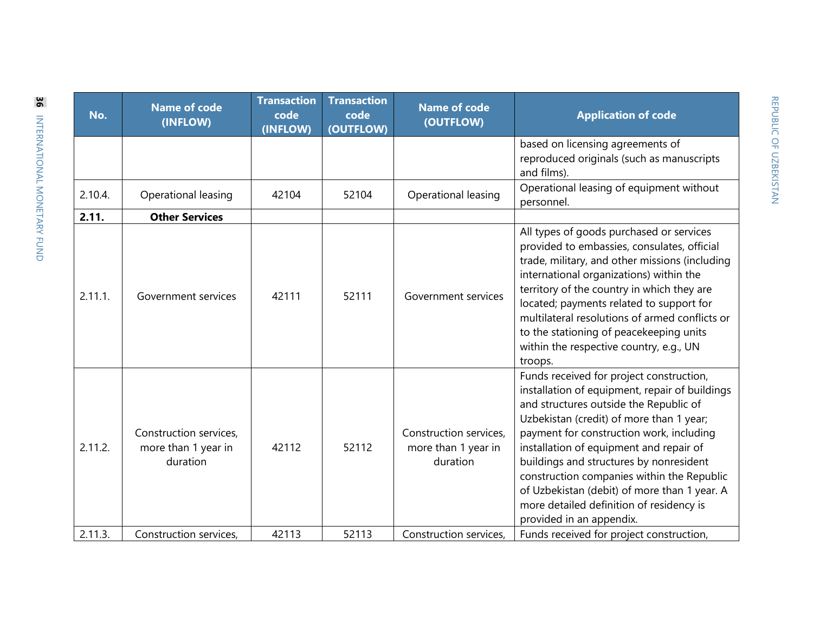| No.     | <b>Name of code</b><br>(INFLOW)                           | <b>Transaction</b><br>code<br>(INFLOW) | <b>Transaction</b><br>code<br>(OUTFLOW) | <b>Name of code</b><br>(OUTFLOW)                          | <b>Application of code</b>                                                                                                                                                                                                                                                                                                                                                                                                                                                               |
|---------|-----------------------------------------------------------|----------------------------------------|-----------------------------------------|-----------------------------------------------------------|------------------------------------------------------------------------------------------------------------------------------------------------------------------------------------------------------------------------------------------------------------------------------------------------------------------------------------------------------------------------------------------------------------------------------------------------------------------------------------------|
|         |                                                           |                                        |                                         |                                                           | based on licensing agreements of<br>reproduced originals (such as manuscripts<br>and films).                                                                                                                                                                                                                                                                                                                                                                                             |
| 2.10.4. | Operational leasing                                       | 42104                                  | 52104                                   | Operational leasing                                       | Operational leasing of equipment without<br>personnel.                                                                                                                                                                                                                                                                                                                                                                                                                                   |
| 2.11.   | <b>Other Services</b>                                     |                                        |                                         |                                                           |                                                                                                                                                                                                                                                                                                                                                                                                                                                                                          |
| 2.11.1. | Government services                                       | 42111                                  | 52111                                   | Government services                                       | All types of goods purchased or services<br>provided to embassies, consulates, official<br>trade, military, and other missions (including<br>international organizations) within the<br>territory of the country in which they are<br>located; payments related to support for<br>multilateral resolutions of armed conflicts or<br>to the stationing of peacekeeping units<br>within the respective country, e.g., UN<br>troops.                                                        |
| 2.11.2. | Construction services,<br>more than 1 year in<br>duration | 42112                                  | 52112                                   | Construction services,<br>more than 1 year in<br>duration | Funds received for project construction,<br>installation of equipment, repair of buildings<br>and structures outside the Republic of<br>Uzbekistan (credit) of more than 1 year;<br>payment for construction work, including<br>installation of equipment and repair of<br>buildings and structures by nonresident<br>construction companies within the Republic<br>of Uzbekistan (debit) of more than 1 year. A<br>more detailed definition of residency is<br>provided in an appendix. |
| 2.11.3. | Construction services,                                    | 42113                                  | 52113                                   | Construction services,                                    | Funds received for project construction,                                                                                                                                                                                                                                                                                                                                                                                                                                                 |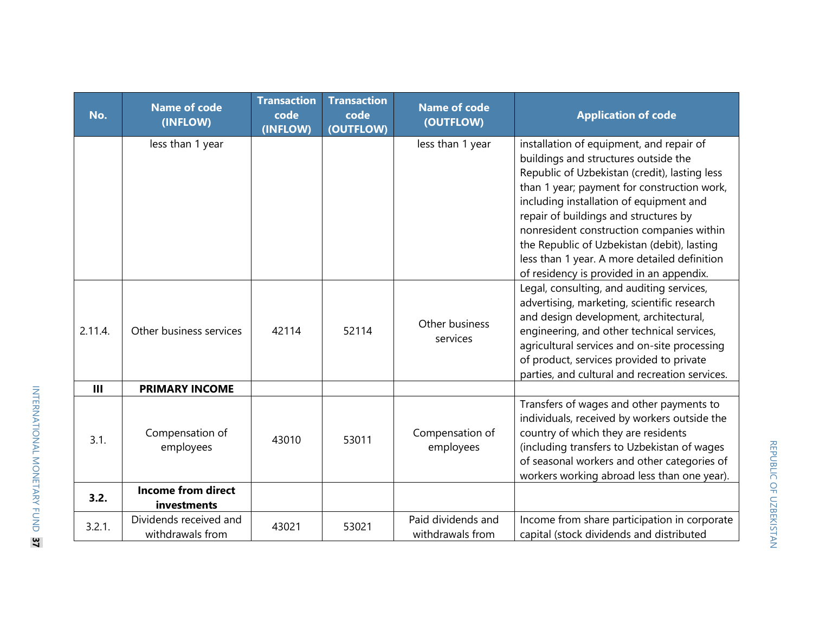| No.            | <b>Name of code</b><br>(INFLOW)            | <b>Transaction</b><br>code<br>(INFLOW) | <b>Transaction</b><br>code<br>(OUTFLOW) | <b>Name of code</b><br>(OUTFLOW)       | <b>Application of code</b>                                                                                                                                                                                                                                                                                                                                                                                                                                   |
|----------------|--------------------------------------------|----------------------------------------|-----------------------------------------|----------------------------------------|--------------------------------------------------------------------------------------------------------------------------------------------------------------------------------------------------------------------------------------------------------------------------------------------------------------------------------------------------------------------------------------------------------------------------------------------------------------|
|                | less than 1 year                           |                                        |                                         | less than 1 year                       | installation of equipment, and repair of<br>buildings and structures outside the<br>Republic of Uzbekistan (credit), lasting less<br>than 1 year; payment for construction work,<br>including installation of equipment and<br>repair of buildings and structures by<br>nonresident construction companies within<br>the Republic of Uzbekistan (debit), lasting<br>less than 1 year. A more detailed definition<br>of residency is provided in an appendix. |
| 2.11.4.        | Other business services                    | 42114                                  | 52114                                   | Other business<br>services             | Legal, consulting, and auditing services,<br>advertising, marketing, scientific research<br>and design development, architectural,<br>engineering, and other technical services,<br>agricultural services and on-site processing<br>of product, services provided to private<br>parties, and cultural and recreation services.                                                                                                                               |
| $\mathbf{III}$ | <b>PRIMARY INCOME</b>                      |                                        |                                         |                                        |                                                                                                                                                                                                                                                                                                                                                                                                                                                              |
| 3.1.           | Compensation of<br>employees               | 43010                                  | 53011                                   | Compensation of<br>employees           | Transfers of wages and other payments to<br>individuals, received by workers outside the<br>country of which they are residents<br>(including transfers to Uzbekistan of wages<br>of seasonal workers and other categories of<br>workers working abroad less than one year).                                                                                                                                                                                 |
| 3.2.           | <b>Income from direct</b><br>investments   |                                        |                                         |                                        |                                                                                                                                                                                                                                                                                                                                                                                                                                                              |
| 3.2.1.         | Dividends received and<br>withdrawals from | 43021                                  | 53021                                   | Paid dividends and<br>withdrawals from | Income from share participation in corporate<br>capital (stock dividends and distributed                                                                                                                                                                                                                                                                                                                                                                     |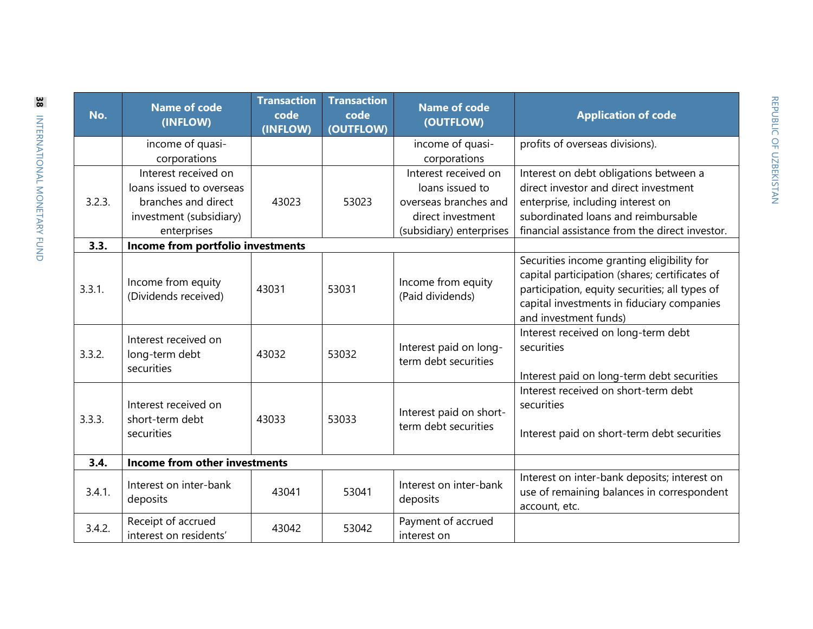| No.    | <b>Name of code</b><br>(INFLOW)                                                                                   | <b>Transaction</b><br>code<br>(INFLOW) | <b>Transaction</b><br>code<br>(OUTFLOW) | <b>Name of code</b><br>(OUTFLOW)                                                                                  | <b>Application of code</b>                                                                                                                                                                                            |
|--------|-------------------------------------------------------------------------------------------------------------------|----------------------------------------|-----------------------------------------|-------------------------------------------------------------------------------------------------------------------|-----------------------------------------------------------------------------------------------------------------------------------------------------------------------------------------------------------------------|
|        | income of quasi-<br>corporations                                                                                  |                                        |                                         | income of quasi-<br>corporations                                                                                  | profits of overseas divisions).                                                                                                                                                                                       |
| 3.2.3. | Interest received on<br>loans issued to overseas<br>branches and direct<br>investment (subsidiary)<br>enterprises | 43023                                  | 53023                                   | Interest received on<br>loans issued to<br>overseas branches and<br>direct investment<br>(subsidiary) enterprises | Interest on debt obligations between a<br>direct investor and direct investment<br>enterprise, including interest on<br>subordinated loans and reimbursable<br>financial assistance from the direct investor.         |
| 3.3.   | Income from portfolio investments                                                                                 |                                        |                                         |                                                                                                                   |                                                                                                                                                                                                                       |
| 3.3.1. | Income from equity<br>(Dividends received)                                                                        | 43031                                  | 53031                                   | Income from equity<br>(Paid dividends)                                                                            | Securities income granting eligibility for<br>capital participation (shares; certificates of<br>participation, equity securities; all types of<br>capital investments in fiduciary companies<br>and investment funds) |
| 3.3.2. | Interest received on<br>long-term debt<br>securities                                                              | 43032                                  | 53032                                   | Interest paid on long-<br>term debt securities                                                                    | Interest received on long-term debt<br>securities<br>Interest paid on long-term debt securities                                                                                                                       |
| 3.3.3. | Interest received on<br>short-term debt<br>securities                                                             | 43033                                  | 53033                                   | Interest paid on short-<br>term debt securities                                                                   | Interest received on short-term debt<br>securities<br>Interest paid on short-term debt securities                                                                                                                     |
| 3.4.   | Income from other investments                                                                                     |                                        |                                         |                                                                                                                   |                                                                                                                                                                                                                       |
| 3.4.1. | Interest on inter-bank<br>deposits                                                                                | 43041                                  | 53041                                   | Interest on inter-bank<br>deposits                                                                                | Interest on inter-bank deposits; interest on<br>use of remaining balances in correspondent<br>account, etc.                                                                                                           |
| 3.4.2. | Receipt of accrued<br>interest on residents'                                                                      | 43042                                  | 53042                                   | Payment of accrued<br>interest on                                                                                 |                                                                                                                                                                                                                       |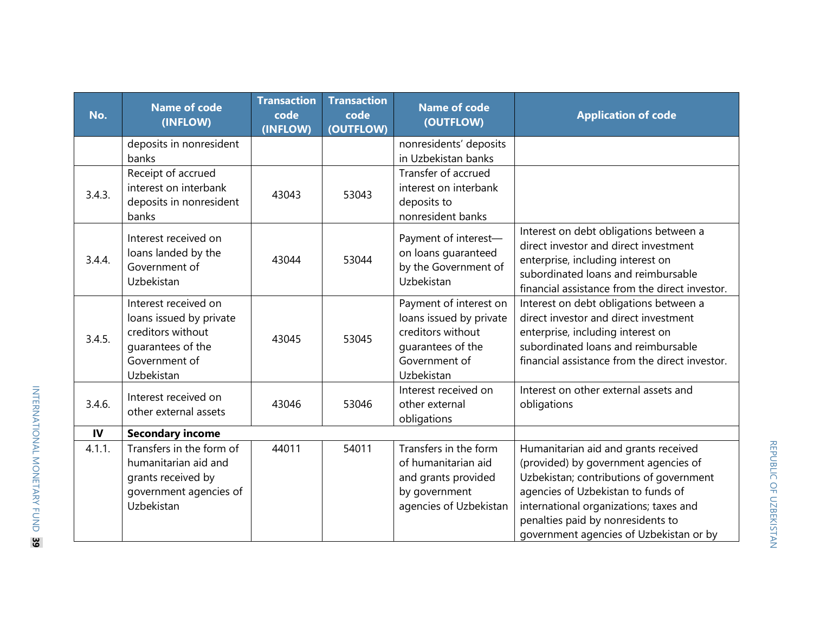| No.    | <b>Name of code</b><br>(INFLOW)                                                                                          | <b>Transaction</b><br>code<br>(INFLOW) | <b>Transaction</b><br>code<br>(OUTFLOW) | <b>Name of code</b><br>(OUTFLOW)                                                                                           | <b>Application of code</b>                                                                                                                                                                                                                                                              |
|--------|--------------------------------------------------------------------------------------------------------------------------|----------------------------------------|-----------------------------------------|----------------------------------------------------------------------------------------------------------------------------|-----------------------------------------------------------------------------------------------------------------------------------------------------------------------------------------------------------------------------------------------------------------------------------------|
|        | deposits in nonresident<br>banks                                                                                         |                                        |                                         | nonresidents' deposits<br>in Uzbekistan banks                                                                              |                                                                                                                                                                                                                                                                                         |
| 3.4.3. | Receipt of accrued<br>interest on interbank<br>deposits in nonresident<br>banks                                          | 43043                                  | 53043                                   | Transfer of accrued<br>interest on interbank<br>deposits to<br>nonresident banks                                           |                                                                                                                                                                                                                                                                                         |
| 3.4.4. | Interest received on<br>loans landed by the<br>Government of<br>Uzbekistan                                               | 43044                                  | 53044                                   | Payment of interest-<br>on loans guaranteed<br>by the Government of<br>Uzbekistan                                          | Interest on debt obligations between a<br>direct investor and direct investment<br>enterprise, including interest on<br>subordinated loans and reimbursable<br>financial assistance from the direct investor.                                                                           |
| 3.4.5. | Interest received on<br>loans issued by private<br>creditors without<br>quarantees of the<br>Government of<br>Uzbekistan | 43045                                  | 53045                                   | Payment of interest on<br>loans issued by private<br>creditors without<br>quarantees of the<br>Government of<br>Uzbekistan | Interest on debt obligations between a<br>direct investor and direct investment<br>enterprise, including interest on<br>subordinated loans and reimbursable<br>financial assistance from the direct investor.                                                                           |
| 3.4.6. | Interest received on<br>other external assets                                                                            | 43046                                  | 53046                                   | Interest received on<br>other external<br>obligations                                                                      | Interest on other external assets and<br>obligations                                                                                                                                                                                                                                    |
| IV     | <b>Secondary income</b>                                                                                                  |                                        |                                         |                                                                                                                            |                                                                                                                                                                                                                                                                                         |
| 4.1.1. | Transfers in the form of<br>humanitarian aid and<br>grants received by<br>government agencies of<br>Uzbekistan           | 44011                                  | 54011                                   | Transfers in the form<br>of humanitarian aid<br>and grants provided<br>by government<br>agencies of Uzbekistan             | Humanitarian aid and grants received<br>(provided) by government agencies of<br>Uzbekistan; contributions of government<br>agencies of Uzbekistan to funds of<br>international organizations; taxes and<br>penalties paid by nonresidents to<br>government agencies of Uzbekistan or by |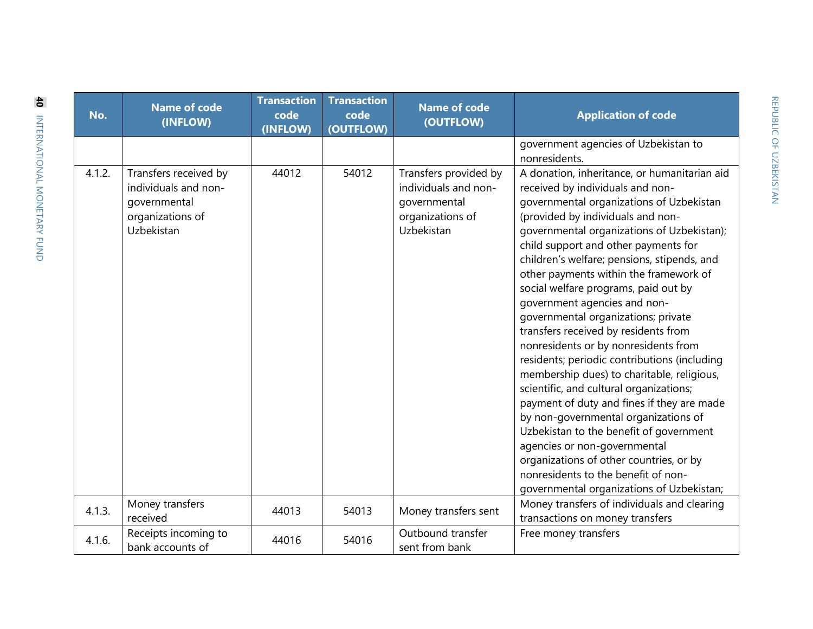| No.    | <b>Name of code</b><br>(INFLOW)                                                                 | <b>Transaction</b><br>code<br>(INFLOW) | <b>Transaction</b><br>code<br>(OUTFLOW) | <b>Name of code</b><br>(OUTFLOW)                                                                | <b>Application of code</b>                                                                                                                                                                                                                                                                                                                                                                                                                                                                                                                                                                                                                                                                                                                                                                                                                                                                                                                                                               |
|--------|-------------------------------------------------------------------------------------------------|----------------------------------------|-----------------------------------------|-------------------------------------------------------------------------------------------------|------------------------------------------------------------------------------------------------------------------------------------------------------------------------------------------------------------------------------------------------------------------------------------------------------------------------------------------------------------------------------------------------------------------------------------------------------------------------------------------------------------------------------------------------------------------------------------------------------------------------------------------------------------------------------------------------------------------------------------------------------------------------------------------------------------------------------------------------------------------------------------------------------------------------------------------------------------------------------------------|
|        |                                                                                                 |                                        |                                         |                                                                                                 | government agencies of Uzbekistan to<br>nonresidents.                                                                                                                                                                                                                                                                                                                                                                                                                                                                                                                                                                                                                                                                                                                                                                                                                                                                                                                                    |
| 4.1.2. | Transfers received by<br>individuals and non-<br>governmental<br>organizations of<br>Uzbekistan | 44012                                  | 54012                                   | Transfers provided by<br>individuals and non-<br>governmental<br>organizations of<br>Uzbekistan | A donation, inheritance, or humanitarian aid<br>received by individuals and non-<br>governmental organizations of Uzbekistan<br>(provided by individuals and non-<br>governmental organizations of Uzbekistan);<br>child support and other payments for<br>children's welfare; pensions, stipends, and<br>other payments within the framework of<br>social welfare programs, paid out by<br>government agencies and non-<br>governmental organizations; private<br>transfers received by residents from<br>nonresidents or by nonresidents from<br>residents; periodic contributions (including<br>membership dues) to charitable, religious,<br>scientific, and cultural organizations;<br>payment of duty and fines if they are made<br>by non-governmental organizations of<br>Uzbekistan to the benefit of government<br>agencies or non-governmental<br>organizations of other countries, or by<br>nonresidents to the benefit of non-<br>governmental organizations of Uzbekistan; |
| 4.1.3. | Money transfers<br>received                                                                     | 44013                                  | 54013                                   | Money transfers sent                                                                            | Money transfers of individuals and clearing<br>transactions on money transfers                                                                                                                                                                                                                                                                                                                                                                                                                                                                                                                                                                                                                                                                                                                                                                                                                                                                                                           |
| 4.1.6. | Receipts incoming to<br>bank accounts of                                                        | 44016                                  | 54016                                   | Outbound transfer<br>sent from bank                                                             | Free money transfers                                                                                                                                                                                                                                                                                                                                                                                                                                                                                                                                                                                                                                                                                                                                                                                                                                                                                                                                                                     |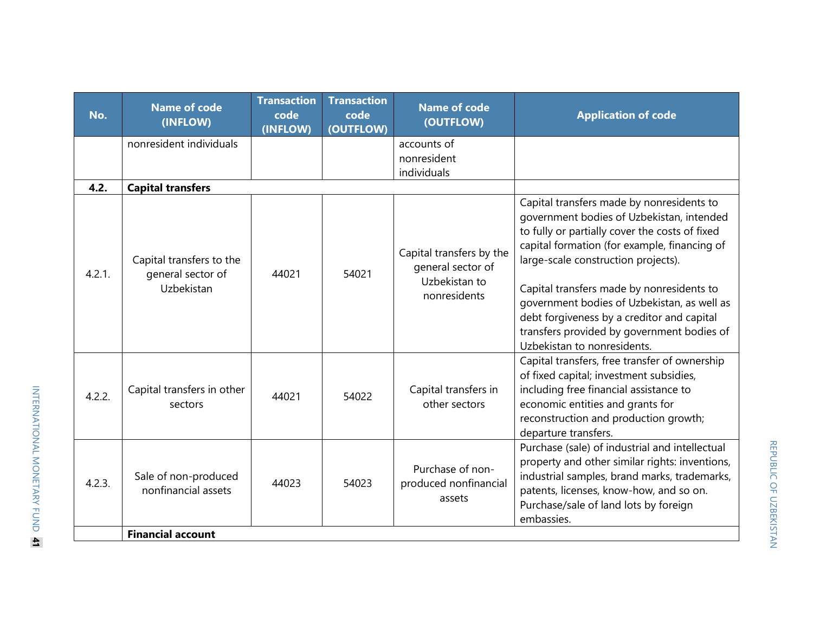| No.    | <b>Name of code</b><br>(INFLOW)                             | <b>Transaction</b><br>code<br>(INFLOW) | <b>Transaction</b><br>code<br>(OUTFLOW) | <b>Name of code</b><br>(OUTFLOW)                                               | <b>Application of code</b>                                                                                                                                                                                                                                                                                                                                                                                                                             |
|--------|-------------------------------------------------------------|----------------------------------------|-----------------------------------------|--------------------------------------------------------------------------------|--------------------------------------------------------------------------------------------------------------------------------------------------------------------------------------------------------------------------------------------------------------------------------------------------------------------------------------------------------------------------------------------------------------------------------------------------------|
|        | nonresident individuals                                     |                                        |                                         | accounts of<br>nonresident<br>individuals                                      |                                                                                                                                                                                                                                                                                                                                                                                                                                                        |
| 4.2.   | <b>Capital transfers</b>                                    |                                        |                                         |                                                                                |                                                                                                                                                                                                                                                                                                                                                                                                                                                        |
| 4.2.1. | Capital transfers to the<br>general sector of<br>Uzbekistan | 44021                                  | 54021                                   | Capital transfers by the<br>general sector of<br>Uzbekistan to<br>nonresidents | Capital transfers made by nonresidents to<br>government bodies of Uzbekistan, intended<br>to fully or partially cover the costs of fixed<br>capital formation (for example, financing of<br>large-scale construction projects).<br>Capital transfers made by nonresidents to<br>government bodies of Uzbekistan, as well as<br>debt forgiveness by a creditor and capital<br>transfers provided by government bodies of<br>Uzbekistan to nonresidents. |
| 4.2.2. | Capital transfers in other<br>sectors                       | 44021                                  | 54022                                   | Capital transfers in<br>other sectors                                          | Capital transfers, free transfer of ownership<br>of fixed capital; investment subsidies,<br>including free financial assistance to<br>economic entities and grants for<br>reconstruction and production growth;<br>departure transfers.                                                                                                                                                                                                                |
| 4.2.3. | Sale of non-produced<br>nonfinancial assets                 | 44023                                  | 54023                                   | Purchase of non-<br>produced nonfinancial<br>assets                            | Purchase (sale) of industrial and intellectual<br>property and other similar rights: inventions,<br>industrial samples, brand marks, trademarks,<br>patents, licenses, know-how, and so on.<br>Purchase/sale of land lots by foreign<br>embassies.                                                                                                                                                                                                     |
|        | <b>Financial account</b>                                    |                                        |                                         |                                                                                |                                                                                                                                                                                                                                                                                                                                                                                                                                                        |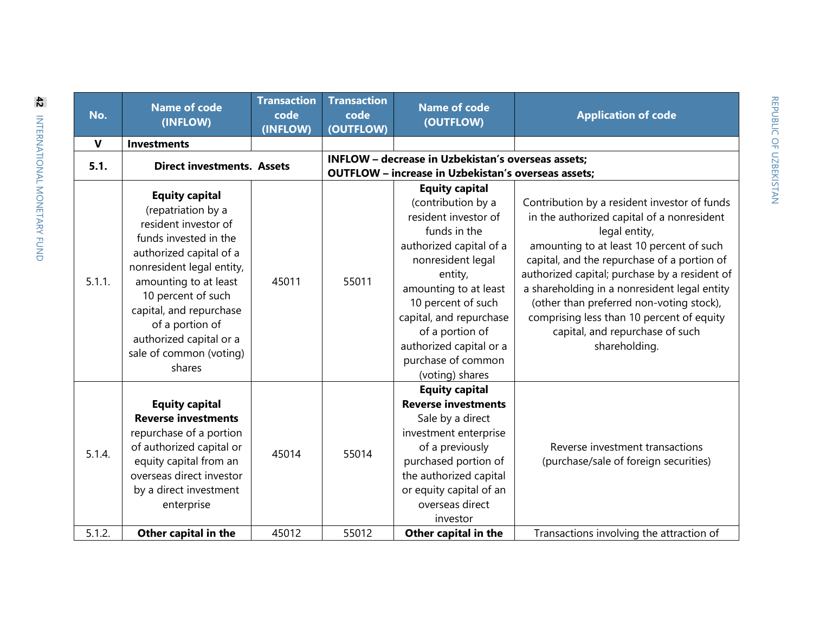| No.          | <b>Name of code</b><br>(INFLOW)                                                                                                                                                                                                                                                                                   | <b>Transaction</b><br>code<br>(INFLOW) | <b>Transaction</b><br>code<br>(OUTFLOW)                                                                                 | <b>Name of code</b><br>(OUTFLOW)                                                                                                                                                                                                                                                                                | <b>Application of code</b>                                                                                                                                                                                                                                                                                                                                                                                                                           |  |
|--------------|-------------------------------------------------------------------------------------------------------------------------------------------------------------------------------------------------------------------------------------------------------------------------------------------------------------------|----------------------------------------|-------------------------------------------------------------------------------------------------------------------------|-----------------------------------------------------------------------------------------------------------------------------------------------------------------------------------------------------------------------------------------------------------------------------------------------------------------|------------------------------------------------------------------------------------------------------------------------------------------------------------------------------------------------------------------------------------------------------------------------------------------------------------------------------------------------------------------------------------------------------------------------------------------------------|--|
| $\mathbf{V}$ | <b>Investments</b>                                                                                                                                                                                                                                                                                                |                                        |                                                                                                                         |                                                                                                                                                                                                                                                                                                                 |                                                                                                                                                                                                                                                                                                                                                                                                                                                      |  |
| 5.1.         | <b>Direct investments. Assets</b>                                                                                                                                                                                                                                                                                 |                                        | <b>INFLOW - decrease in Uzbekistan's overseas assets;</b><br><b>OUTFLOW</b> - increase in Uzbekistan's overseas assets; |                                                                                                                                                                                                                                                                                                                 |                                                                                                                                                                                                                                                                                                                                                                                                                                                      |  |
| 5.1.1.       | <b>Equity capital</b><br>(repatriation by a<br>resident investor of<br>funds invested in the<br>authorized capital of a<br>nonresident legal entity,<br>amounting to at least<br>10 percent of such<br>capital, and repurchase<br>of a portion of<br>authorized capital or a<br>sale of common (voting)<br>shares | 45011                                  | 55011                                                                                                                   | <b>Equity capital</b><br>(contribution by a<br>resident investor of<br>funds in the<br>authorized capital of a<br>nonresident legal<br>entity,<br>amounting to at least<br>10 percent of such<br>capital, and repurchase<br>of a portion of<br>authorized capital or a<br>purchase of common<br>(voting) shares | Contribution by a resident investor of funds<br>in the authorized capital of a nonresident<br>legal entity,<br>amounting to at least 10 percent of such<br>capital, and the repurchase of a portion of<br>authorized capital; purchase by a resident of<br>a shareholding in a nonresident legal entity<br>(other than preferred non-voting stock),<br>comprising less than 10 percent of equity<br>capital, and repurchase of such<br>shareholding. |  |
| 5.1.4.       | <b>Equity capital</b><br><b>Reverse investments</b><br>repurchase of a portion<br>of authorized capital or<br>equity capital from an<br>overseas direct investor<br>by a direct investment<br>enterprise                                                                                                          | 45014                                  | 55014                                                                                                                   | <b>Equity capital</b><br><b>Reverse investments</b><br>Sale by a direct<br>investment enterprise<br>of a previously<br>purchased portion of<br>the authorized capital<br>or equity capital of an<br>overseas direct<br>investor                                                                                 | Reverse investment transactions<br>(purchase/sale of foreign securities)                                                                                                                                                                                                                                                                                                                                                                             |  |
| 5.1.2.       | Other capital in the                                                                                                                                                                                                                                                                                              | 45012                                  | 55012                                                                                                                   | Other capital in the                                                                                                                                                                                                                                                                                            | Transactions involving the attraction of                                                                                                                                                                                                                                                                                                                                                                                                             |  |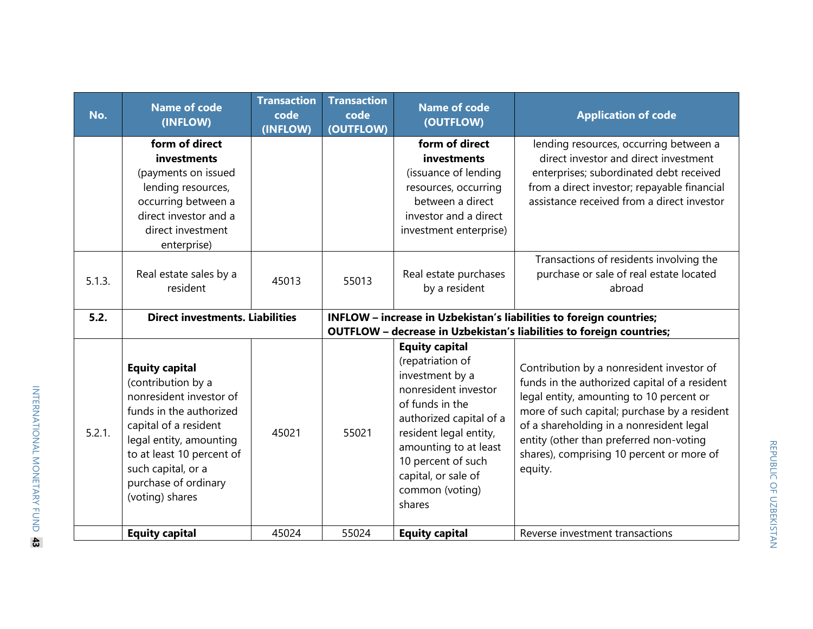| No.    | <b>Name of code</b><br>(INFLOW)                                                                                                                                                                                                                     | <b>Transaction</b><br>code<br>(INFLOW) | <b>Transaction</b><br>code<br>(OUTFLOW) | <b>Name of code</b><br>(OUTFLOW)                                                                                                                                                                                                                                | <b>Application of code</b>                                                                                                                                                                                                                                                                                                                                                                                           |
|--------|-----------------------------------------------------------------------------------------------------------------------------------------------------------------------------------------------------------------------------------------------------|----------------------------------------|-----------------------------------------|-----------------------------------------------------------------------------------------------------------------------------------------------------------------------------------------------------------------------------------------------------------------|----------------------------------------------------------------------------------------------------------------------------------------------------------------------------------------------------------------------------------------------------------------------------------------------------------------------------------------------------------------------------------------------------------------------|
|        | form of direct<br>investments<br>(payments on issued<br>lending resources,<br>occurring between a<br>direct investor and a<br>direct investment<br>enterprise)                                                                                      |                                        |                                         | form of direct<br>investments<br>(issuance of lending<br>resources, occurring<br>between a direct<br>investor and a direct<br>investment enterprise)                                                                                                            | lending resources, occurring between a<br>direct investor and direct investment<br>enterprises; subordinated debt received<br>from a direct investor; repayable financial<br>assistance received from a direct investor                                                                                                                                                                                              |
| 5.1.3. | Real estate sales by a<br>resident                                                                                                                                                                                                                  | 45013                                  | 55013                                   | Real estate purchases<br>by a resident                                                                                                                                                                                                                          | Transactions of residents involving the<br>purchase or sale of real estate located<br>abroad                                                                                                                                                                                                                                                                                                                         |
| 5.2.   | <b>Direct investments. Liabilities</b>                                                                                                                                                                                                              |                                        |                                         |                                                                                                                                                                                                                                                                 | INFLOW - increase in Uzbekistan's liabilities to foreign countries;                                                                                                                                                                                                                                                                                                                                                  |
| 5.2.1. | <b>Equity capital</b><br>(contribution by a<br>nonresident investor of<br>funds in the authorized<br>capital of a resident<br>legal entity, amounting<br>to at least 10 percent of<br>such capital, or a<br>purchase of ordinary<br>(voting) shares | 45021                                  | 55021                                   | <b>Equity capital</b><br>(repatriation of<br>investment by a<br>nonresident investor<br>of funds in the<br>authorized capital of a<br>resident legal entity,<br>amounting to at least<br>10 percent of such<br>capital, or sale of<br>common (voting)<br>shares | <b>OUTFLOW</b> - decrease in Uzbekistan's liabilities to foreign countries;<br>Contribution by a nonresident investor of<br>funds in the authorized capital of a resident<br>legal entity, amounting to 10 percent or<br>more of such capital; purchase by a resident<br>of a shareholding in a nonresident legal<br>entity (other than preferred non-voting<br>shares), comprising 10 percent or more of<br>equity. |
|        | <b>Equity capital</b>                                                                                                                                                                                                                               | 45024                                  | 55024                                   | <b>Equity capital</b>                                                                                                                                                                                                                                           | Reverse investment transactions                                                                                                                                                                                                                                                                                                                                                                                      |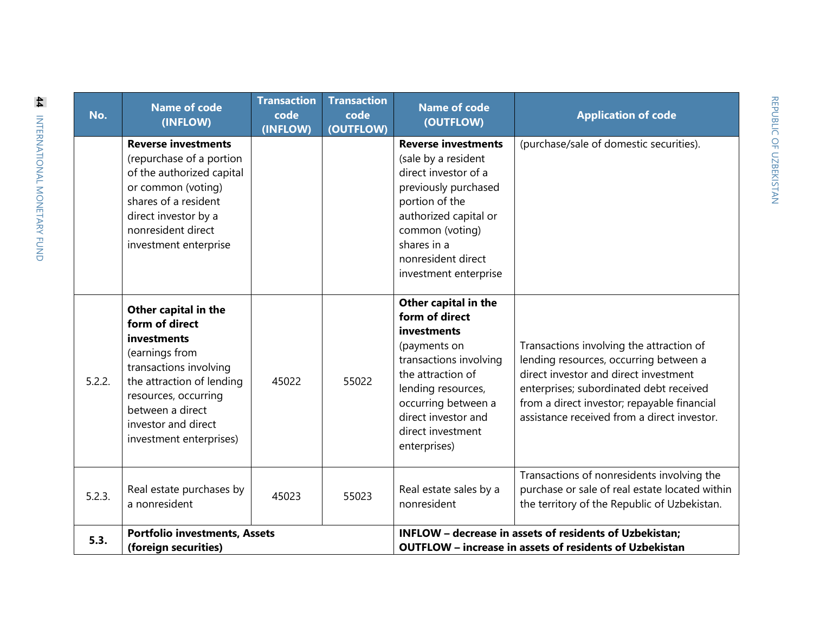| No.                                                                  | <b>Name of code</b><br>(INFLOW)                                                                                                                                                                                              | <b>Transaction</b><br>code<br>(INFLOW) | <b>Transaction</b><br>code<br>(OUTFLOW) | <b>Name of code</b><br>(OUTFLOW)                                                                                                                                                                                              | <b>Application of code</b>                                                                                                                                                                                                                                           |  |
|----------------------------------------------------------------------|------------------------------------------------------------------------------------------------------------------------------------------------------------------------------------------------------------------------------|----------------------------------------|-----------------------------------------|-------------------------------------------------------------------------------------------------------------------------------------------------------------------------------------------------------------------------------|----------------------------------------------------------------------------------------------------------------------------------------------------------------------------------------------------------------------------------------------------------------------|--|
|                                                                      | <b>Reverse investments</b><br>(repurchase of a portion<br>of the authorized capital<br>or common (voting)<br>shares of a resident<br>direct investor by a<br>nonresident direct<br>investment enterprise                     |                                        |                                         | <b>Reverse investments</b><br>(sale by a resident<br>direct investor of a<br>previously purchased<br>portion of the<br>authorized capital or<br>common (voting)<br>shares in a<br>nonresident direct<br>investment enterprise | (purchase/sale of domestic securities).                                                                                                                                                                                                                              |  |
| 5.2.2.                                                               | Other capital in the<br>form of direct<br>investments<br>(earnings from<br>transactions involving<br>the attraction of lending<br>resources, occurring<br>between a direct<br>investor and direct<br>investment enterprises) | 45022                                  | 55022                                   | Other capital in the<br>form of direct<br>investments<br>(payments on<br>transactions involving<br>the attraction of<br>lending resources,<br>occurring between a<br>direct investor and<br>direct investment<br>enterprises) | Transactions involving the attraction of<br>lending resources, occurring between a<br>direct investor and direct investment<br>enterprises; subordinated debt received<br>from a direct investor; repayable financial<br>assistance received from a direct investor. |  |
| 5.2.3.                                                               | Real estate purchases by<br>a nonresident                                                                                                                                                                                    | 45023                                  | 55023                                   | Real estate sales by a<br>nonresident                                                                                                                                                                                         | Transactions of nonresidents involving the<br>purchase or sale of real estate located within<br>the territory of the Republic of Uzbekistan.                                                                                                                         |  |
| <b>Portfolio investments, Assets</b><br>5.3.<br>(foreign securities) |                                                                                                                                                                                                                              |                                        |                                         | INFLOW - decrease in assets of residents of Uzbekistan;<br><b>OUTFLOW</b> - increase in assets of residents of Uzbekistan                                                                                                     |                                                                                                                                                                                                                                                                      |  |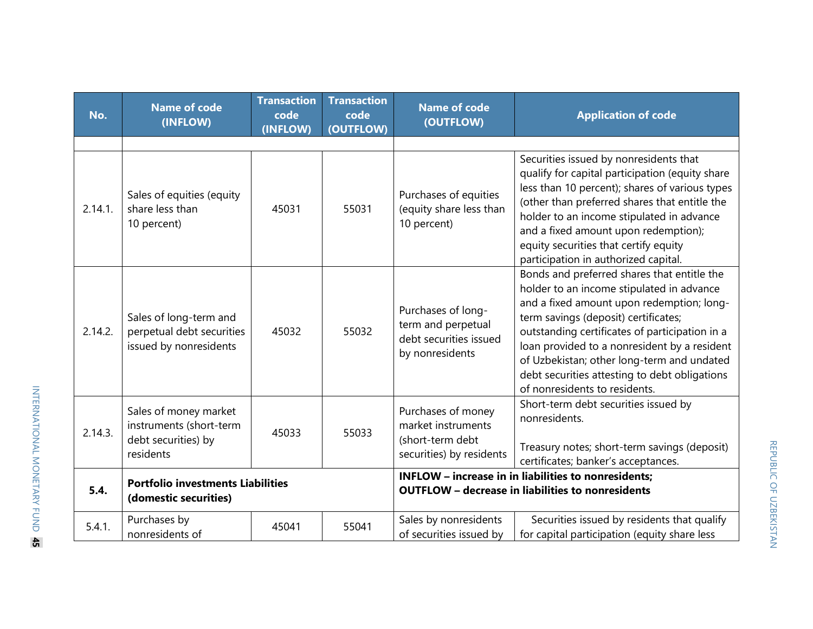| No.     | <b>Name of code</b><br>(INFLOW)                                                      | <b>Transaction</b><br>code<br>(INFLOW) | <b>Transaction</b><br>code<br>(OUTFLOW) | <b>Name of code</b><br><b>Application of code</b><br>(OUTFLOW)                                                          |                                                                                                                                                                                                                                                                                                                                                                                                                 |
|---------|--------------------------------------------------------------------------------------|----------------------------------------|-----------------------------------------|-------------------------------------------------------------------------------------------------------------------------|-----------------------------------------------------------------------------------------------------------------------------------------------------------------------------------------------------------------------------------------------------------------------------------------------------------------------------------------------------------------------------------------------------------------|
|         |                                                                                      |                                        |                                         |                                                                                                                         |                                                                                                                                                                                                                                                                                                                                                                                                                 |
| 2.14.1. | Sales of equities (equity<br>share less than<br>10 percent)                          | 45031                                  | 55031                                   | Purchases of equities<br>(equity share less than<br>10 percent)                                                         | Securities issued by nonresidents that<br>qualify for capital participation (equity share<br>less than 10 percent); shares of various types<br>(other than preferred shares that entitle the<br>holder to an income stipulated in advance<br>and a fixed amount upon redemption);<br>equity securities that certify equity<br>participation in authorized capital.                                              |
| 2.14.2. | Sales of long-term and<br>perpetual debt securities<br>issued by nonresidents        | 45032                                  | 55032                                   | Purchases of long-<br>term and perpetual<br>debt securities issued<br>by nonresidents                                   | Bonds and preferred shares that entitle the<br>holder to an income stipulated in advance<br>and a fixed amount upon redemption; long-<br>term savings (deposit) certificates;<br>outstanding certificates of participation in a<br>loan provided to a nonresident by a resident<br>of Uzbekistan; other long-term and undated<br>debt securities attesting to debt obligations<br>of nonresidents to residents. |
| 2.14.3. | Sales of money market<br>instruments (short-term<br>debt securities) by<br>residents | 45033                                  | 55033                                   | Purchases of money<br>market instruments<br>(short-term debt<br>securities) by residents                                | Short-term debt securities issued by<br>nonresidents.<br>Treasury notes; short-term savings (deposit)<br>certificates; banker's acceptances.                                                                                                                                                                                                                                                                    |
| 5.4.    | <b>Portfolio investments Liabilities</b><br>(domestic securities)                    |                                        |                                         | <b>INFLOW</b> - increase in in liabilities to nonresidents;<br><b>OUTFLOW - decrease in liabilities to nonresidents</b> |                                                                                                                                                                                                                                                                                                                                                                                                                 |
| 5.4.1.  | Purchases by<br>nonresidents of                                                      | 45041                                  | 55041                                   | Sales by nonresidents<br>of securities issued by                                                                        | Securities issued by residents that qualify<br>for capital participation (equity share less                                                                                                                                                                                                                                                                                                                     |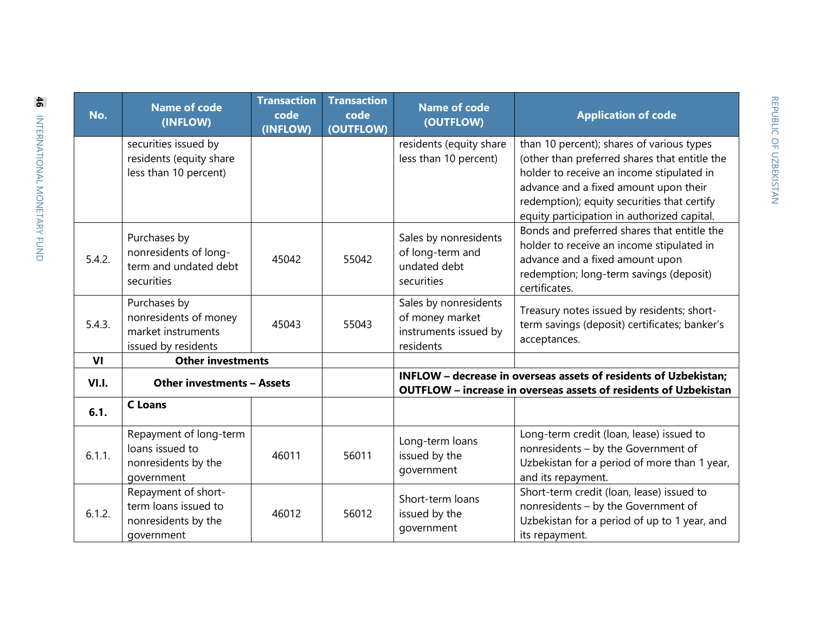| No.    | <b>Name of code</b><br>(INFLOW)                                                    | <b>Transaction</b><br>code<br>(INFLOW) | <b>Transaction</b><br>code<br>(OUTFLOW) | <b>Name of code</b><br>(OUTFLOW)                                                                                                     | <b>Application of code</b>                                                                                                                                                                                                                                                     |  |
|--------|------------------------------------------------------------------------------------|----------------------------------------|-----------------------------------------|--------------------------------------------------------------------------------------------------------------------------------------|--------------------------------------------------------------------------------------------------------------------------------------------------------------------------------------------------------------------------------------------------------------------------------|--|
|        | securities issued by<br>residents (equity share<br>less than 10 percent)           |                                        |                                         | residents (equity share<br>less than 10 percent)                                                                                     | than 10 percent); shares of various types<br>(other than preferred shares that entitle the<br>holder to receive an income stipulated in<br>advance and a fixed amount upon their<br>redemption); equity securities that certify<br>equity participation in authorized capital. |  |
| 5.4.2. | Purchases by<br>nonresidents of long-<br>term and undated debt<br>securities       | 45042                                  | 55042                                   | Sales by nonresidents<br>of long-term and<br>undated debt<br>securities                                                              | Bonds and preferred shares that entitle the<br>holder to receive an income stipulated in<br>advance and a fixed amount upon<br>redemption; long-term savings (deposit)<br>certificates.                                                                                        |  |
| 5.4.3. | Purchases by<br>nonresidents of money<br>market instruments<br>issued by residents | 45043                                  | 55043                                   | Sales by nonresidents<br>of money market<br>instruments issued by<br>residents                                                       | Treasury notes issued by residents; short-<br>term savings (deposit) certificates; banker's<br>acceptances.                                                                                                                                                                    |  |
| VI     | <b>Other investments</b>                                                           |                                        |                                         |                                                                                                                                      |                                                                                                                                                                                                                                                                                |  |
| VI.I.  | <b>Other investments - Assets</b>                                                  |                                        |                                         | INFLOW - decrease in overseas assets of residents of Uzbekistan;<br>OUTFLOW - increase in overseas assets of residents of Uzbekistan |                                                                                                                                                                                                                                                                                |  |
| 6.1.   | <b>C</b> Loans                                                                     |                                        |                                         |                                                                                                                                      |                                                                                                                                                                                                                                                                                |  |
| 6.1.1. | Repayment of long-term<br>loans issued to<br>nonresidents by the<br>government     | 46011                                  | 56011                                   | Long-term loans<br>issued by the<br>government                                                                                       | Long-term credit (loan, lease) issued to<br>nonresidents - by the Government of<br>Uzbekistan for a period of more than 1 year,<br>and its repayment.                                                                                                                          |  |
| 6.1.2. | Repayment of short-<br>term loans issued to<br>nonresidents by the<br>government   | 46012                                  | 56012                                   | Short-term loans<br>issued by the<br>government                                                                                      | Short-term credit (loan, lease) issued to<br>nonresidents - by the Government of<br>Uzbekistan for a period of up to 1 year, and<br>its repayment.                                                                                                                             |  |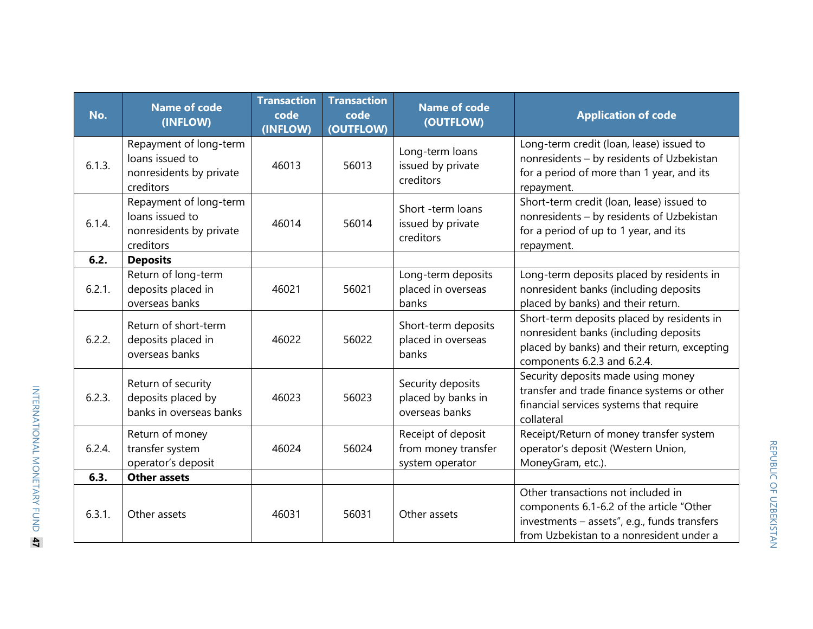| No.    | <b>Name of code</b><br>(INFLOW)                                                   | <b>Transaction</b><br>code<br>(INFLOW) | <b>Transaction</b><br>code<br>(OUTFLOW) | <b>Name of code</b><br>(OUTFLOW)                             | <b>Application of code</b>                                                                                                                                                 |  |
|--------|-----------------------------------------------------------------------------------|----------------------------------------|-----------------------------------------|--------------------------------------------------------------|----------------------------------------------------------------------------------------------------------------------------------------------------------------------------|--|
| 6.1.3. | Repayment of long-term<br>loans issued to<br>nonresidents by private<br>creditors | 46013                                  | 56013                                   | Long-term loans<br>issued by private<br>creditors            | Long-term credit (loan, lease) issued to<br>nonresidents - by residents of Uzbekistan<br>for a period of more than 1 year, and its<br>repayment.                           |  |
| 6.1.4. | Repayment of long-term<br>loans issued to<br>nonresidents by private<br>creditors | 46014                                  | 56014                                   | Short -term loans<br>issued by private<br>creditors          | Short-term credit (loan, lease) issued to<br>nonresidents - by residents of Uzbekistan<br>for a period of up to 1 year, and its<br>repayment.                              |  |
| 6.2.   | <b>Deposits</b>                                                                   |                                        |                                         |                                                              |                                                                                                                                                                            |  |
| 6.2.1. | Return of long-term<br>deposits placed in<br>overseas banks                       | 46021                                  | 56021                                   | Long-term deposits<br>placed in overseas<br>banks            | Long-term deposits placed by residents in<br>nonresident banks (including deposits<br>placed by banks) and their return.                                                   |  |
| 6.2.2. | Return of short-term<br>deposits placed in<br>overseas banks                      | 46022                                  | 56022                                   | Short-term deposits<br>placed in overseas<br>banks           | Short-term deposits placed by residents in<br>nonresident banks (including deposits<br>placed by banks) and their return, excepting<br>components 6.2.3 and 6.2.4.         |  |
| 6.2.3. | Return of security<br>deposits placed by<br>banks in overseas banks               | 46023                                  | 56023                                   | Security deposits<br>placed by banks in<br>overseas banks    | Security deposits made using money<br>transfer and trade finance systems or other<br>financial services systems that require<br>collateral                                 |  |
| 6.2.4. | Return of money<br>transfer system<br>operator's deposit                          | 46024                                  | 56024                                   | Receipt of deposit<br>from money transfer<br>system operator | Receipt/Return of money transfer system<br>operator's deposit (Western Union,<br>MoneyGram, etc.).                                                                         |  |
| 6.3.   | <b>Other assets</b>                                                               |                                        |                                         |                                                              |                                                                                                                                                                            |  |
| 6.3.1. | Other assets                                                                      | 46031                                  | 56031                                   | Other assets                                                 | Other transactions not included in<br>components 6.1-6.2 of the article "Other<br>investments - assets", e.g., funds transfers<br>from Uzbekistan to a nonresident under a |  |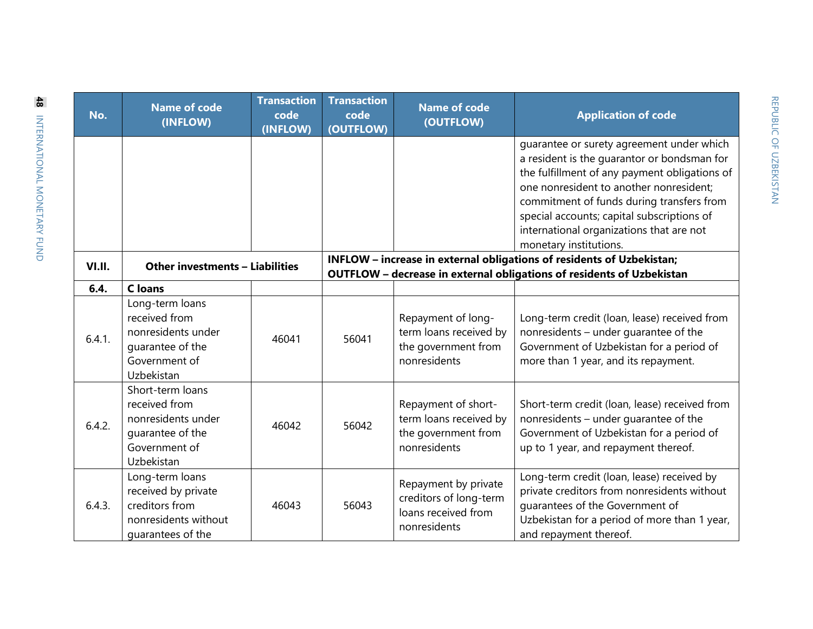| No.    | <b>Name of code</b><br>(INFLOW)                                                                            | <b>Transaction</b><br>code<br>(INFLOW) | <b>Transaction</b><br>code<br>(OUTFLOW)                                                                                                        | <b>Name of code</b><br>(OUTFLOW)                                                      | <b>Application of code</b>                                                                                                                                                                                                                                                                                                                            |  |
|--------|------------------------------------------------------------------------------------------------------------|----------------------------------------|------------------------------------------------------------------------------------------------------------------------------------------------|---------------------------------------------------------------------------------------|-------------------------------------------------------------------------------------------------------------------------------------------------------------------------------------------------------------------------------------------------------------------------------------------------------------------------------------------------------|--|
|        |                                                                                                            |                                        |                                                                                                                                                |                                                                                       | quarantee or surety agreement under which<br>a resident is the quarantor or bondsman for<br>the fulfillment of any payment obligations of<br>one nonresident to another nonresident;<br>commitment of funds during transfers from<br>special accounts; capital subscriptions of<br>international organizations that are not<br>monetary institutions. |  |
| VI.II. | Other investments - Liabilities                                                                            |                                        | INFLOW - increase in external obligations of residents of Uzbekistan;<br>OUTFLOW - decrease in external obligations of residents of Uzbekistan |                                                                                       |                                                                                                                                                                                                                                                                                                                                                       |  |
| 6.4.   | <b>C</b> loans                                                                                             |                                        |                                                                                                                                                |                                                                                       |                                                                                                                                                                                                                                                                                                                                                       |  |
| 6.4.1. | Long-term loans<br>received from<br>nonresidents under<br>quarantee of the<br>Government of<br>Uzbekistan  | 46041                                  | 56041                                                                                                                                          | Repayment of long-<br>term loans received by<br>the government from<br>nonresidents   | Long-term credit (loan, lease) received from<br>nonresidents - under guarantee of the<br>Government of Uzbekistan for a period of<br>more than 1 year, and its repayment.                                                                                                                                                                             |  |
| 6.4.2. | Short-term loans<br>received from<br>nonresidents under<br>quarantee of the<br>Government of<br>Uzbekistan | 46042                                  | 56042                                                                                                                                          | Repayment of short-<br>term loans received by<br>the government from<br>nonresidents  | Short-term credit (loan, lease) received from<br>nonresidents - under guarantee of the<br>Government of Uzbekistan for a period of<br>up to 1 year, and repayment thereof.                                                                                                                                                                            |  |
| 6.4.3. | Long-term loans<br>received by private<br>creditors from<br>nonresidents without<br>quarantees of the      | 46043                                  | 56043                                                                                                                                          | Repayment by private<br>creditors of long-term<br>loans received from<br>nonresidents | Long-term credit (loan, lease) received by<br>private creditors from nonresidents without<br>quarantees of the Government of<br>Uzbekistan for a period of more than 1 year,<br>and repayment thereof.                                                                                                                                                |  |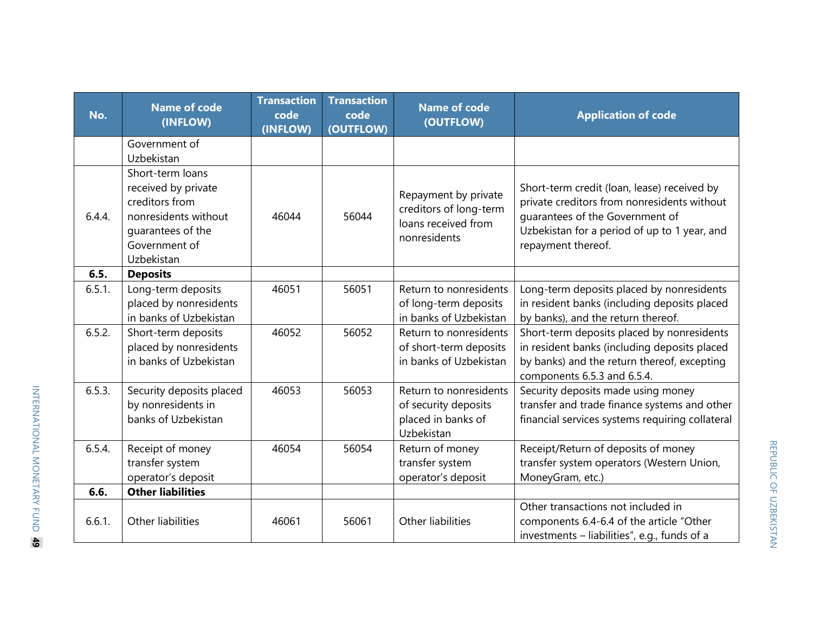| No.    | <b>Name of code</b><br>(INFLOW)                                                                                                       | <b>Transaction</b><br>code<br>(INFLOW) | <b>Transaction</b><br>code<br>(OUTFLOW) | <b>Name of code</b><br>(OUTFLOW)                                                      | <b>Application of code</b>                                                                                                                                                                          |
|--------|---------------------------------------------------------------------------------------------------------------------------------------|----------------------------------------|-----------------------------------------|---------------------------------------------------------------------------------------|-----------------------------------------------------------------------------------------------------------------------------------------------------------------------------------------------------|
|        | Government of<br>Uzbekistan                                                                                                           |                                        |                                         |                                                                                       |                                                                                                                                                                                                     |
| 6.4.4. | Short-term loans<br>received by private<br>creditors from<br>nonresidents without<br>quarantees of the<br>Government of<br>Uzbekistan | 46044                                  | 56044                                   | Repayment by private<br>creditors of long-term<br>loans received from<br>nonresidents | Short-term credit (loan, lease) received by<br>private creditors from nonresidents without<br>quarantees of the Government of<br>Uzbekistan for a period of up to 1 year, and<br>repayment thereof. |
| 6.5.   | <b>Deposits</b>                                                                                                                       |                                        |                                         |                                                                                       |                                                                                                                                                                                                     |
| 6.5.1. | Long-term deposits<br>placed by nonresidents<br>in banks of Uzbekistan                                                                | 46051                                  | 56051                                   | Return to nonresidents<br>of long-term deposits<br>in banks of Uzbekistan             | Long-term deposits placed by nonresidents<br>in resident banks (including deposits placed<br>by banks), and the return thereof.                                                                     |
| 6.5.2. | Short-term deposits<br>placed by nonresidents<br>in banks of Uzbekistan                                                               | 46052                                  | 56052                                   | Return to nonresidents<br>of short-term deposits<br>in banks of Uzbekistan            | Short-term deposits placed by nonresidents<br>in resident banks (including deposits placed<br>by banks) and the return thereof, excepting<br>components 6.5.3 and 6.5.4.                            |
| 6.5.3. | Security deposits placed<br>by nonresidents in<br>banks of Uzbekistan                                                                 | 46053                                  | 56053                                   | Return to nonresidents<br>of security deposits<br>placed in banks of<br>Uzbekistan    | Security deposits made using money<br>transfer and trade finance systems and other<br>financial services systems requiring collateral                                                               |
| 6.5.4. | Receipt of money<br>transfer system<br>operator's deposit                                                                             | 46054                                  | 56054                                   | Return of money<br>transfer system<br>operator's deposit                              | Receipt/Return of deposits of money<br>transfer system operators (Western Union,<br>MoneyGram, etc.)                                                                                                |
| 6.6.   | <b>Other liabilities</b>                                                                                                              |                                        |                                         |                                                                                       |                                                                                                                                                                                                     |
| 6.6.1. | Other liabilities                                                                                                                     | 46061                                  | 56061                                   | Other liabilities                                                                     | Other transactions not included in<br>components 6.4-6.4 of the article "Other<br>investments - liabilities", e.g., funds of a                                                                      |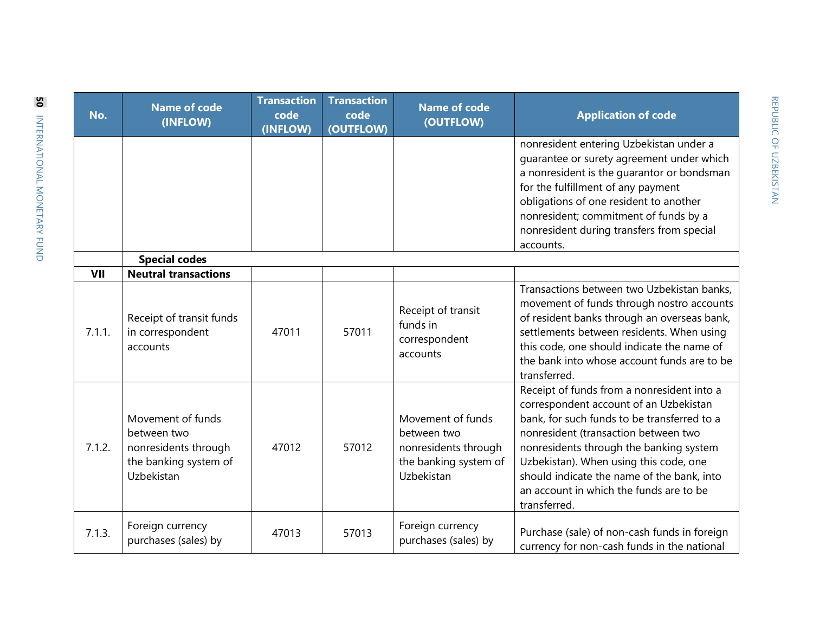| No.    | <b>Name of code</b><br>(INFLOW)                                                                 | <b>Transaction</b><br>code<br>(INFLOW) | <b>Transaction</b><br>code<br>(OUTFLOW) | <b>Name of code</b><br>(OUTFLOW)                                                                | <b>Application of code</b>                                                                                                                                                                                                                                                                                                                                                |
|--------|-------------------------------------------------------------------------------------------------|----------------------------------------|-----------------------------------------|-------------------------------------------------------------------------------------------------|---------------------------------------------------------------------------------------------------------------------------------------------------------------------------------------------------------------------------------------------------------------------------------------------------------------------------------------------------------------------------|
|        |                                                                                                 |                                        |                                         |                                                                                                 | nonresident entering Uzbekistan under a<br>quarantee or surety agreement under which<br>a nonresident is the quarantor or bondsman<br>for the fulfillment of any payment<br>obligations of one resident to another<br>nonresident; commitment of funds by a<br>nonresident during transfers from special<br>accounts.                                                     |
|        | <b>Special codes</b>                                                                            |                                        |                                         |                                                                                                 |                                                                                                                                                                                                                                                                                                                                                                           |
| VII    | <b>Neutral transactions</b>                                                                     |                                        |                                         |                                                                                                 |                                                                                                                                                                                                                                                                                                                                                                           |
| 7.1.1. | Receipt of transit funds<br>in correspondent<br>accounts                                        | 47011                                  | 57011                                   | Receipt of transit<br>funds in<br>correspondent<br>accounts                                     | Transactions between two Uzbekistan banks,<br>movement of funds through nostro accounts<br>of resident banks through an overseas bank,<br>settlements between residents. When using<br>this code, one should indicate the name of<br>the bank into whose account funds are to be<br>transferred.                                                                          |
| 7.1.2. | Movement of funds<br>between two<br>nonresidents through<br>the banking system of<br>Uzbekistan | 47012                                  | 57012                                   | Movement of funds<br>between two<br>nonresidents through<br>the banking system of<br>Uzbekistan | Receipt of funds from a nonresident into a<br>correspondent account of an Uzbekistan<br>bank, for such funds to be transferred to a<br>nonresident (transaction between two<br>nonresidents through the banking system<br>Uzbekistan). When using this code, one<br>should indicate the name of the bank, into<br>an account in which the funds are to be<br>transferred. |
| 7.1.3. | Foreign currency<br>purchases (sales) by                                                        | 47013                                  | 57013                                   | Foreign currency<br>purchases (sales) by                                                        | Purchase (sale) of non-cash funds in foreign<br>currency for non-cash funds in the national                                                                                                                                                                                                                                                                               |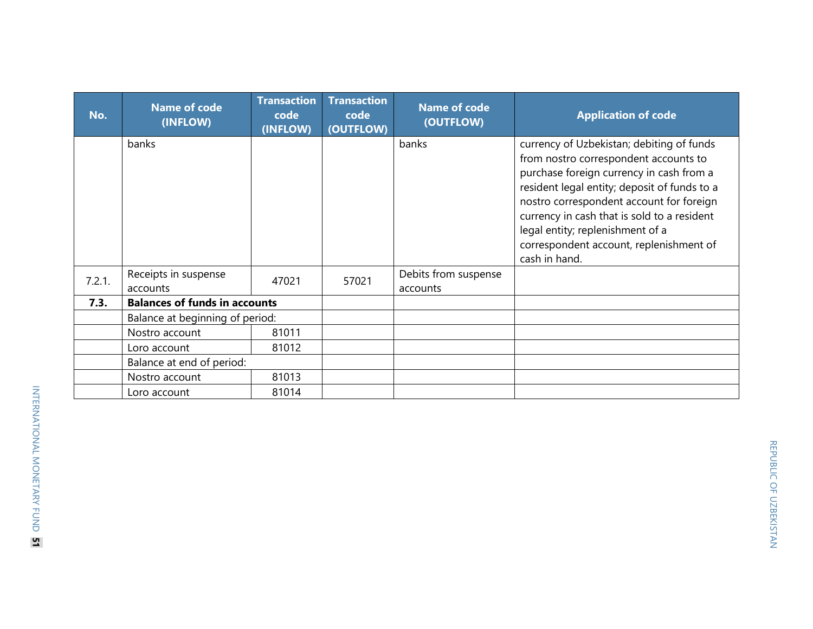| No.    | <b>Name of code</b><br>(INFLOW)      | <b>Transaction</b><br>code<br>(INFLOW) | <b>Transaction</b><br>code<br>(OUTFLOW) | <b>Name of code</b><br>(OUTFLOW) | <b>Application of code</b>                                                                                                                                                                                                                                                                                                                                                |
|--------|--------------------------------------|----------------------------------------|-----------------------------------------|----------------------------------|---------------------------------------------------------------------------------------------------------------------------------------------------------------------------------------------------------------------------------------------------------------------------------------------------------------------------------------------------------------------------|
|        | banks                                |                                        |                                         | banks                            | currency of Uzbekistan; debiting of funds<br>from nostro correspondent accounts to<br>purchase foreign currency in cash from a<br>resident legal entity; deposit of funds to a<br>nostro correspondent account for foreign<br>currency in cash that is sold to a resident<br>legal entity; replenishment of a<br>correspondent account, replenishment of<br>cash in hand. |
| 7.2.1. | Receipts in suspense<br>accounts     | 47021                                  | 57021                                   | Debits from suspense<br>accounts |                                                                                                                                                                                                                                                                                                                                                                           |
| 7.3.   | <b>Balances of funds in accounts</b> |                                        |                                         |                                  |                                                                                                                                                                                                                                                                                                                                                                           |
|        | Balance at beginning of period:      |                                        |                                         |                                  |                                                                                                                                                                                                                                                                                                                                                                           |
|        | Nostro account                       | 81011                                  |                                         |                                  |                                                                                                                                                                                                                                                                                                                                                                           |
|        | Loro account                         | 81012                                  |                                         |                                  |                                                                                                                                                                                                                                                                                                                                                                           |
|        | Balance at end of period:            |                                        |                                         |                                  |                                                                                                                                                                                                                                                                                                                                                                           |
|        | Nostro account                       | 81013                                  |                                         |                                  |                                                                                                                                                                                                                                                                                                                                                                           |
|        | Loro account                         | 81014                                  |                                         |                                  |                                                                                                                                                                                                                                                                                                                                                                           |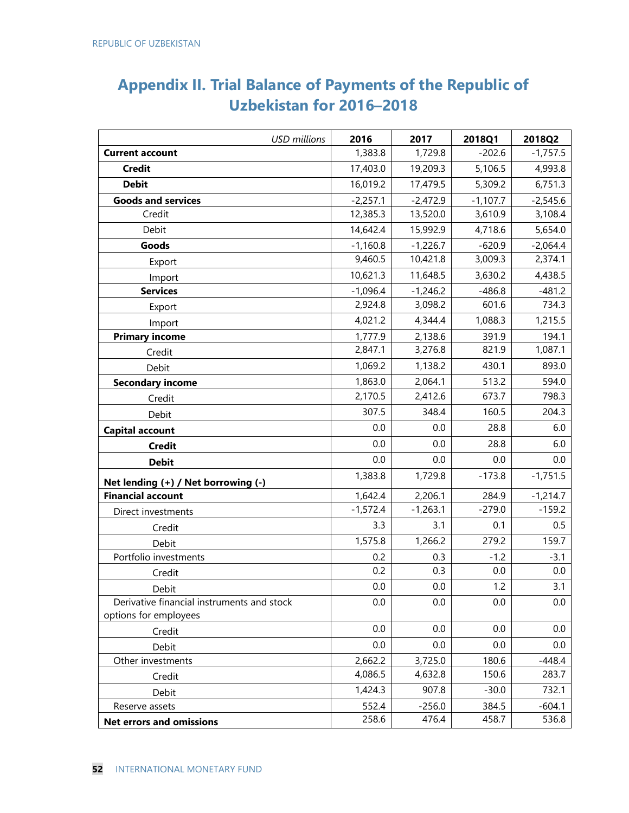## **Appendix II. Trial Balance of Payments of the Republic of Uzbekistan for 2016–2018**

| <b>USD</b> millions                        | 2016       | 2017       | 2018Q1     | 2018Q2     |
|--------------------------------------------|------------|------------|------------|------------|
| <b>Current account</b>                     | 1,383.8    | 1,729.8    | $-202.6$   | $-1,757.5$ |
| <b>Credit</b>                              | 17,403.0   | 19,209.3   | 5,106.5    | 4,993.8    |
| <b>Debit</b>                               | 16,019.2   | 17,479.5   | 5,309.2    | 6,751.3    |
| <b>Goods and services</b>                  | $-2,257.1$ | $-2,472.9$ | $-1,107.7$ | $-2,545.6$ |
| Credit                                     | 12,385.3   | 13,520.0   | 3,610.9    | 3,108.4    |
| Debit                                      | 14,642.4   | 15,992.9   | 4,718.6    | 5,654.0    |
| Goods                                      | $-1,160.8$ | $-1,226.7$ | $-620.9$   | $-2,064.4$ |
| Export                                     | 9,460.5    | 10,421.8   | 3,009.3    | 2,374.1    |
| Import                                     | 10,621.3   | 11,648.5   | 3,630.2    | 4,438.5    |
| <b>Services</b>                            | $-1,096.4$ | $-1,246.2$ | $-486.8$   | $-481.2$   |
| Export                                     | 2,924.8    | 3,098.2    | 601.6      | 734.3      |
| Import                                     | 4,021.2    | 4,344.4    | 1,088.3    | 1,215.5    |
| <b>Primary income</b>                      | 1,777.9    | 2,138.6    | 391.9      | 194.1      |
| Credit                                     | 2,847.1    | 3,276.8    | 821.9      | 1,087.1    |
| Debit                                      | 1,069.2    | 1,138.2    | 430.1      | 893.0      |
| <b>Secondary income</b>                    | 1,863.0    | 2,064.1    | 513.2      | 594.0      |
| Credit                                     | 2,170.5    | 2,412.6    | 673.7      | 798.3      |
| Debit                                      | 307.5      | 348.4      | 160.5      | 204.3      |
| <b>Capital account</b>                     | 0.0        | 0.0        | 28.8       | 6.0        |
| <b>Credit</b>                              | 0.0        | 0.0        | 28.8       | 6.0        |
| <b>Debit</b>                               | 0.0        | 0.0        | 0.0        | 0.0        |
| Net lending (+) / Net borrowing (-)        | 1,383.8    | 1,729.8    | $-173.8$   | $-1,751.5$ |
| <b>Financial account</b>                   | 1,642.4    | 2,206.1    | 284.9      | $-1,214.7$ |
| Direct investments                         | $-1,572.4$ | $-1,263.1$ | $-279.0$   | $-159.2$   |
| Credit                                     | 3.3        | 3.1        | 0.1        | 0.5        |
| Debit                                      | 1,575.8    | 1,266.2    | 279.2      | 159.7      |
| Portfolio investments                      | 0.2        | 0.3        | $-1.2$     | $-3.1$     |
| Credit                                     | 0.2        | 0.3        | 0.0        | 0.0        |
| Debit                                      | 0.0        | 0.0        | 1.2        | 3.1        |
| Derivative financial instruments and stock | 0.0        | 0.0        | 0.0        | 0.0        |
| options for employees                      |            |            |            |            |
| Credit                                     | 0.0        | 0.0        | 0.0        | 0.0        |
| Debit                                      | 0.0        | 0.0        | 0.0        | 0.0        |
| Other investments                          | 2,662.2    | 3,725.0    | 180.6      | $-448.4$   |
| Credit                                     | 4,086.5    | 4,632.8    | 150.6      | 283.7      |
| Debit                                      | 1,424.3    | 907.8      | $-30.0$    | 732.1      |
| Reserve assets                             | 552.4      | $-256.0$   | 384.5      | $-604.1$   |
| <b>Net errors and omissions</b>            | 258.6      | 476.4      | 458.7      | 536.8      |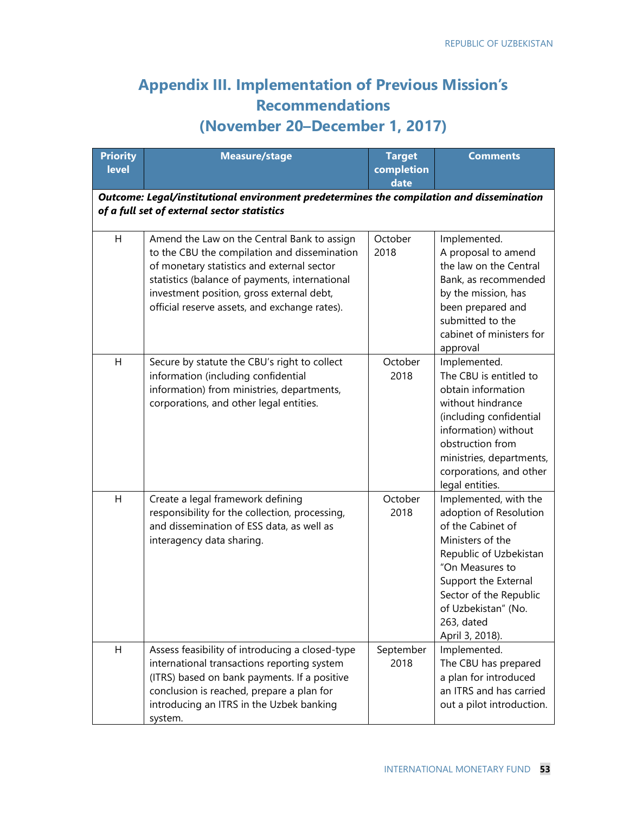## **Appendix III. Implementation of Previous Mission's Recommendations (November 20–December 1, 2017)**

| <b>Priority</b><br><b>level</b> | <b>Measure/stage</b>                                                                                                                                                                                                                                                                      | <b>Target</b><br>completion<br>date | <b>Comments</b>                                                                                                                                                                                                                                 |
|---------------------------------|-------------------------------------------------------------------------------------------------------------------------------------------------------------------------------------------------------------------------------------------------------------------------------------------|-------------------------------------|-------------------------------------------------------------------------------------------------------------------------------------------------------------------------------------------------------------------------------------------------|
|                                 | Outcome: Legal/institutional environment predetermines the compilation and dissemination<br>of a full set of external sector statistics                                                                                                                                                   |                                     |                                                                                                                                                                                                                                                 |
| H                               | Amend the Law on the Central Bank to assign<br>to the CBU the compilation and dissemination<br>of monetary statistics and external sector<br>statistics (balance of payments, international<br>investment position, gross external debt,<br>official reserve assets, and exchange rates). | October<br>2018                     | Implemented.<br>A proposal to amend<br>the law on the Central<br>Bank, as recommended<br>by the mission, has<br>been prepared and<br>submitted to the<br>cabinet of ministers for<br>approval                                                   |
| Н                               | Secure by statute the CBU's right to collect<br>information (including confidential<br>information) from ministries, departments,<br>corporations, and other legal entities.                                                                                                              | October<br>2018                     | Implemented.<br>The CBU is entitled to<br>obtain information<br>without hindrance<br>(including confidential<br>information) without<br>obstruction from<br>ministries, departments,<br>corporations, and other<br>legal entities.              |
| Η                               | Create a legal framework defining<br>responsibility for the collection, processing,<br>and dissemination of ESS data, as well as<br>interagency data sharing.                                                                                                                             | October<br>2018                     | Implemented, with the<br>adoption of Resolution<br>of the Cabinet of<br>Ministers of the<br>Republic of Uzbekistan<br>"On Measures to<br>Support the External<br>Sector of the Republic<br>of Uzbekistan" (No.<br>263, dated<br>April 3, 2018). |
| Η                               | Assess feasibility of introducing a closed-type<br>international transactions reporting system<br>(ITRS) based on bank payments. If a positive<br>conclusion is reached, prepare a plan for<br>introducing an ITRS in the Uzbek banking<br>system.                                        | September<br>2018                   | Implemented.<br>The CBU has prepared<br>a plan for introduced<br>an ITRS and has carried<br>out a pilot introduction.                                                                                                                           |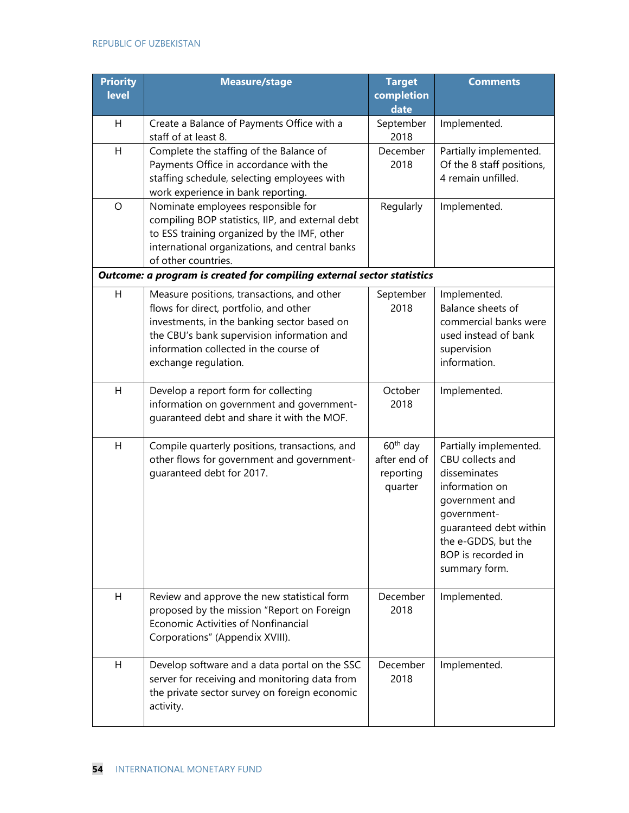| <b>Priority</b><br><b>level</b> | Measure/stage                                                                                                                                                                                                                                       | <b>Target</b><br>completion<br>date                          | <b>Comments</b>                                                                                                                                                                                       |
|---------------------------------|-----------------------------------------------------------------------------------------------------------------------------------------------------------------------------------------------------------------------------------------------------|--------------------------------------------------------------|-------------------------------------------------------------------------------------------------------------------------------------------------------------------------------------------------------|
| Н                               | Create a Balance of Payments Office with a<br>staff of at least 8.                                                                                                                                                                                  | September<br>2018                                            | Implemented.                                                                                                                                                                                          |
| H                               | Complete the staffing of the Balance of<br>Payments Office in accordance with the<br>staffing schedule, selecting employees with<br>work experience in bank reporting.                                                                              | December<br>2018                                             | Partially implemented.<br>Of the 8 staff positions,<br>4 remain unfilled.                                                                                                                             |
| $\circ$                         | Nominate employees responsible for<br>compiling BOP statistics, IIP, and external debt<br>to ESS training organized by the IMF, other<br>international organizations, and central banks<br>of other countries.                                      | Regularly                                                    | Implemented.                                                                                                                                                                                          |
|                                 | Outcome: a program is created for compiling external sector statistics                                                                                                                                                                              |                                                              |                                                                                                                                                                                                       |
| H                               | Measure positions, transactions, and other<br>flows for direct, portfolio, and other<br>investments, in the banking sector based on<br>the CBU's bank supervision information and<br>information collected in the course of<br>exchange regulation. | September<br>2018                                            | Implemented.<br>Balance sheets of<br>commercial banks were<br>used instead of bank<br>supervision<br>information.                                                                                     |
| H                               | Develop a report form for collecting<br>information on government and government-<br>guaranteed debt and share it with the MOF.                                                                                                                     | October<br>2018                                              | Implemented.                                                                                                                                                                                          |
| H                               | Compile quarterly positions, transactions, and<br>other flows for government and government-<br>guaranteed debt for 2017.                                                                                                                           | 60 <sup>th</sup> day<br>after end of<br>reporting<br>quarter | Partially implemented.<br>CBU collects and<br>disseminates<br>information on<br>government and<br>government-<br>guaranteed debt within<br>the e-GDDS, but the<br>BOP is recorded in<br>summary form. |
| H                               | Review and approve the new statistical form<br>proposed by the mission "Report on Foreign<br>Economic Activities of Nonfinancial<br>Corporations" (Appendix XVIII).                                                                                 | December<br>2018                                             | Implemented.                                                                                                                                                                                          |
| H                               | Develop software and a data portal on the SSC<br>server for receiving and monitoring data from<br>the private sector survey on foreign economic<br>activity.                                                                                        | December<br>2018                                             | Implemented.                                                                                                                                                                                          |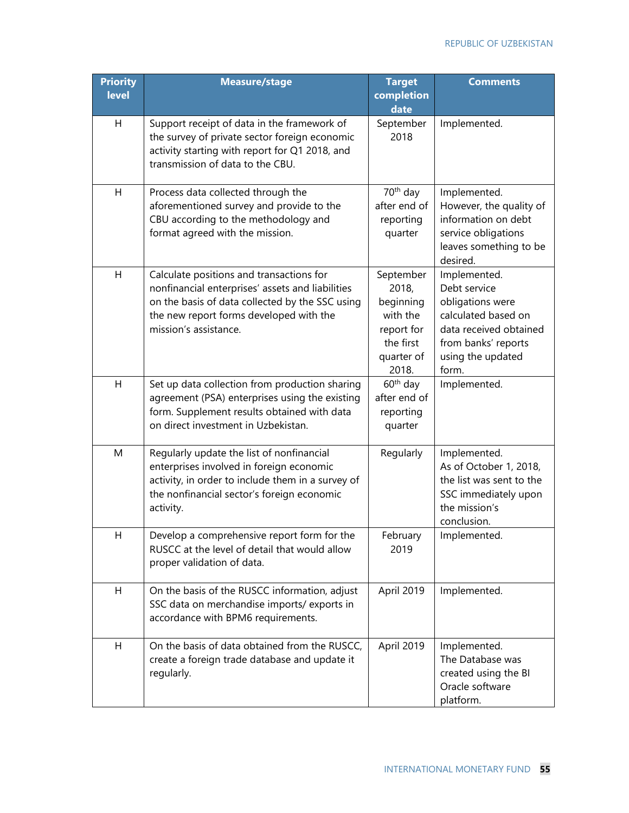| <b>Priority</b><br>level | <b>Measure/stage</b>                                                                                                                                                                                                | <b>Target</b><br>completion<br>date                                                           | <b>Comments</b>                                                                                                                                        |
|--------------------------|---------------------------------------------------------------------------------------------------------------------------------------------------------------------------------------------------------------------|-----------------------------------------------------------------------------------------------|--------------------------------------------------------------------------------------------------------------------------------------------------------|
| H                        | Support receipt of data in the framework of<br>the survey of private sector foreign economic<br>activity starting with report for Q1 2018, and<br>transmission of data to the CBU.                                  | September<br>2018                                                                             | Implemented.                                                                                                                                           |
| H                        | Process data collected through the<br>aforementioned survey and provide to the<br>CBU according to the methodology and<br>format agreed with the mission.                                                           | 70 <sup>th</sup> day<br>after end of<br>reporting<br>quarter                                  | Implemented.<br>However, the quality of<br>information on debt<br>service obligations<br>leaves something to be<br>desired.                            |
| H                        | Calculate positions and transactions for<br>nonfinancial enterprises' assets and liabilities<br>on the basis of data collected by the SSC using<br>the new report forms developed with the<br>mission's assistance. | September<br>2018,<br>beginning<br>with the<br>report for<br>the first<br>quarter of<br>2018. | Implemented.<br>Debt service<br>obligations were<br>calculated based on<br>data received obtained<br>from banks' reports<br>using the updated<br>form. |
| H                        | Set up data collection from production sharing<br>agreement (PSA) enterprises using the existing<br>form. Supplement results obtained with data<br>on direct investment in Uzbekistan.                              | $60th$ day<br>after end of<br>reporting<br>quarter                                            | Implemented.                                                                                                                                           |
| M                        | Regularly update the list of nonfinancial<br>enterprises involved in foreign economic<br>activity, in order to include them in a survey of<br>the nonfinancial sector's foreign economic<br>activity.               | Regularly                                                                                     | Implemented.<br>As of October 1, 2018,<br>the list was sent to the<br>SSC immediately upon<br>the mission's<br>conclusion.                             |
| H                        | Develop a comprehensive report form for the<br>RUSCC at the level of detail that would allow<br>proper validation of data.                                                                                          | February<br>2019                                                                              | Implemented.                                                                                                                                           |
| H                        | On the basis of the RUSCC information, adjust<br>SSC data on merchandise imports/exports in<br>accordance with BPM6 requirements.                                                                                   | April 2019                                                                                    | Implemented.                                                                                                                                           |
| H                        | On the basis of data obtained from the RUSCC,<br>create a foreign trade database and update it<br>regularly.                                                                                                        | April 2019                                                                                    | Implemented.<br>The Database was<br>created using the BI<br>Oracle software<br>platform.                                                               |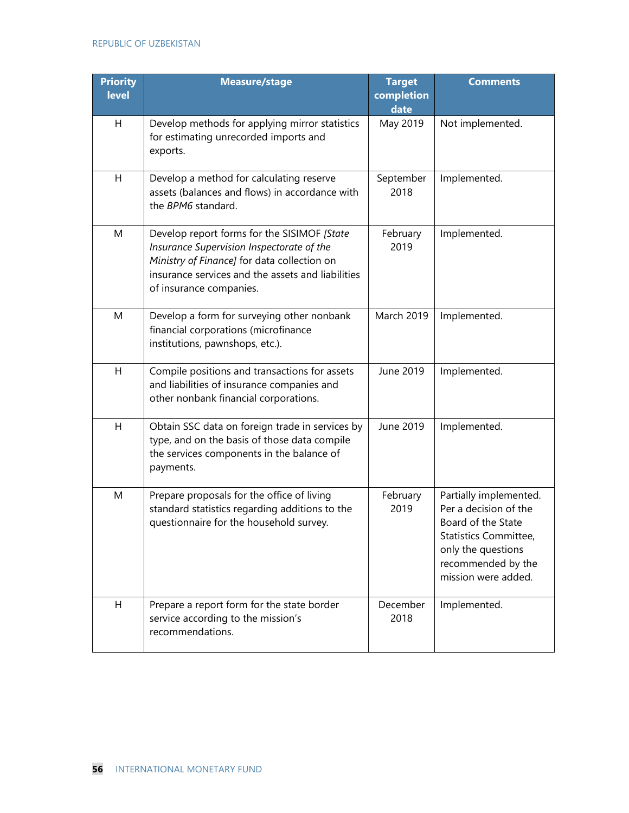| <b>Priority</b><br><b>level</b> | <b>Measure/stage</b>                                                                                                                                                                                                    | <b>Target</b><br>completion<br>date | <b>Comments</b>                                                                                                                                                   |
|---------------------------------|-------------------------------------------------------------------------------------------------------------------------------------------------------------------------------------------------------------------------|-------------------------------------|-------------------------------------------------------------------------------------------------------------------------------------------------------------------|
| H                               | Develop methods for applying mirror statistics<br>for estimating unrecorded imports and<br>exports.                                                                                                                     | May 2019                            | Not implemented.                                                                                                                                                  |
| H                               | Develop a method for calculating reserve<br>assets (balances and flows) in accordance with<br>the BPM6 standard.                                                                                                        | September<br>2018                   | Implemented.                                                                                                                                                      |
| M                               | Develop report forms for the SISIMOF [State<br>Insurance Supervision Inspectorate of the<br>Ministry of Finance] for data collection on<br>insurance services and the assets and liabilities<br>of insurance companies. | February<br>2019                    | Implemented.                                                                                                                                                      |
| M                               | Develop a form for surveying other nonbank<br>financial corporations (microfinance<br>institutions, pawnshops, etc.).                                                                                                   | <b>March 2019</b>                   | Implemented.                                                                                                                                                      |
| H                               | Compile positions and transactions for assets<br>and liabilities of insurance companies and<br>other nonbank financial corporations.                                                                                    | June 2019                           | Implemented.                                                                                                                                                      |
| H                               | Obtain SSC data on foreign trade in services by<br>type, and on the basis of those data compile<br>the services components in the balance of<br>payments.                                                               | June 2019                           | Implemented.                                                                                                                                                      |
| M                               | Prepare proposals for the office of living<br>standard statistics regarding additions to the<br>questionnaire for the household survey.                                                                                 | February<br>2019                    | Partially implemented.<br>Per a decision of the<br>Board of the State<br>Statistics Committee,<br>only the questions<br>recommended by the<br>mission were added. |
| H                               | Prepare a report form for the state border<br>service according to the mission's<br>recommendations.                                                                                                                    | December<br>2018                    | Implemented.                                                                                                                                                      |